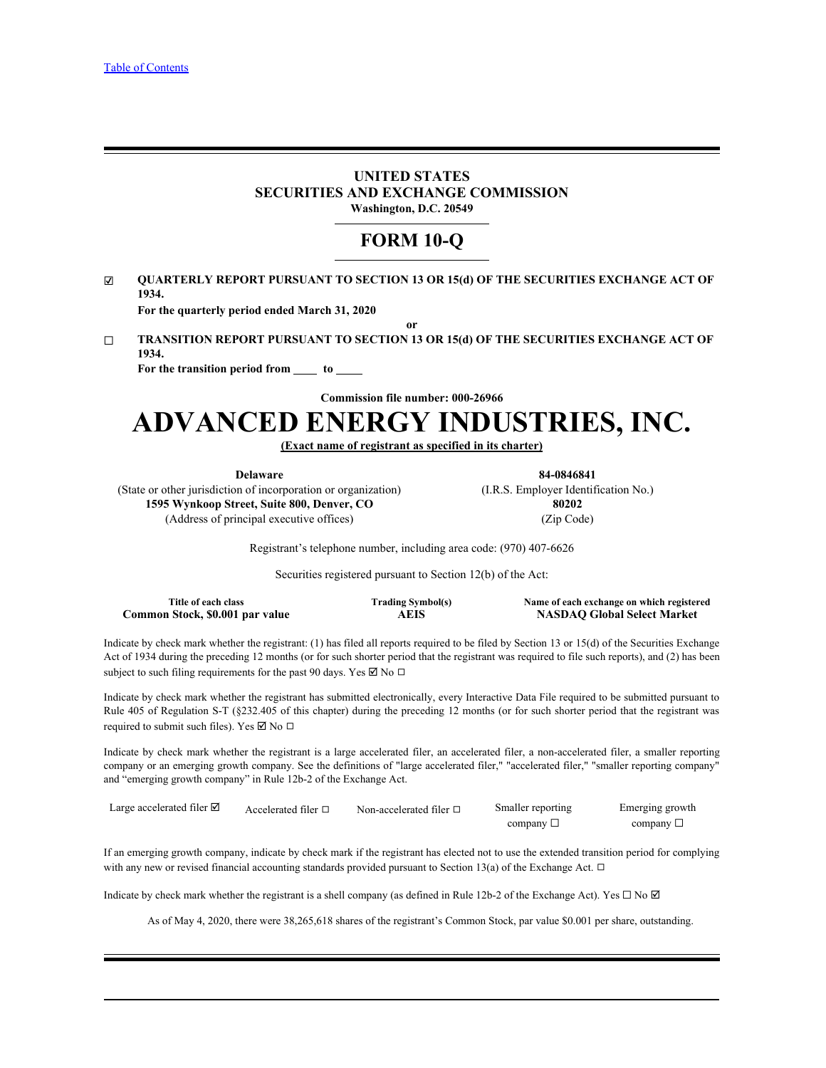# **UNITED STATES SECURITIES AND EXCHANGE COMMISSION**

**Washington, D.C. 20549**

# **FORM 10-Q**

☑ **QUARTERLY REPORT PURSUANT TO SECTION 13 OR 15(d) OF THE SECURITIES EXCHANGE ACT OF 1934.**

**For the quarterly period ended March 31, 2020**

☐ **TRANSITION REPORT PURSUANT TO SECTION 13 OR 15(d) OF THE SECURITIES EXCHANGE ACT OF 1934.** For the transition period from \_\_\_\_\_\_ to \_\_\_\_\_<br>Commission file number: 000-26966

# **ADVANCED ENERGY INDUSTRIES, INC.**

**(Exact name of registrant as specified in its charter)**

(State or other jurisdiction of incorporation or organization) (I.R.S. Employer Identification No.) **1595 Wynkoop Street, Suite 800, Denver, CO 80202** (Address of principal executive offices) (Zip Code)

**Delaware 84-0846841**

**or**

Registrant's telephone number, including area code: (970) 407-6626

Securities registered pursuant to Section 12(b) of the Act:

| Title of each class                     | Frading Symbol(s) | Name of each exchange on which registered  |  |
|-----------------------------------------|-------------------|--------------------------------------------|--|
| \$0.001<br>. par value<br>Jommon Stock. | AEIS              | <b>NASDAC</b><br>l Select Market<br>÷lobal |  |

Indicate by check mark whether the registrant: (1) has filed all reports required to be filed by Section 13 or 15(d) of the Securities Exchange Act of 1934 during the preceding 12 months (or for such shorter period that the registrant was required to file such reports), and (2) has been subject to such filing requirements for the past 90 days. Yes  $\boxtimes$  No  $\Box$ 

Indicate by check mark whether the registrant has submitted electronically, every Interactive Data File required to be submitted pursuant to Rule 405 of Regulation S-T (§232.405 of this chapter) during the preceding 12 months (or for such shorter period that the registrant was required to submit such files). Yes  $\boxtimes$  No  $\square$ 

Indicate by check mark whether the registrant is a large accelerated filer, an accelerated filer, a non-accelerated filer, a smaller reporting company or an emerging growth company. See the definitions of "large accelerated filer," "accelerated filer," "smaller reporting company" and "emerging growth company" in Rule 12b-2 of the Exchange Act.

| $\sim$ 1<br>Large accelerated filer $\boxtimes$ | Accelerated filer $\Box$ | Non-accelerated filer $\Box$ | Smaller reporting | Emerging growth |  |
|-------------------------------------------------|--------------------------|------------------------------|-------------------|-----------------|--|
|                                                 |                          |                              | company           | company $\Box$  |  |

If an emerging growth company, indicate by check mark if the registrant has elected not to use the extended transition period for complying with any new or revised financial accounting standards provided pursuant to Section 13(a) of the Exchange Act. □

Indicate by check mark whether the registrant is a shell company (as defined in Rule 12b-2 of the Exchange Act). Yes  $\Box$  No  $\Box$ 

As of May 4, 2020, there were 38,265,618 shares of the registrant's Common Stock, par value \$0.001 per share, outstanding.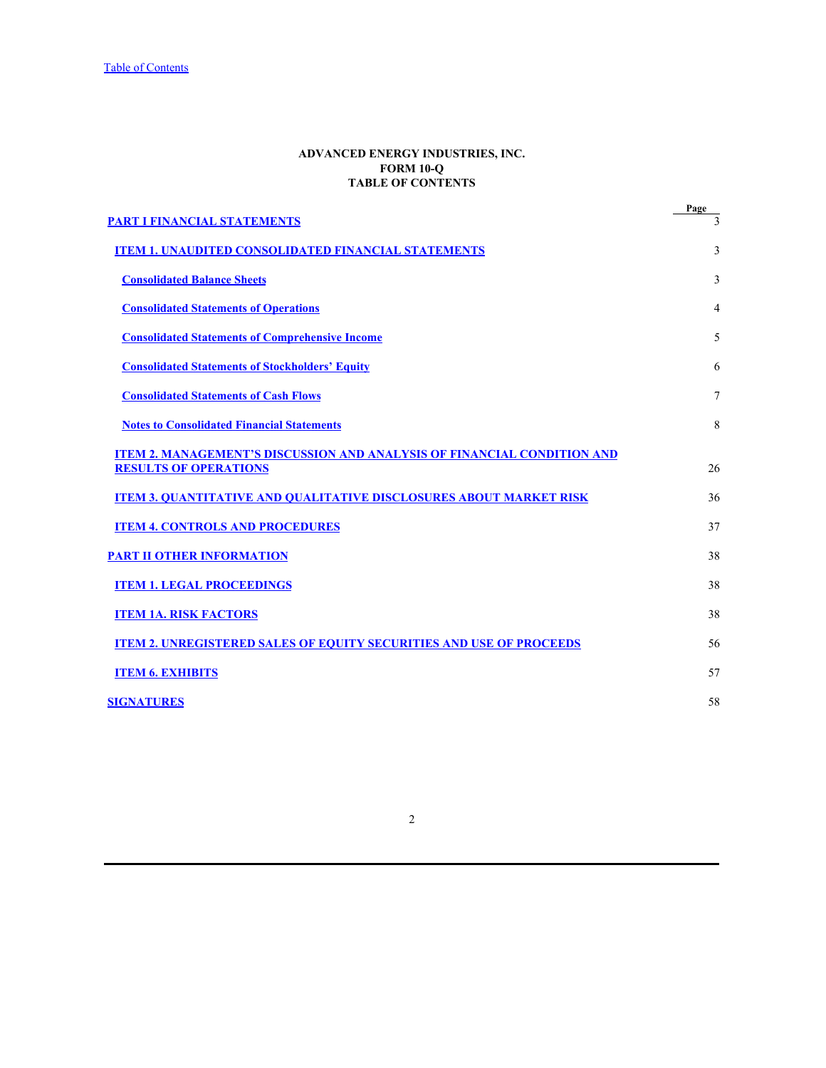# **ADVANCED ENERGY INDUSTRIES, INC. FORM 10-Q TABLE OF CONTENTS**

<span id="page-1-0"></span>

| <b>PART I FINANCIAL STATEMENTS</b>                                                                             | Page<br>3      |  |
|----------------------------------------------------------------------------------------------------------------|----------------|--|
| <b>ITEM 1. UNAUDITED CONSOLIDATED FINANCIAL STATEMENTS</b>                                                     | 3              |  |
| <b>Consolidated Balance Sheets</b>                                                                             | 3              |  |
| <b>Consolidated Statements of Operations</b>                                                                   | $\overline{4}$ |  |
| <b>Consolidated Statements of Comprehensive Income</b>                                                         | 5              |  |
| <b>Consolidated Statements of Stockholders' Equity</b>                                                         | 6              |  |
| <b>Consolidated Statements of Cash Flows</b>                                                                   | $\tau$         |  |
| <b>Notes to Consolidated Financial Statements</b>                                                              | $\,$ 8 $\,$    |  |
| <b>ITEM 2. MANAGEMENT'S DISCUSSION AND ANALYSIS OF FINANCIAL CONDITION AND</b><br><b>RESULTS OF OPERATIONS</b> | 26             |  |
| <b>ITEM 3. QUANTITATIVE AND QUALITATIVE DISCLOSURES ABOUT MARKET RISK</b>                                      | 36             |  |
| <b>ITEM 4. CONTROLS AND PROCEDURES</b>                                                                         | 37             |  |
| <b>PART II OTHER INFORMATION</b>                                                                               | 38             |  |
| <b>ITEM 1. LEGAL PROCEEDINGS</b>                                                                               | 38             |  |
| <b>ITEM 1A. RISK FACTORS</b>                                                                                   | 38             |  |
| <b>ITEM 2. UNREGISTERED SALES OF EQUITY SECURITIES AND USE OF PROCEEDS</b>                                     | 56             |  |
| <b>ITEM 6. EXHIBITS</b>                                                                                        | 57             |  |
| <b>SIGNATURES</b>                                                                                              | 58             |  |
|                                                                                                                |                |  |

2 a set of the set of the set of the set of the set of the set of the set of the set of the set of the set of the set of the set of the set of the set of the set of the set of the set of the set of the set of the set of th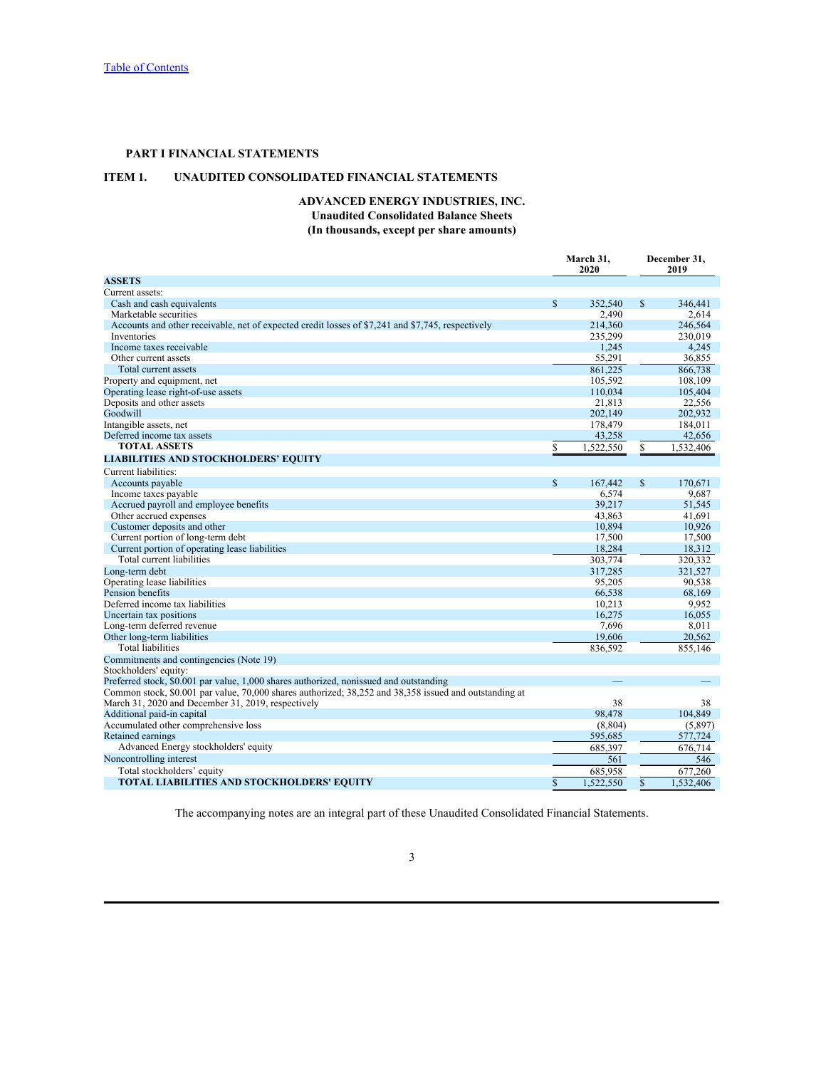# <span id="page-2-0"></span>**PART I FINANCIAL STATEMENTS**

# <span id="page-2-2"></span><span id="page-2-1"></span>**ITEM 1. UNAUDITED CONSOLIDATED FINANCIAL STATEMENTS**

# **ADVANCED ENERGY INDUSTRIES, INC. Unaudited Consolidated Balance Sheets (In thousands, except per share amounts)**

|                                                                                                        |               | March 31,<br>2020 |              | December 31,<br>2019 |
|--------------------------------------------------------------------------------------------------------|---------------|-------------------|--------------|----------------------|
| <b>ASSETS</b>                                                                                          |               |                   |              |                      |
| Current assets:                                                                                        |               |                   |              |                      |
| Cash and cash equivalents                                                                              | $\mathcal{S}$ | 352,540           | <sup>S</sup> | 346,441              |
| Marketable securities                                                                                  |               | 2,490             |              | 2,614                |
| Accounts and other receivable, net of expected credit losses of \$7,241 and \$7,745, respectively      |               | 214,360           |              | 246,564              |
| Inventories                                                                                            |               | 235,299           |              | 230,019              |
| Income taxes receivable                                                                                |               | 1,245             |              | 4,245                |
| Other current assets                                                                                   |               | 55,291            |              | 36,855               |
| Total current assets                                                                                   |               |                   |              |                      |
|                                                                                                        |               | 861,225           |              | 866,738              |
| Property and equipment, net                                                                            |               | 105,592           |              | 108,109              |
| Operating lease right-of-use assets                                                                    |               | 110,034           |              | 105,404              |
| Deposits and other assets                                                                              |               | 21,813            |              | 22,556               |
| Goodwill                                                                                               |               | 202,149           |              | 202,932              |
| Intangible assets, net                                                                                 |               | 178,479           |              | 184,011              |
| Deferred income tax assets                                                                             |               | 43,258            |              | 42,656               |
| <b>TOTAL ASSETS</b>                                                                                    |               | 1,522,550         |              | 1,532,406            |
| <b>LIABILITIES AND STOCKHOLDERS' EQUITY</b>                                                            |               |                   |              |                      |
| Current liabilities:                                                                                   |               |                   |              |                      |
|                                                                                                        | $\mathbf S$   | 167,442           | - S          | 170,671              |
| Accounts payable<br>Income taxes payable                                                               |               | 6,574             |              | 9,687                |
|                                                                                                        |               |                   |              |                      |
| Accrued payroll and employee benefits                                                                  |               | 39,217            |              | 51,545               |
| Other accrued expenses                                                                                 |               | 43.863            |              | 41,691               |
| Customer deposits and other                                                                            |               | 10,894            |              | 10,926               |
| Current portion of long-term debt                                                                      |               | 17,500            |              | 17.500               |
| Current portion of operating lease liabilities                                                         |               | 18,284            |              | 18,312               |
| Total current liabilities                                                                              |               | 303,774           |              | 320,332              |
| Long-term debt                                                                                         |               | 317,285           |              | 321,527              |
| Operating lease liabilities                                                                            |               | 95,205            |              | 90,538               |
| Pension benefits                                                                                       |               | 66,538            |              | 68,169               |
| Deferred income tax liabilities                                                                        |               | 10,213            |              | 9,952                |
| Uncertain tax positions                                                                                |               | 16,275            |              | 16,055               |
| Long-term deferred revenue                                                                             |               | 7,696             |              | 8,011                |
| Other long-term liabilities                                                                            |               | 19,606            |              | 20,562               |
| Total liabilities                                                                                      |               | 836,592           |              | 855,146              |
|                                                                                                        |               |                   |              |                      |
| Commitments and contingencies (Note 19)                                                                |               |                   |              |                      |
| Stockholders' equity:                                                                                  |               |                   |              |                      |
| Preferred stock, \$0.001 par value, 1,000 shares authorized, nonissued and outstanding                 |               |                   |              |                      |
| Common stock, \$0.001 par value, 70,000 shares authorized; 38,252 and 38,358 issued and outstanding at |               |                   |              |                      |
| March 31, 2020 and December 31, 2019, respectively                                                     |               | 38                |              | 38                   |
| Additional paid-in capital                                                                             |               | 98,478            |              | 104,849              |
| Accumulated other comprehensive loss                                                                   |               | (8, 804)          |              | (5,897)              |
| Retained earnings                                                                                      |               | 595,685           |              | 577,724              |
| Advanced Energy stockholders' equity                                                                   |               | 685,397           |              | 676,714              |
| Noncontrolling interest                                                                                |               | 561               |              | 546                  |
| Total stockholders' equity                                                                             |               | 685,958           |              | 677,260              |
|                                                                                                        |               |                   |              |                      |
| TOTAL LIABILITIES AND STOCKHOLDERS' EQUITY                                                             |               | 1,522,550         |              | 1,532,406            |

The accompanying notes are an integral part of these Unaudited Consolidated Financial Statements.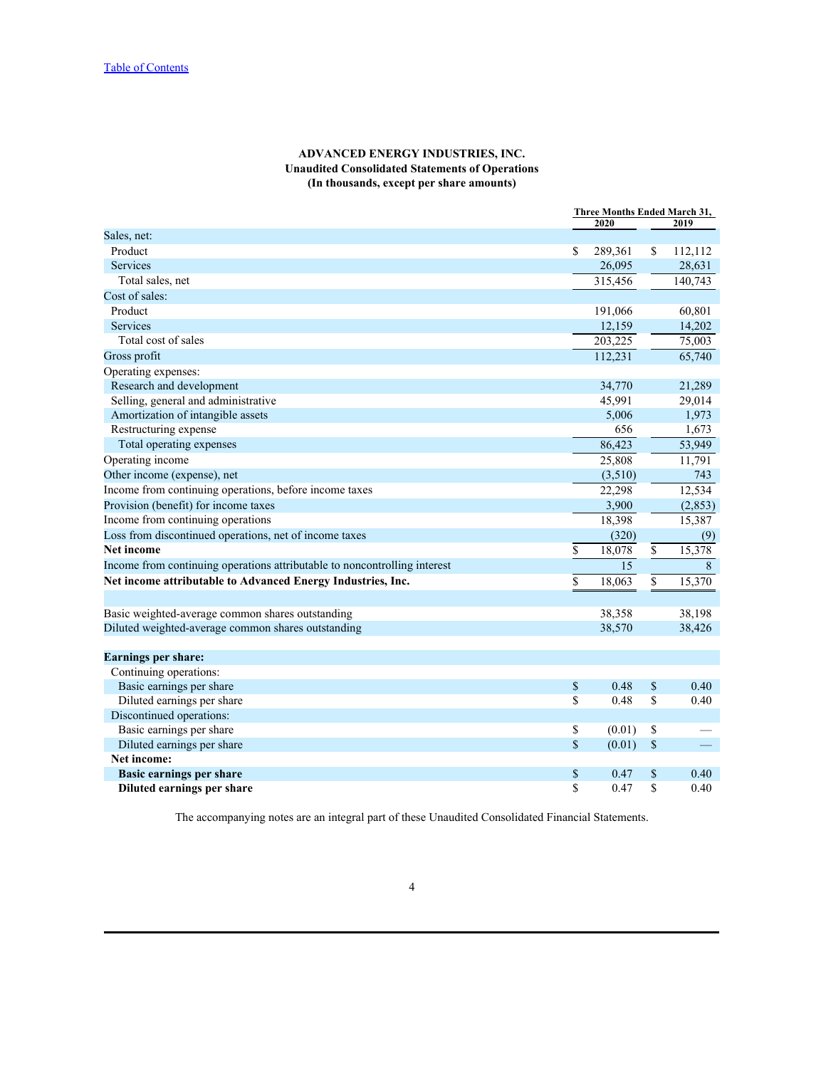# **ADVANCED ENERGY INDUSTRIES, INC. Unaudited Consolidated Statements of Operations (In thousands, except per share amounts)**

<span id="page-3-0"></span>

|                                                                      |                                                                                                                                                                                                      | 2019                                                                                                                                             |
|----------------------------------------------------------------------|------------------------------------------------------------------------------------------------------------------------------------------------------------------------------------------------------|--------------------------------------------------------------------------------------------------------------------------------------------------|
|                                                                      |                                                                                                                                                                                                      |                                                                                                                                                  |
|                                                                      |                                                                                                                                                                                                      | 112,112                                                                                                                                          |
|                                                                      |                                                                                                                                                                                                      | 28,631                                                                                                                                           |
|                                                                      |                                                                                                                                                                                                      | 140,743                                                                                                                                          |
|                                                                      |                                                                                                                                                                                                      |                                                                                                                                                  |
|                                                                      |                                                                                                                                                                                                      | 60,801                                                                                                                                           |
|                                                                      |                                                                                                                                                                                                      | 14,202                                                                                                                                           |
| 203,225                                                              |                                                                                                                                                                                                      | 75,003                                                                                                                                           |
| 112,231                                                              |                                                                                                                                                                                                      | 65,740                                                                                                                                           |
|                                                                      |                                                                                                                                                                                                      |                                                                                                                                                  |
| 34,770                                                               |                                                                                                                                                                                                      | 21,289                                                                                                                                           |
| 45,991                                                               |                                                                                                                                                                                                      | 29,014                                                                                                                                           |
| 5,006                                                                |                                                                                                                                                                                                      | 1,973                                                                                                                                            |
| 656                                                                  |                                                                                                                                                                                                      | 1,673                                                                                                                                            |
| 86,423                                                               |                                                                                                                                                                                                      | 53,949                                                                                                                                           |
| 25,808                                                               |                                                                                                                                                                                                      | 11,791                                                                                                                                           |
| (3,510)                                                              |                                                                                                                                                                                                      | 743                                                                                                                                              |
|                                                                      |                                                                                                                                                                                                      | 12,534                                                                                                                                           |
|                                                                      |                                                                                                                                                                                                      | (2, 853)                                                                                                                                         |
|                                                                      |                                                                                                                                                                                                      | 15,387                                                                                                                                           |
|                                                                      |                                                                                                                                                                                                      | (9)                                                                                                                                              |
|                                                                      |                                                                                                                                                                                                      | 15,378                                                                                                                                           |
|                                                                      |                                                                                                                                                                                                      | 8                                                                                                                                                |
|                                                                      |                                                                                                                                                                                                      | 15,370                                                                                                                                           |
|                                                                      |                                                                                                                                                                                                      |                                                                                                                                                  |
|                                                                      |                                                                                                                                                                                                      | 38,198                                                                                                                                           |
|                                                                      |                                                                                                                                                                                                      | 38,426                                                                                                                                           |
|                                                                      |                                                                                                                                                                                                      |                                                                                                                                                  |
|                                                                      |                                                                                                                                                                                                      |                                                                                                                                                  |
|                                                                      |                                                                                                                                                                                                      |                                                                                                                                                  |
|                                                                      |                                                                                                                                                                                                      | 0.40                                                                                                                                             |
|                                                                      |                                                                                                                                                                                                      | 0.40                                                                                                                                             |
|                                                                      |                                                                                                                                                                                                      |                                                                                                                                                  |
|                                                                      |                                                                                                                                                                                                      | $\qquad \qquad$                                                                                                                                  |
|                                                                      |                                                                                                                                                                                                      | $\overline{\phantom{m}}$                                                                                                                         |
|                                                                      |                                                                                                                                                                                                      |                                                                                                                                                  |
|                                                                      |                                                                                                                                                                                                      | 0.40                                                                                                                                             |
|                                                                      |                                                                                                                                                                                                      | 0.40                                                                                                                                             |
| S.<br>$\mathbb{S}$<br>\$<br>\$<br>$\mathbb{S}$<br>$\mathbb{S}$<br>\$ | 2020<br>289,361<br>26,095<br>315,456<br>191,066<br>12,159<br>22,298<br>3,900<br>18,398<br>(320)<br>18,078<br>$\overline{15}$<br>18,063<br>38,358<br>38,570<br>0.48<br>0.48<br>(0.01)<br>0.47<br>0.47 | Three Months Ended March 31,<br><sup>\$</sup><br>\$<br>\$<br><sup>S</sup><br>- \$<br>$\mathbf{s}$<br>$(0.01)$ \$<br>$\mathbb{S}$<br>$\mathbb{S}$ |

The accompanying notes are an integral part of these Unaudited Consolidated Financial Statements.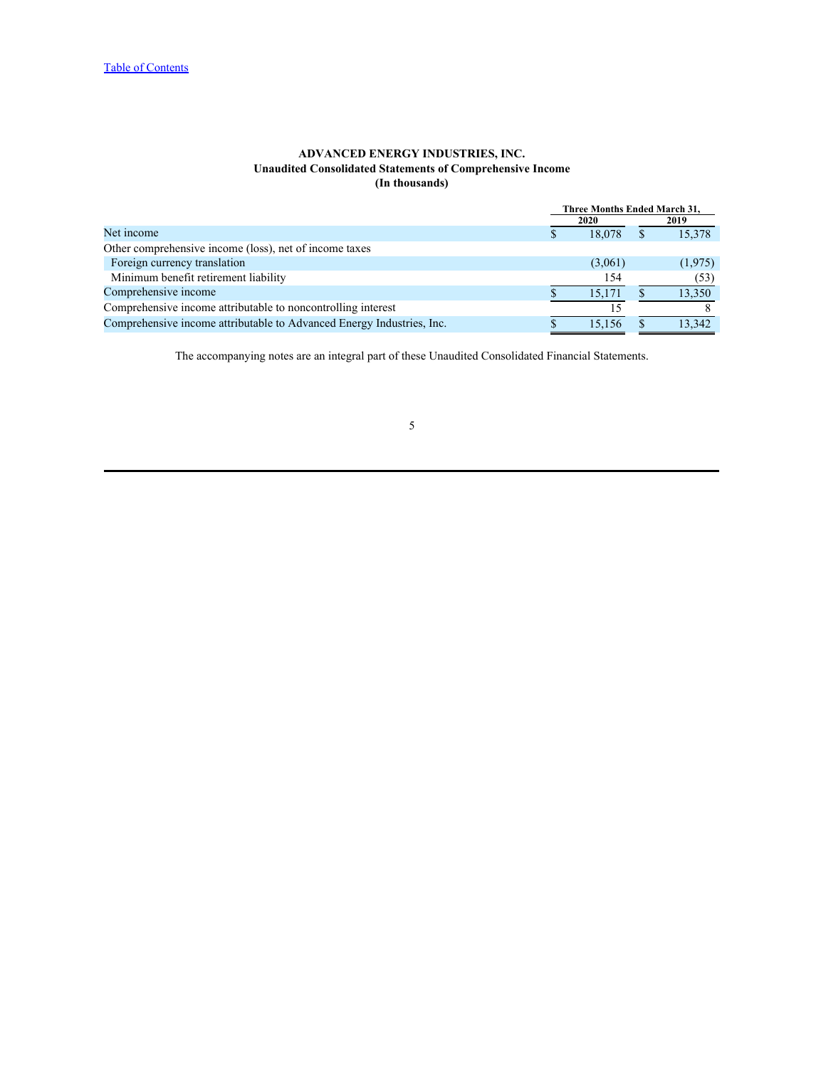# **ADVANCED ENERGY INDUSTRIES, INC. Unaudited Consolidated Statements of Comprehensive Income (In thousands)**

<span id="page-4-0"></span>

|                                                                       | <b>Three Months Ended March 31.</b> |         |  |         |  |  |  |
|-----------------------------------------------------------------------|-------------------------------------|---------|--|---------|--|--|--|
|                                                                       |                                     | 2020    |  | 2019    |  |  |  |
| Net income                                                            |                                     | 18.078  |  | 15,378  |  |  |  |
| Other comprehensive income (loss), net of income taxes                |                                     |         |  |         |  |  |  |
| Foreign currency translation                                          |                                     | (3,061) |  | (1,975) |  |  |  |
| Minimum benefit retirement liability                                  |                                     | 154     |  | (53)    |  |  |  |
| Comprehensive income                                                  |                                     | 15.171  |  | 13,350  |  |  |  |
| Comprehensive income attributable to noncontrolling interest          |                                     |         |  |         |  |  |  |
| Comprehensive income attributable to Advanced Energy Industries, Inc. |                                     | 15.156  |  | 13.342  |  |  |  |

The accompanying notes are an integral part of these Unaudited Consolidated Financial Statements.

#### $5<sub>5</sub>$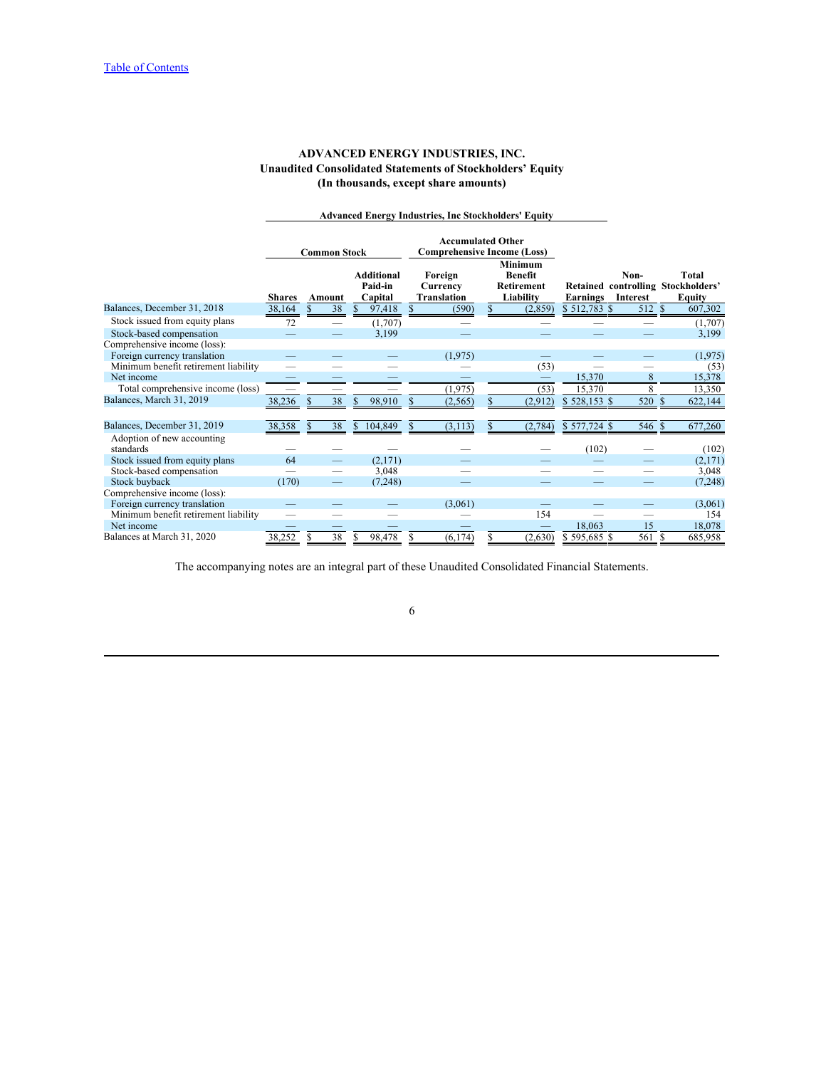# **ADVANCED ENERGY INDUSTRIES, INC. Unaudited Consolidated Statements of Stockholders' Equity (In thousands, except share amounts)**

<span id="page-5-0"></span>

|                                                          |                          |                                 |   |                              | <b>Advanced Energy Industries, Inc Stockholders' Equity</b>    |                                                |               |                                                                                                                                                                                                                                                                                                                                                                                               |              |
|----------------------------------------------------------|--------------------------|---------------------------------|---|------------------------------|----------------------------------------------------------------|------------------------------------------------|---------------|-----------------------------------------------------------------------------------------------------------------------------------------------------------------------------------------------------------------------------------------------------------------------------------------------------------------------------------------------------------------------------------------------|--------------|
|                                                          |                          | <b>Common Stock</b>             |   |                              | <b>Accumulated Other</b><br><b>Comprehensive Income (Loss)</b> |                                                |               |                                                                                                                                                                                                                                                                                                                                                                                               |              |
|                                                          |                          |                                 |   | <b>Additional</b><br>Paid-in | Foreign<br>Currency                                            | <b>Minimum</b><br><b>Benefit</b><br>Retirement |               | Non-<br>Retained controlling Stockholders'                                                                                                                                                                                                                                                                                                                                                    | <b>Total</b> |
|                                                          | <b>Shares</b>            | Amount                          |   | Capital                      | Translation                                                    | Liability                                      | Earnings      | <b>Interest</b>                                                                                                                                                                                                                                                                                                                                                                               | Equity       |
| Balances, December 31, 2018                              | 38,164                   | 38                              |   | 97,418                       | (590)                                                          | (2,859)                                        | $$512,783$ \$ | 512 \$                                                                                                                                                                                                                                                                                                                                                                                        | 607,302      |
| Stock issued from equity plans                           | 72                       |                                 |   | (1,707)                      | $\overbrace{\phantom{12332}}$                                  |                                                |               |                                                                                                                                                                                                                                                                                                                                                                                               | (1,707)      |
| Stock-based compensation<br>Comprehensive income (loss): |                          |                                 |   | 3,199                        |                                                                |                                                |               | _                                                                                                                                                                                                                                                                                                                                                                                             | 3,199        |
| Foreign currency translation                             |                          |                                 |   |                              | (1, 975)                                                       | $\hspace{0.1mm}-\hspace{0.1mm}$                |               | $\hspace{1.0cm} \overline{\hspace{1.0cm} \hspace{1.0cm} \hspace{1.0cm} } \hspace{1.0cm} \hspace{1.0cm} \overline{\hspace{1.0cm} \hspace{1.0cm} \hspace{1.0cm} } \hspace{1.0cm} \hspace{1.0cm} \overline{\hspace{1.0cm} \hspace{1.0cm} \hspace{1.0cm} } \hspace{1.0cm} \hspace{1.0cm} \overline{\hspace{1.0cm} \hspace{1.0cm} \hspace{1.0cm} } \hspace{1.0cm} \hspace{1.0cm} \hspace{1.0cm} }$ | (1,975)      |
| Minimum benefit retirement liability                     |                          |                                 |   |                              |                                                                | (53)                                           |               |                                                                                                                                                                                                                                                                                                                                                                                               | (53)         |
| Net income                                               |                          |                                 |   |                              |                                                                | $\qquad \qquad$                                | 15,370        | 8                                                                                                                                                                                                                                                                                                                                                                                             | 15,378       |
| Total comprehensive income (loss)                        | $\overline{\phantom{a}}$ |                                 |   | _                            | (1,975)                                                        | (53)                                           | 15,370        | 8                                                                                                                                                                                                                                                                                                                                                                                             | 13,350       |
| Balances, March 31, 2019                                 | 38,236                   | 38                              |   | 98,910                       | (2, 565)                                                       | (2,912)                                        | $$528,153$ \$ | 520 \$                                                                                                                                                                                                                                                                                                                                                                                        | 622,144      |
| Balances, December 31, 2019                              | 38,358                   | 38<br>- 75                      | Ъ | 104,849                      | (3, 113)                                                       | (2,784)                                        | \$577,724 \$  | 546 \$                                                                                                                                                                                                                                                                                                                                                                                        | 677,260      |
| Adoption of new accounting<br>standards                  |                          |                                 |   |                              |                                                                |                                                | (102)         |                                                                                                                                                                                                                                                                                                                                                                                               | (102)        |
| Stock issued from equity plans                           | 64                       | $\hspace{0.1mm}-\hspace{0.1mm}$ |   | (2,171)                      |                                                                |                                                |               | $\hspace{1.0cm} \overline{\phantom{0}}$                                                                                                                                                                                                                                                                                                                                                       | (2,171)      |
| Stock-based compensation                                 |                          |                                 |   | 3,048                        | $\overline{\phantom{a}}$                                       |                                                |               |                                                                                                                                                                                                                                                                                                                                                                                               | 3,048        |
| Stock buyback                                            | (170)                    |                                 |   | (7,248)                      |                                                                |                                                |               | $\hspace{1.0cm} \overline{\hspace{1.0cm} \hspace{1.0cm} \hspace{1.0cm} } \hspace{1.0cm} \hspace{1.0cm} \overline{\hspace{1.0cm} \hspace{1.0cm} \hspace{1.0cm} } \hspace{1.0cm} \hspace{1.0cm} \overline{\hspace{1.0cm} \hspace{1.0cm} \hspace{1.0cm} } \hspace{1.0cm} \hspace{1.0cm} \overline{\hspace{1.0cm} \hspace{1.0cm} \hspace{1.0cm} } \hspace{1.0cm} \hspace{1.0cm} \hspace{1.0cm} }$ | (7,248)      |
| Comprehensive income (loss):                             |                          |                                 |   |                              |                                                                |                                                |               |                                                                                                                                                                                                                                                                                                                                                                                               |              |
| Foreign currency translation                             |                          |                                 |   |                              | (3,061)                                                        |                                                |               | –                                                                                                                                                                                                                                                                                                                                                                                             | (3,061)      |
| Minimum benefit retirement liability                     |                          |                                 |   | _                            |                                                                | 154                                            |               |                                                                                                                                                                                                                                                                                                                                                                                               | 154          |
| Net income                                               |                          |                                 |   |                              |                                                                | $\hspace{0.1mm}-\hspace{0.1mm}$                | 18,063        | 15                                                                                                                                                                                                                                                                                                                                                                                            | 18,078       |
| Balances at March 31, 2020                               | 38,252                   | 38                              |   | 98,478                       | (6, 174)                                                       | (2,630)                                        | $$595,685$ \$ | 561                                                                                                                                                                                                                                                                                                                                                                                           | 685,958      |

The accompanying notes are an integral part of these Unaudited Consolidated Financial Statements.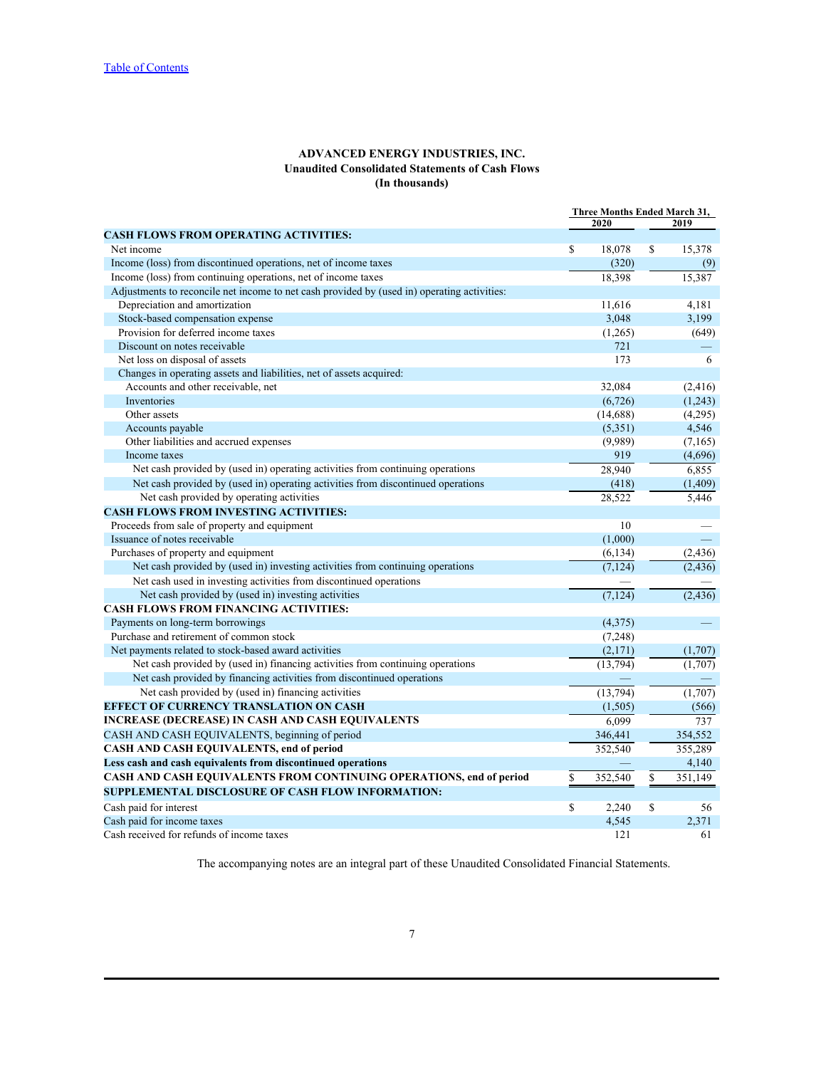# **ADVANCED ENERGY INDUSTRIES, INC. Unaudited Consolidated Statements of Cash Flows (In thousands)**

<span id="page-6-0"></span>

|                                                                                             |    | Three Months Ended March 31, |          |                                 |
|---------------------------------------------------------------------------------------------|----|------------------------------|----------|---------------------------------|
|                                                                                             |    | 2020                         |          | 2019                            |
| CASH FLOWS FROM OPERATING ACTIVITIES:                                                       |    |                              |          |                                 |
| Net income                                                                                  | -S | 18,078                       | -S       | 15,378                          |
| Income (loss) from discontinued operations, net of income taxes                             |    | (320)                        |          | (9)                             |
| Income (loss) from continuing operations, net of income taxes                               |    | 18,398                       |          | 15,387                          |
| Adjustments to reconcile net income to net cash provided by (used in) operating activities: |    |                              |          |                                 |
| Depreciation and amortization                                                               |    | 11,616                       |          | 4,181                           |
| Stock-based compensation expense                                                            |    | 3,048                        |          | 3,199                           |
| Provision for deferred income taxes                                                         |    | (1,265)                      |          | (649)                           |
| Discount on notes receivable                                                                |    | 721                          |          | $\hspace{0.1mm}-\hspace{0.1mm}$ |
| Net loss on disposal of assets                                                              |    | 173                          |          | 6                               |
| Changes in operating assets and liabilities, net of assets acquired:                        |    |                              |          |                                 |
| Accounts and other receivable, net                                                          |    | 32,084                       |          | (2, 416)                        |
| Inventories                                                                                 |    | (6,726)                      |          | (1,243)                         |
| Other assets                                                                                |    | (14,688)                     |          | (4,295)                         |
| Accounts payable                                                                            |    | (5,351)                      |          | 4,546                           |
| Other liabilities and accrued expenses                                                      |    | (9,989)                      |          | (7,165)                         |
| Income taxes                                                                                |    | 919                          |          | (4,696)                         |
| Net cash provided by (used in) operating activities from continuing operations              |    | 28.940                       |          | 6.855                           |
| Net cash provided by (used in) operating activities from discontinued operations            |    | (418)                        |          | (1, 409)                        |
| Net cash provided by operating activities                                                   |    | 28,522                       |          | 5,446                           |
| <b>CASH FLOWS FROM INVESTING ACTIVITIES:</b>                                                |    |                              |          |                                 |
| Proceeds from sale of property and equipment                                                |    | 10                           |          |                                 |
| Issuance of notes receivable                                                                |    | (1,000)                      |          |                                 |
| Purchases of property and equipment                                                         |    | (6, 134)                     |          | (2, 436)                        |
| Net cash provided by (used in) investing activities from continuing operations              |    | (7,124)                      |          | (2, 436)                        |
| Net cash used in investing activities from discontinued operations                          |    |                              |          |                                 |
| Net cash provided by (used in) investing activities                                         |    | (7, 124)                     |          | (2, 436)                        |
| <b>CASH FLOWS FROM FINANCING ACTIVITIES:</b>                                                |    |                              |          |                                 |
| Payments on long-term borrowings                                                            |    | (4,375)                      |          |                                 |
| Purchase and retirement of common stock                                                     |    | (7,248)                      |          |                                 |
| Net payments related to stock-based award activities                                        |    | (2,171)                      |          | (1,707)                         |
| Net cash provided by (used in) financing activities from continuing operations              |    |                              |          |                                 |
|                                                                                             |    | (13,794)                     |          | (1,707)                         |
| Net cash provided by financing activities from discontinued operations                      |    |                              |          |                                 |
| Net cash provided by (used in) financing activities                                         |    | (13, 794)                    |          | (1,707)                         |
| <b>EFFECT OF CURRENCY TRANSLATION ON CASH</b>                                               |    | (1,505)                      |          | (566)                           |
| <b>INCREASE (DECREASE) IN CASH AND CASH EQUIVALENTS</b>                                     |    | 6,099                        |          | 737                             |
| CASH AND CASH EQUIVALENTS, beginning of period                                              |    | 346,441                      |          | 354,552                         |
| CASH AND CASH EQUIVALENTS, end of period                                                    |    | 352,540                      |          | 355,289                         |
| Less cash and cash equivalents from discontinued operations                                 |    |                              |          | 4,140                           |
| CASH AND CASH EQUIVALENTS FROM CONTINUING OPERATIONS, end of period                         |    | 352,540                      | <b>S</b> | 351,149                         |
| SUPPLEMENTAL DISCLOSURE OF CASH FLOW INFORMATION:                                           |    |                              |          |                                 |
| Cash paid for interest                                                                      | -S | 2,240                        | - S      | 56                              |
| Cash paid for income taxes                                                                  |    | 4,545                        |          | 2,371                           |
| Cash received for refunds of income taxes                                                   |    | 121                          |          | 61                              |

The accompanying notes are an integral part of these Unaudited Consolidated Financial Statements.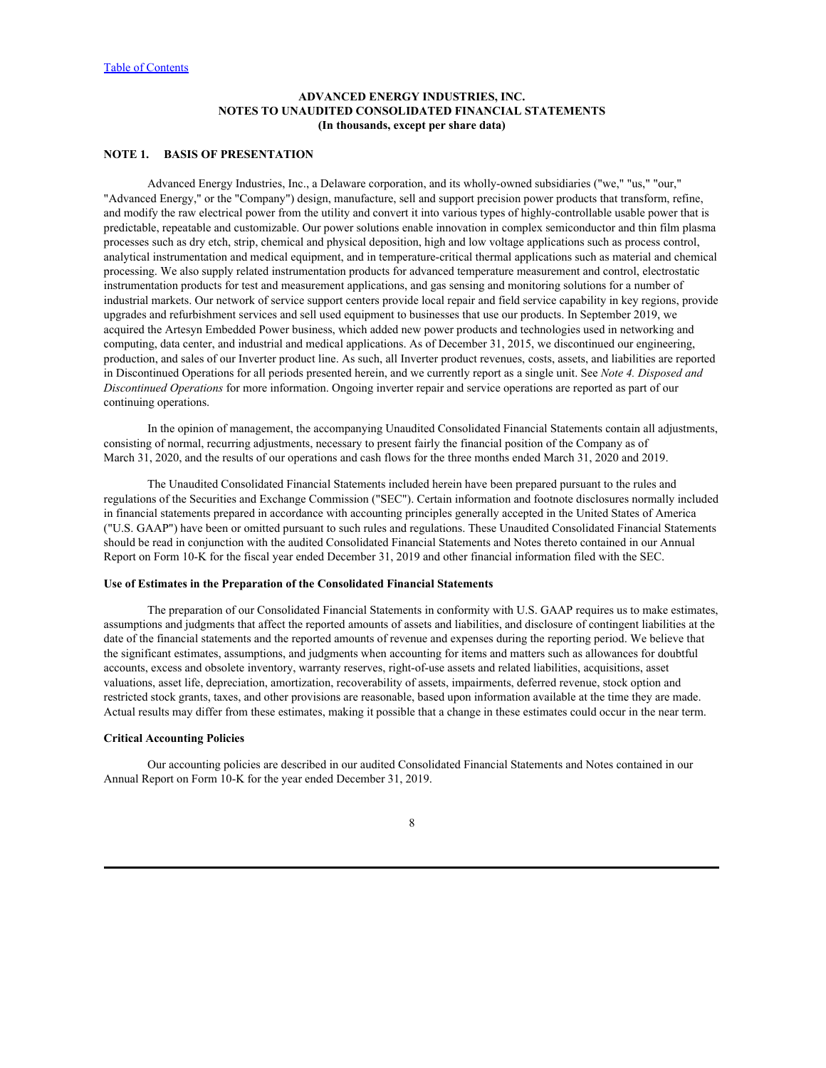# **ADVANCED ENERGY INDUSTRIES, INC. NOTES TO UNAUDITED CONSOLIDATED FINANCIAL STATEMENTS (In thousands, except per share data)**

# <span id="page-7-0"></span>**NOTE 1. BASIS OF PRESENTATION**

Advanced Energy Industries, Inc., a Delaware corporation, and its wholly-owned subsidiaries ("we," "us," "our," "Advanced Energy," or the "Company") design, manufacture, sell and support precision power products that transform, refine, and modify the raw electrical power from the utility and convert it into various types of highly-controllable usable power that is predictable, repeatable and customizable. Our power solutions enable innovation in complex semiconductor and thin film plasma processes such as dry etch, strip, chemical and physical deposition, high and low voltage applications such as process control, analytical instrumentation and medical equipment, and in temperature-critical thermal applications such as material and chemical processing. We also supply related instrumentation products for advanced temperature measurement and control, electrostatic instrumentation products for test and measurement applications, and gas sensing and monitoring solutions for a number of industrial markets. Our network of service support centers provide local repair and field service capability in key regions, provide upgrades and refurbishment services and sell used equipment to businesses that use our products. In September 2019, we acquired the Artesyn Embedded Power business, which added new power products and technologies used in networking and computing, data center, and industrial and medical applications. As of December 31, 2015, we discontinued our engineering, production, and sales of our Inverter product line. As such, all Inverter product revenues, costs, assets, and liabilities are reported in Discontinued Operations for all periods presented herein, and we currently report as a single unit. See *Note 4. Disposed and Discontinued Operations* for more information. Ongoing inverter repair and service operations are reported as part of our continuing operations.

In the opinion of management, the accompanying Unaudited Consolidated Financial Statements contain all adjustments, consisting of normal, recurring adjustments, necessary to present fairly the financial position of the Company as of March 31, 2020, and the results of our operations and cash flows for the three months ended March 31, 2020 and 2019.

The Unaudited Consolidated Financial Statements included herein have been prepared pursuant to the rules and regulations of the Securities and Exchange Commission ("SEC"). Certain information and footnote disclosures normally included in financial statements prepared in accordance with accounting principles generally accepted in the United States of America ("U.S. GAAP") have been or omitted pursuant to such rules and regulations. These Unaudited Consolidated Financial Statements should be read in conjunction with the audited Consolidated Financial Statements and Notes thereto contained in our Annual Report on Form 10-K for the fiscal year ended December 31, 2019 and other financial information filed with the SEC.

# **Use of Estimates in the Preparation of the Consolidated Financial Statements**

The preparation of our Consolidated Financial Statements in conformity with U.S. GAAP requires us to make estimates, assumptions and judgments that affect the reported amounts of assets and liabilities, and disclosure of contingent liabilities at the date of the financial statements and the reported amounts of revenue and expenses during the reporting period. We believe that the significant estimates, assumptions, and judgments when accounting for items and matters such as allowances for doubtful accounts, excess and obsolete inventory, warranty reserves, right-of-use assets and related liabilities, acquisitions, asset valuations, asset life, depreciation, amortization, recoverability of assets, impairments, deferred revenue, stock option and restricted stock grants, taxes, and other provisions are reasonable, based upon information available at the time they are made. Actual results may differ from these estimates, making it possible that a change in these estimates could occur in the near term.

### **Critical Accounting Policies**

Our accounting policies are described in our audited Consolidated Financial Statements and Notes contained in our Annual Report on Form 10-K for the year ended December 31, 2019.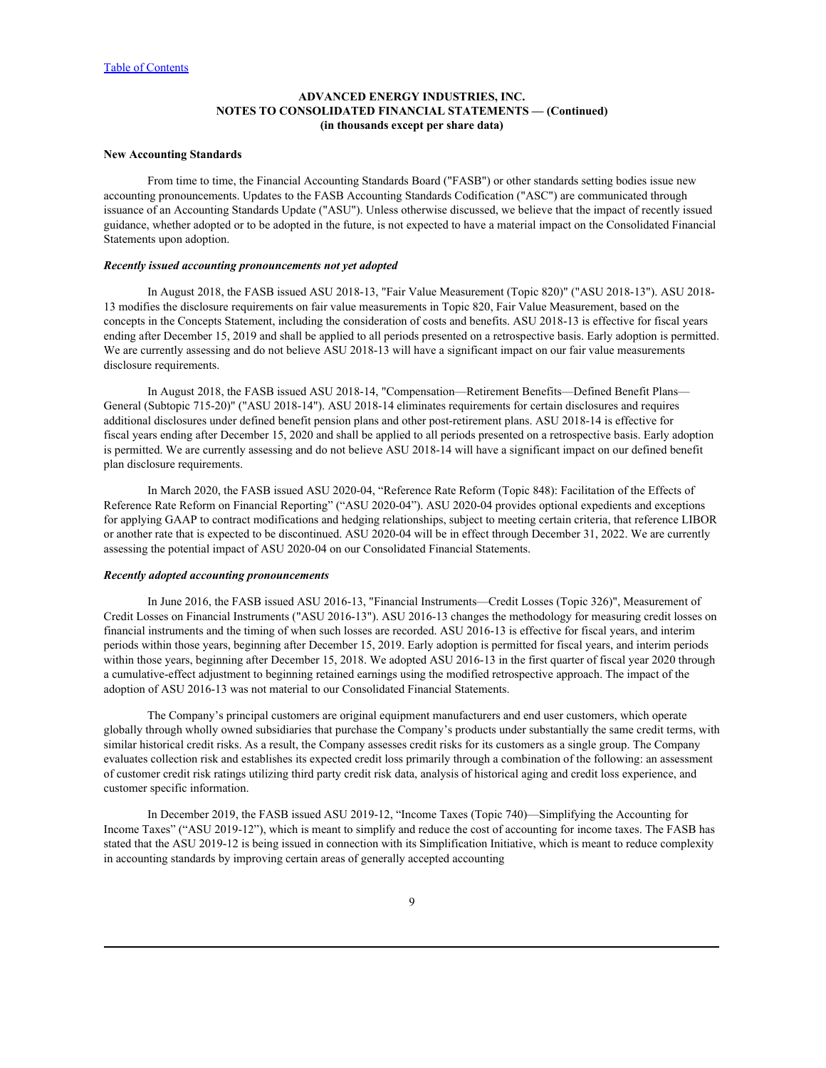### **New Accounting Standards**

From time to time, the Financial Accounting Standards Board ("FASB") or other standards setting bodies issue new accounting pronouncements. Updates to the FASB Accounting Standards Codification ("ASC") are communicated through issuance of an Accounting Standards Update ("ASU"). Unless otherwise discussed, we believe that the impact of recently issued guidance, whether adopted or to be adopted in the future, is not expected to have a material impact on the Consolidated Financial Statements upon adoption.

#### *Recently issued accounting pronouncements not yet adopted*

In August 2018, the FASB issued ASU 2018-13, "Fair Value Measurement (Topic 820)" ("ASU 2018-13"). ASU 2018- 13 modifies the disclosure requirements on fair value measurements in Topic 820, Fair Value Measurement, based on the concepts in the Concepts Statement, including the consideration of costs and benefits. ASU 2018-13 is effective for fiscal years ending after December 15, 2019 and shall be applied to all periods presented on a retrospective basis. Early adoption is permitted. We are currently assessing and do not believe ASU 2018-13 will have a significant impact on our fair value measurements disclosure requirements.

In August 2018, the FASB issued ASU 2018-14, "Compensation—Retirement Benefits—Defined Benefit Plans— General (Subtopic 715-20)" ("ASU 2018-14"). ASU 2018-14 eliminates requirements for certain disclosures and requires additional disclosures under defined benefit pension plans and other post-retirement plans. ASU 2018-14 is effective for fiscal years ending after December 15, 2020 and shall be applied to all periods presented on a retrospective basis. Early adoption is permitted. We are currently assessing and do not believe ASU 2018-14 will have a significant impact on our defined benefit plan disclosure requirements.

In March 2020, the FASB issued ASU 2020-04, "Reference Rate Reform (Topic 848): Facilitation of the Effects of Reference Rate Reform on Financial Reporting" ("ASU 2020-04"). ASU 2020-04 provides optional expedients and exceptions for applying GAAP to contract modifications and hedging relationships, subject to meeting certain criteria, that reference LIBOR or another rate that is expected to be discontinued. ASU 2020-04 will be in effect through December 31, 2022. We are currently assessing the potential impact of ASU 2020-04 on our Consolidated Financial Statements.

### *Recently adopted accounting pronouncements*

In June 2016, the FASB issued ASU 2016-13, "Financial Instruments—Credit Losses (Topic 326)", Measurement of Credit Losses on Financial Instruments ("ASU 2016-13"). ASU 2016-13 changes the methodology for measuring credit losses on financial instruments and the timing of when such losses are recorded. ASU 2016-13 is effective for fiscal years, and interim periods within those years, beginning after December 15, 2019. Early adoption is permitted for fiscal years, and interim periods within those years, beginning after December 15, 2018. We adopted ASU 2016-13 in the first quarter of fiscal year 2020 through a cumulative-effect adjustment to beginning retained earnings using the modified retrospective approach. The impact of the adoption of ASU 2016-13 was not material to our Consolidated Financial Statements.

The Company's principal customers are original equipment manufacturers and end user customers, which operate globally through wholly owned subsidiaries that purchase the Company's products under substantially the same credit terms, with similar historical credit risks. As a result, the Company assesses credit risks for its customers as a single group. The Company evaluates collection risk and establishes its expected credit loss primarily through a combination of the following: an assessment of customer credit risk ratings utilizing third party credit risk data, analysis of historical aging and credit loss experience, and customer specific information.

In December 2019, the FASB issued ASU 2019-12, "Income Taxes (Topic 740)—Simplifying the Accounting for Income Taxes" ("ASU 2019-12"), which is meant to simplify and reduce the cost of accounting for income taxes. The FASB has stated that the ASU 2019-12 is being issued in connection with its Simplification Initiative, which is meant to reduce complexity in accounting standards by improving certain areas of generally accepted accounting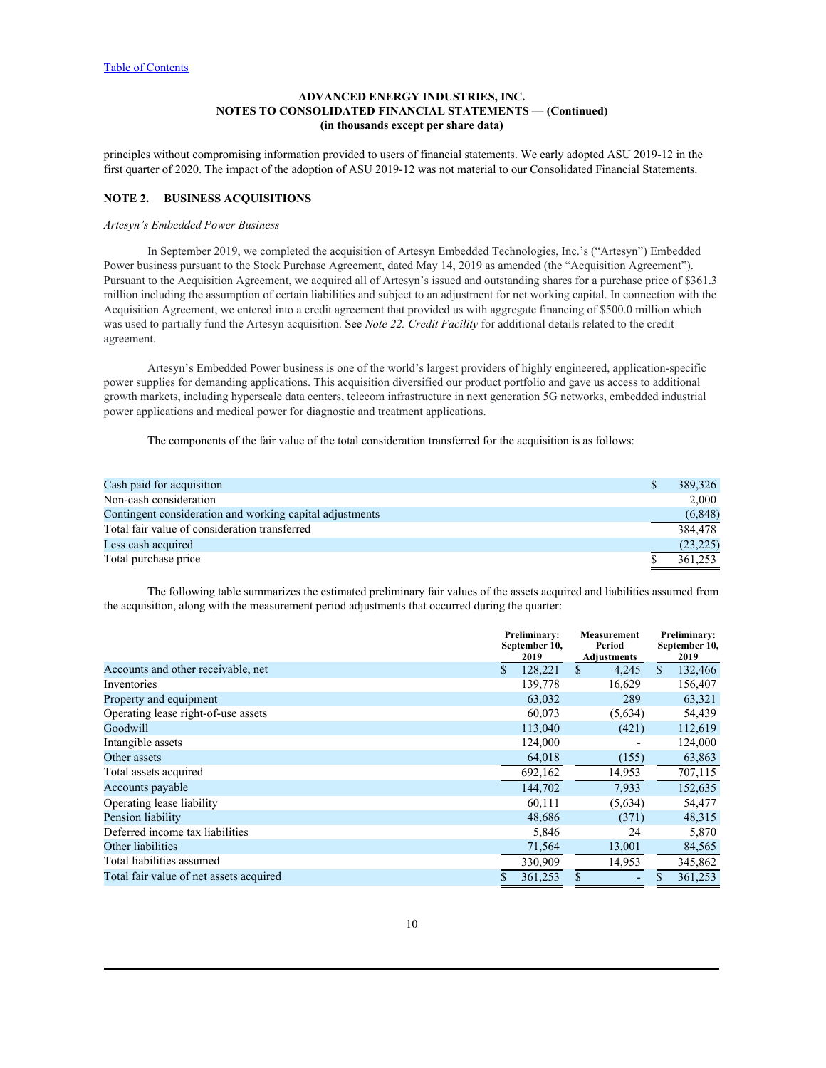principles without compromising information provided to users of financial statements. We early adopted ASU 2019-12 in the first quarter of 2020. The impact of the adoption of ASU 2019-12 was not material to our Consolidated Financial Statements.

### **NOTE 2. BUSINESS ACQUISITIONS**

# *Artesyn's Embedded Power Business*

In September 2019, we completed the acquisition of Artesyn Embedded Technologies, Inc.'s ("Artesyn") Embedded Power business pursuant to the Stock Purchase Agreement, dated May 14, 2019 as amended (the "Acquisition Agreement"). Pursuant to the Acquisition Agreement, we acquired all of Artesyn's issued and outstanding shares for a purchase price of \$361.3 million including the assumption of certain liabilities and subject to an adjustment for net working capital. In connection with the Acquisition Agreement, we entered into a credit agreement that provided us with aggregate financing of \$500.0 million which was used to partially fund the Artesyn acquisition. See *Note 22. Credit Facility* for additional details related to the credit agreement.

Artesyn's Embedded Power business is one of the world's largest providers of highly engineered, application-specific power supplies for demanding applications. This acquisition diversified our product portfolio and gave us access to additional growth markets, including hyperscale data centers, telecom infrastructure in next generation 5G networks, embedded industrial power applications and medical power for diagnostic and treatment applications.

The components of the fair value of the total consideration transferred for the acquisition is as follows:

| 389,326   |
|-----------|
| 2,000     |
| (6, 848)  |
| 384,478   |
| (23, 225) |
| 361,253   |
|           |

The following table summarizes the estimated preliminary fair values of the assets acquired and liabilities assumed from the acquisition, along with the measurement period adjustments that occurred during the quarter:

|                                         | Preliminary:<br>September 10,<br>2019 | Measurement<br>Period<br><b>Adjustments</b> | Preliminary:<br>September 10,<br>2019 |
|-----------------------------------------|---------------------------------------|---------------------------------------------|---------------------------------------|
| Accounts and other receivable, net      | 128,221                               | 4,245                                       | 132,466                               |
| Inventories                             | 139,778                               | 16,629                                      | 156,407                               |
| Property and equipment                  | 63,032                                | 289                                         | 63,321                                |
| Operating lease right-of-use assets     | 60,073                                | (5,634)                                     | 54,439                                |
| Goodwill                                | 113,040                               | (421)                                       | 112,619                               |
| Intangible assets                       | 124,000                               |                                             | 124,000                               |
| Other assets                            | 64,018                                | (155)                                       | 63,863                                |
| Total assets acquired                   | 692,162                               | 14,953                                      | 707,115                               |
| Accounts payable                        | 144,702                               | 7,933                                       | 152,635                               |
| Operating lease liability               | 60,111                                | (5,634)                                     | 54,477                                |
| Pension liability                       | 48,686                                | (371)                                       | 48,315                                |
| Deferred income tax liabilities         | 5,846                                 | 24                                          | 5,870                                 |
| Other liabilities                       | 71,564                                | 13,001                                      | 84,565                                |
| Total liabilities assumed               | 330,909                               | 14,953                                      | 345,862                               |
| Total fair value of net assets acquired | 361,253                               | $\overline{\phantom{a}}$                    | 361,253                               |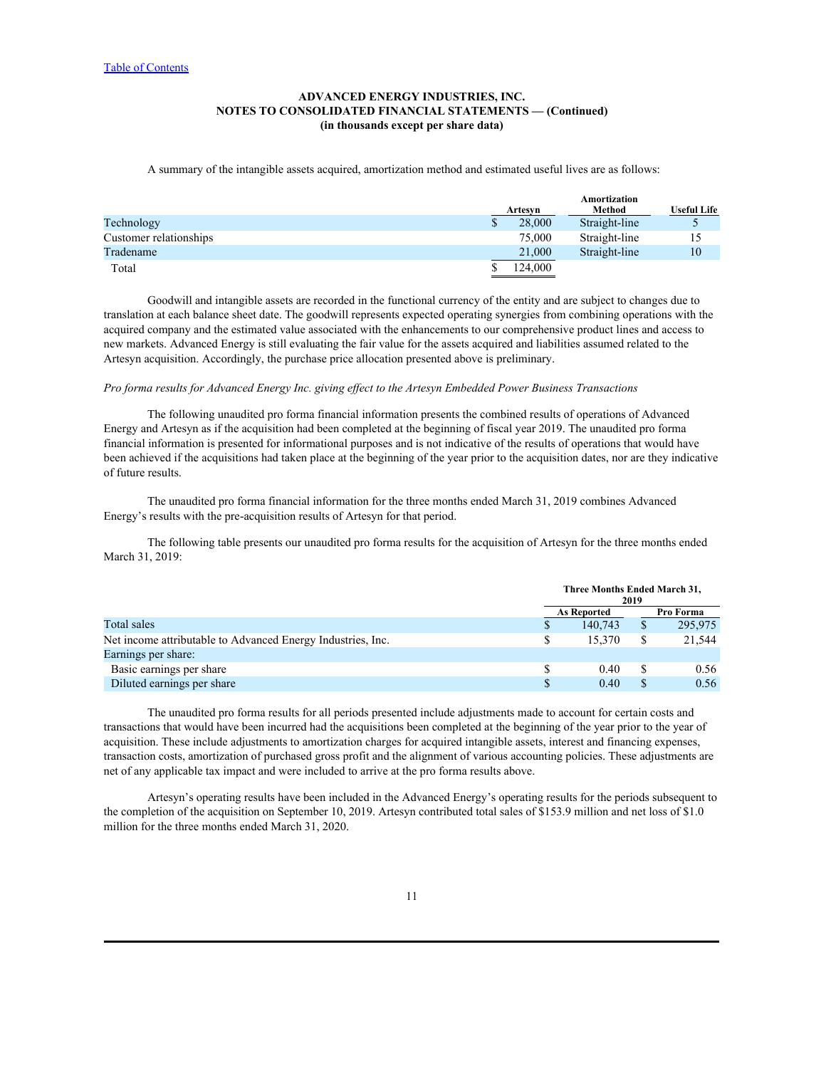A summary of the intangible assets acquired, amortization method and estimated useful lives are as follows:

| Amortization |         |               |                    |  |  |
|--------------|---------|---------------|--------------------|--|--|
| Artesyn      |         | Method        | <b>Useful Life</b> |  |  |
|              | 28,000  | Straight-line |                    |  |  |
|              | 75,000  | Straight-line | $\overline{ }$     |  |  |
|              | 21,000  | Straight-line | 10                 |  |  |
|              | 124,000 |               |                    |  |  |
|              |         |               |                    |  |  |

Goodwill and intangible assets are recorded in the functional currency of the entity and are subject to changes due to translation at each balance sheet date. The goodwill represents expected operating synergies from combining operations with the acquired company and the estimated value associated with the enhancements to our comprehensive product lines and access to new markets. Advanced Energy is still evaluating the fair value for the assets acquired and liabilities assumed related to the Artesyn acquisition. Accordingly, the purchase price allocation presented above is preliminary.

#### *Pro forma results for Advanced Energy Inc. giving effect to the Artesyn Embedded Power Business Transactions*

The following unaudited pro forma financial information presents the combined results of operations of Advanced Energy and Artesyn as if the acquisition had been completed at the beginning of fiscal year 2019. The unaudited pro forma financial information is presented for informational purposes and is not indicative of the results of operations that would have been achieved if the acquisitions had taken place at the beginning of the year prior to the acquisition dates, nor are they indicative of future results.

The unaudited pro forma financial information for the three months ended March 31, 2019 combines Advanced Energy's results with the pre-acquisition results of Artesyn for that period.

The following table presents our unaudited pro forma results for the acquisition of Artesyn for the three months ended March 31, 2019:

|                                                             | Three Months Ended March 31,<br>2019 |  |           |  |  |
|-------------------------------------------------------------|--------------------------------------|--|-----------|--|--|
|                                                             | <b>As Reported</b>                   |  | Pro Forma |  |  |
| Total sales                                                 | 140,743                              |  | 295,975   |  |  |
| Net income attributable to Advanced Energy Industries, Inc. | 15,370                               |  | 21,544    |  |  |
| Earnings per share:                                         |                                      |  |           |  |  |
| Basic earnings per share                                    | 0.40                                 |  | 0.56      |  |  |
| Diluted earnings per share                                  | 0.40                                 |  | 0.56      |  |  |

The unaudited pro forma results for all periods presented include adjustments made to account for certain costs and transactions that would have been incurred had the acquisitions been completed at the beginning of the year prior to the year of acquisition. These include adjustments to amortization charges for acquired intangible assets, interest and financing expenses, transaction costs, amortization of purchased gross profit and the alignment of various accounting policies. These adjustments are net of any applicable tax impact and were included to arrive at the pro forma results above.

Artesyn's operating results have been included in the Advanced Energy's operating results for the periods subsequent to the completion of the acquisition on September 10, 2019. Artesyn contributed total sales of \$153.9 million and net loss of \$1.0 million for the three months ended March 31, 2020.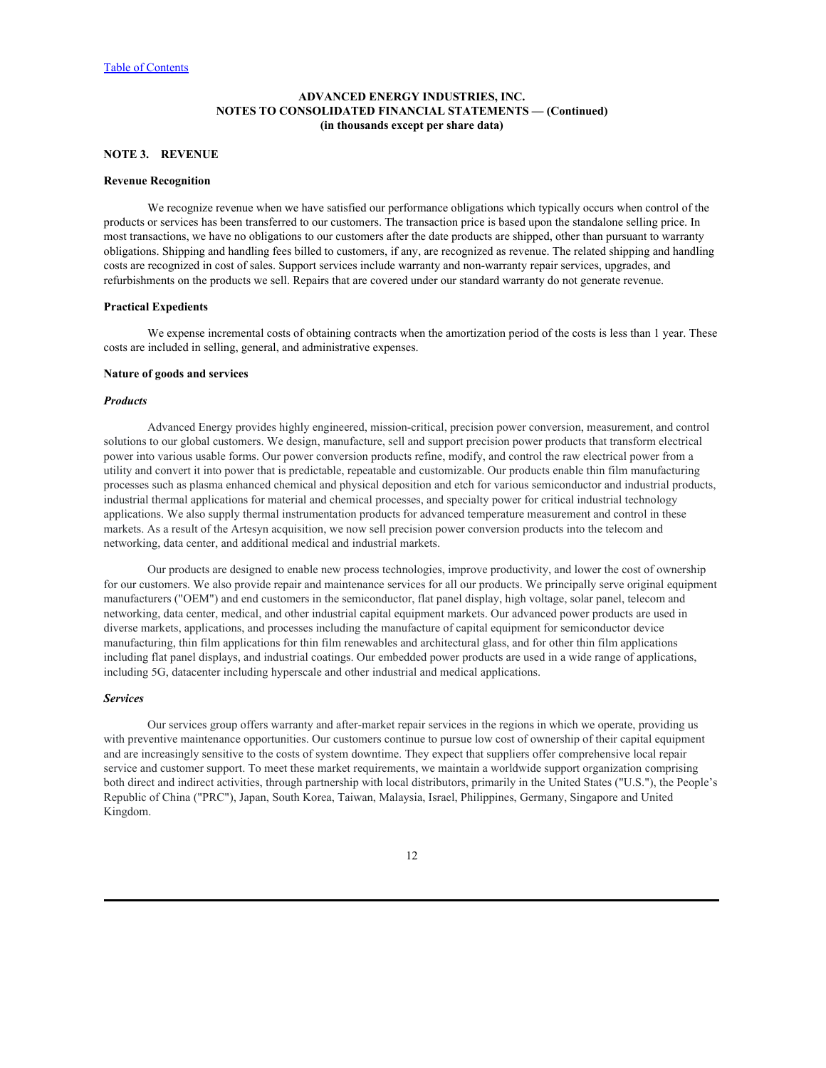# **NOTE 3. REVENUE**

#### **Revenue Recognition**

We recognize revenue when we have satisfied our performance obligations which typically occurs when control of the products or services has been transferred to our customers. The transaction price is based upon the standalone selling price. In most transactions, we have no obligations to our customers after the date products are shipped, other than pursuant to warranty obligations. Shipping and handling fees billed to customers, if any, are recognized as revenue. The related shipping and handling costs are recognized in cost of sales. Support services include warranty and non-warranty repair services, upgrades, and refurbishments on the products we sell. Repairs that are covered under our standard warranty do not generate revenue.

#### **Practical Expedients**

We expense incremental costs of obtaining contracts when the amortization period of the costs is less than 1 year. These costs are included in selling, general, and administrative expenses.

#### **Nature of goods and services**

#### *Products*

Advanced Energy provides highly engineered, mission-critical, precision power conversion, measurement, and control solutions to our global customers. We design, manufacture, sell and support precision power products that transform electrical power into various usable forms. Our power conversion products refine, modify, and control the raw electrical power from a utility and convert it into power that is predictable, repeatable and customizable. Our products enable thin film manufacturing processes such as plasma enhanced chemical and physical deposition and etch for various semiconductor and industrial products, industrial thermal applications for material and chemical processes, and specialty power for critical industrial technology applications. We also supply thermal instrumentation products for advanced temperature measurement and control in these markets. As a result of the Artesyn acquisition, we now sell precision power conversion products into the telecom and networking, data center, and additional medical and industrial markets.

Our products are designed to enable new process technologies, improve productivity, and lower the cost of ownership for our customers. We also provide repair and maintenance services for all our products. We principally serve original equipment manufacturers ("OEM") and end customers in the semiconductor, flat panel display, high voltage, solar panel, telecom and networking, data center, medical, and other industrial capital equipment markets. Our advanced power products are used in diverse markets, applications, and processes including the manufacture of capital equipment for semiconductor device manufacturing, thin film applications for thin film renewables and architectural glass, and for other thin film applications including flat panel displays, and industrial coatings. Our embedded power products are used in a wide range of applications, including 5G, datacenter including hyperscale and other industrial and medical applications.

# *Services*

Our services group offers warranty and after-market repair services in the regions in which we operate, providing us with preventive maintenance opportunities. Our customers continue to pursue low cost of ownership of their capital equipment and are increasingly sensitive to the costs of system downtime. They expect that suppliers offer comprehensive local repair service and customer support. To meet these market requirements, we maintain a worldwide support organization comprising both direct and indirect activities, through partnership with local distributors, primarily in the United States ("U.S."), the People's Republic of China ("PRC"), Japan, South Korea, Taiwan, Malaysia, Israel, Philippines, Germany, Singapore and United Kingdom.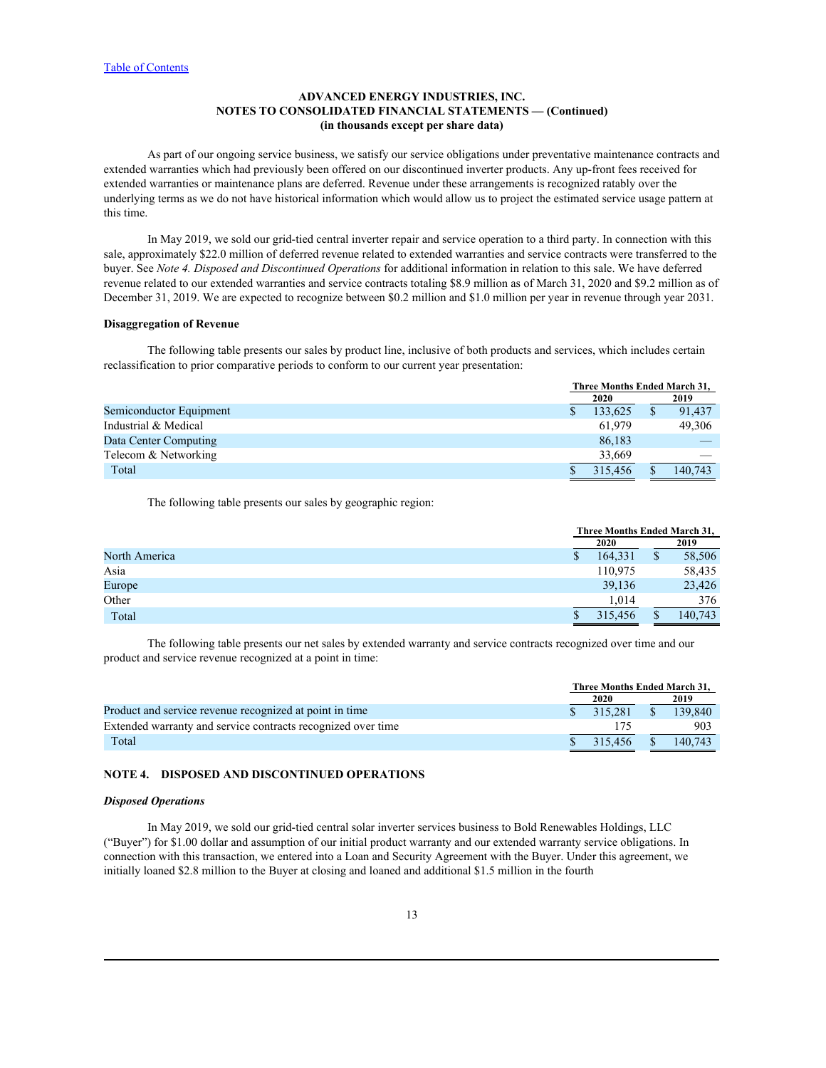As part of our ongoing service business, we satisfy our service obligations under preventative maintenance contracts and extended warranties which had previously been offered on our discontinued inverter products. Any up-front fees received for extended warranties or maintenance plans are deferred. Revenue under these arrangements is recognized ratably over the underlying terms as we do not have historical information which would allow us to project the estimated service usage pattern at this time.

In May 2019, we sold our grid-tied central inverter repair and service operation to a third party. In connection with this sale, approximately \$22.0 million of deferred revenue related to extended warranties and service contracts were transferred to the buyer. See *Note 4. Disposed and Discontinued Operations* for additional information in relation to this sale. We have deferred revenue related to our extended warranties and service contracts totaling \$8.9 million as of March 31, 2020 and \$9.2 million as of December 31, 2019. We are expected to recognize between \$0.2 million and \$1.0 million per year in revenue through year 2031.

#### **Disaggregation of Revenue**

The following table presents our sales by product line, inclusive of both products and services, which includes certain reclassification to prior comparative periods to conform to our current year presentation:

|                         | Three Months Ended March 31, |                                |
|-------------------------|------------------------------|--------------------------------|
|                         | 2020                         | 2019                           |
| Semiconductor Equipment | 133,625                      | 91,437                         |
| Industrial & Medical    | 61,979                       | 49,306                         |
| Data Center Computing   | 86,183                       |                                |
| Telecom & Networking    | 33,669                       | $\overbrace{\hspace{25mm}}^{}$ |
| Total                   | 315,456                      | 140,743                        |

The following table presents our sales by geographic region:

| 2020    | 2019                         |
|---------|------------------------------|
| 164,331 | 58,506                       |
| 110,975 | 58,435                       |
| 39,136  | 23,426                       |
| 1,014   | 376                          |
| 315,456 | 140,743                      |
|         | Three Months Ended March 31, |

The following table presents our net sales by extended warranty and service contracts recognized over time and our product and service revenue recognized at a point in time:

|                                                              | Three Months Ended March 31. |         |
|--------------------------------------------------------------|------------------------------|---------|
|                                                              | 2020                         | 2019    |
| Product and service revenue recognized at point in time      | 315.281                      | 139,840 |
| Extended warranty and service contracts recognized over time |                              | 903     |
| Total                                                        | 315.456                      | 140.743 |

### **NOTE 4. DISPOSED AND DISCONTINUED OPERATIONS**

# *Disposed Operations*

In May 2019, we sold our grid-tied central solar inverter services business to Bold Renewables Holdings, LLC ("Buyer") for \$1.00 dollar and assumption of our initial product warranty and our extended warranty service obligations. In connection with this transaction, we entered into a Loan and Security Agreement with the Buyer. Under this agreement, we initially loaned \$2.8 million to the Buyer at closing and loaned and additional \$1.5 million in the fourth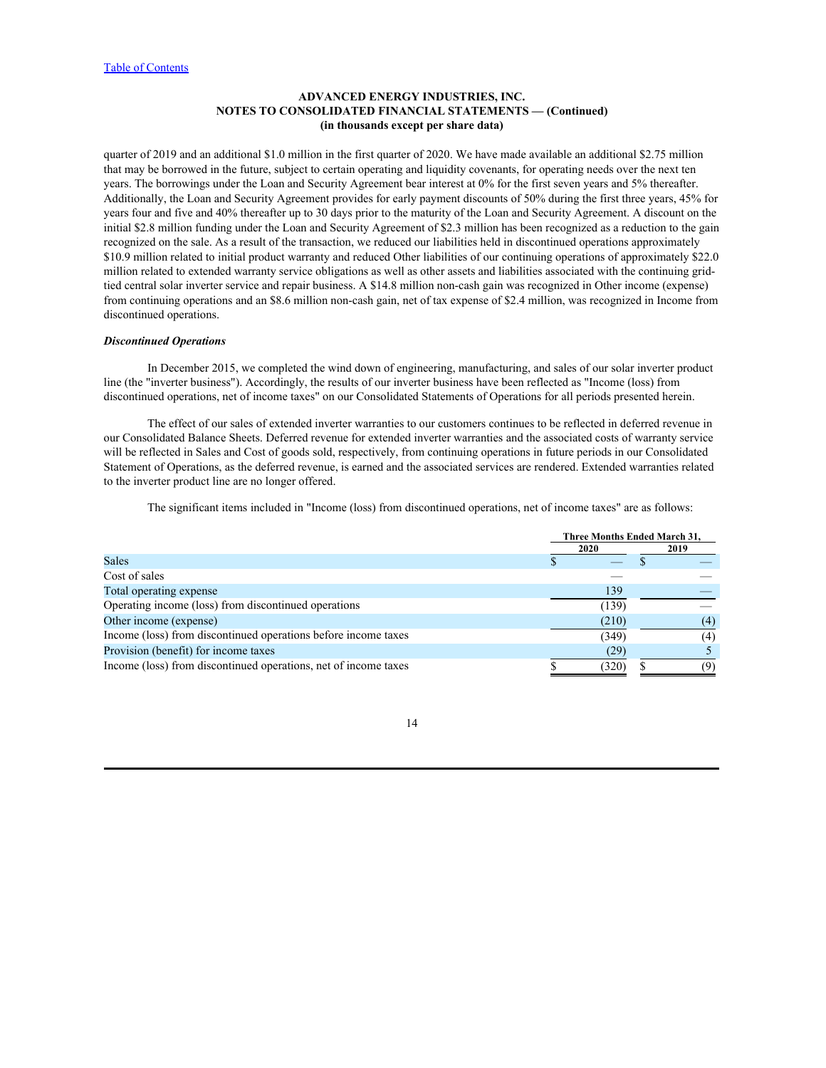quarter of 2019 and an additional \$1.0 million in the first quarter of 2020. We have made available an additional \$2.75 million that may be borrowed in the future, subject to certain operating and liquidity covenants, for operating needs over the next ten years. The borrowings under the Loan and Security Agreement bear interest at 0% for the first seven years and 5% thereafter. Additionally, the Loan and Security Agreement provides for early payment discounts of 50% during the first three years, 45% for years four and five and 40% thereafter up to 30 days prior to the maturity of the Loan and Security Agreement. A discount on the initial \$2.8 million funding under the Loan and Security Agreement of \$2.3 million has been recognized as a reduction to the gain recognized on the sale. As a result of the transaction, we reduced our liabilities held in discontinued operations approximately \$10.9 million related to initial product warranty and reduced Other liabilities of our continuing operations of approximately \$22.0 million related to extended warranty service obligations as well as other assets and liabilities associated with the continuing gridtied central solar inverter service and repair business. A \$14.8 million non-cash gain was recognized in Other income (expense) from continuing operations and an \$8.6 million non-cash gain, net of tax expense of \$2.4 million, was recognized in Income from discontinued operations.

#### *Discontinued Operations*

In December 2015, we completed the wind down of engineering, manufacturing, and sales of our solar inverter product line (the "inverter business"). Accordingly, the results of our inverter business have been reflected as "Income (loss) from discontinued operations, net of income taxes" on our Consolidated Statements of Operations for all periods presented herein.

The effect of our sales of extended inverter warranties to our customers continues to be reflected in deferred revenue in our Consolidated Balance Sheets. Deferred revenue for extended inverter warranties and the associated costs of warranty service will be reflected in Sales and Cost of goods sold, respectively, from continuing operations in future periods in our Consolidated Statement of Operations, as the deferred revenue, is earned and the associated services are rendered. Extended warranties related to the inverter product line are no longer offered.

The significant items included in "Income (loss) from discontinued operations, net of income taxes" are as follows:

|                                                                 | Three Months Ended March 31, |      |
|-----------------------------------------------------------------|------------------------------|------|
|                                                                 | <b>2020</b>                  | 2019 |
| <b>Sales</b>                                                    |                              |      |
| Cost of sales                                                   |                              |      |
| Total operating expense                                         | .39                          |      |
| Operating income (loss) from discontinued operations            | (139)                        |      |
| Other income (expense)                                          | (210)                        |      |
| Income (loss) from discontinued operations before income taxes  | (349)                        |      |
| Provision (benefit) for income taxes                            | (29)                         |      |
| Income (loss) from discontinued operations, net of income taxes | (320)                        |      |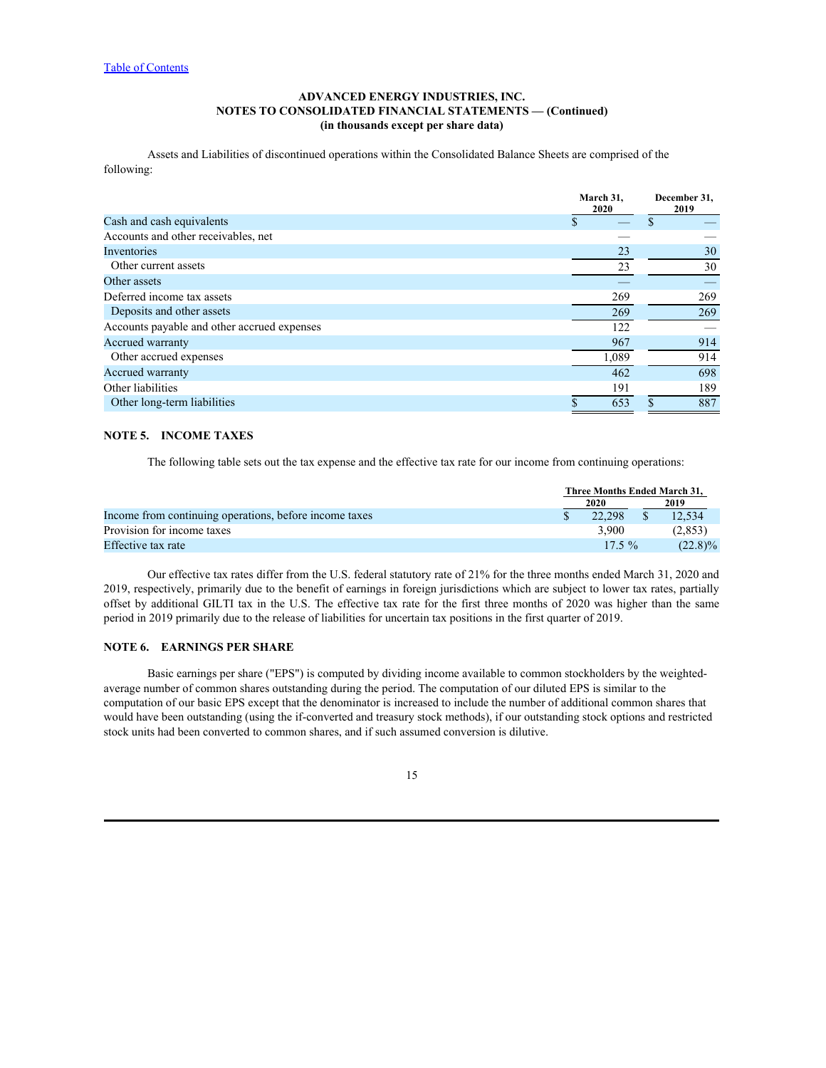Assets and Liabilities of discontinued operations within the Consolidated Balance Sheets are comprised of the following:

| 2020<br>2019<br>-S<br>23<br>30<br>23<br>30<br>269<br>269<br>269<br>269<br>122<br>967<br>914<br>914<br>1.089<br>462<br>698                                                                                                                                                                                                                                                                                                                                                                                                                                                                                                                                                 |
|---------------------------------------------------------------------------------------------------------------------------------------------------------------------------------------------------------------------------------------------------------------------------------------------------------------------------------------------------------------------------------------------------------------------------------------------------------------------------------------------------------------------------------------------------------------------------------------------------------------------------------------------------------------------------|
|                                                                                                                                                                                                                                                                                                                                                                                                                                                                                                                                                                                                                                                                           |
|                                                                                                                                                                                                                                                                                                                                                                                                                                                                                                                                                                                                                                                                           |
|                                                                                                                                                                                                                                                                                                                                                                                                                                                                                                                                                                                                                                                                           |
|                                                                                                                                                                                                                                                                                                                                                                                                                                                                                                                                                                                                                                                                           |
|                                                                                                                                                                                                                                                                                                                                                                                                                                                                                                                                                                                                                                                                           |
|                                                                                                                                                                                                                                                                                                                                                                                                                                                                                                                                                                                                                                                                           |
|                                                                                                                                                                                                                                                                                                                                                                                                                                                                                                                                                                                                                                                                           |
|                                                                                                                                                                                                                                                                                                                                                                                                                                                                                                                                                                                                                                                                           |
|                                                                                                                                                                                                                                                                                                                                                                                                                                                                                                                                                                                                                                                                           |
|                                                                                                                                                                                                                                                                                                                                                                                                                                                                                                                                                                                                                                                                           |
|                                                                                                                                                                                                                                                                                                                                                                                                                                                                                                                                                                                                                                                                           |
| 191<br>189                                                                                                                                                                                                                                                                                                                                                                                                                                                                                                                                                                                                                                                                |
| 887<br>653                                                                                                                                                                                                                                                                                                                                                                                                                                                                                                                                                                                                                                                                |
| Three Months Ended March 31,                                                                                                                                                                                                                                                                                                                                                                                                                                                                                                                                                                                                                                              |
| 22,298<br><sup>S</sup><br>12,534                                                                                                                                                                                                                                                                                                                                                                                                                                                                                                                                                                                                                                          |
| (2,853)                                                                                                                                                                                                                                                                                                                                                                                                                                                                                                                                                                                                                                                                   |
| $17.5\%$<br>$(22.8)\%$                                                                                                                                                                                                                                                                                                                                                                                                                                                                                                                                                                                                                                                    |
| The following table sets out the tax expense and the effective tax rate for our income from continuing operations:<br>2020<br>2019<br>3,900<br>Our effective tax rates differ from the U.S. federal statutory rate of 21% for the three months ended March 31, 2020 and<br>2019, respectively, primarily due to the benefit of earnings in foreign jurisdictions which are subject to lower tax rates, partially<br>offset by additional GILTI tax in the U.S. The effective tax rate for the first three months of 2020 was higher than the same<br>period in 2019 primarily due to the release of liabilities for uncertain tax positions in the first quarter of 2019. |

### **NOTE 5. INCOME TAXES**

|                                                        | Three Months Ended March 31, |  |            |  |  |
|--------------------------------------------------------|------------------------------|--|------------|--|--|
|                                                        | 2020                         |  | 2019       |  |  |
| Income from continuing operations, before income taxes | 22,298                       |  | 12,534     |  |  |
| Provision for income taxes                             | 3.900                        |  | (2, 853)   |  |  |
| Effective tax rate                                     | $17.5\%$                     |  | $(22.8)\%$ |  |  |

# **NOTE 6. EARNINGS PER SHARE**

Basic earnings per share ("EPS") is computed by dividing income available to common stockholders by the weightedaverage number of common shares outstanding during the period. The computation of our diluted EPS is similar to the computation of our basic EPS except that the denominator is increased to include the number of additional common shares that would have been outstanding (using the if-converted and treasury stock methods), if our outstanding stock options and restricted stock units had been converted to common shares, and if such assumed conversion is dilutive.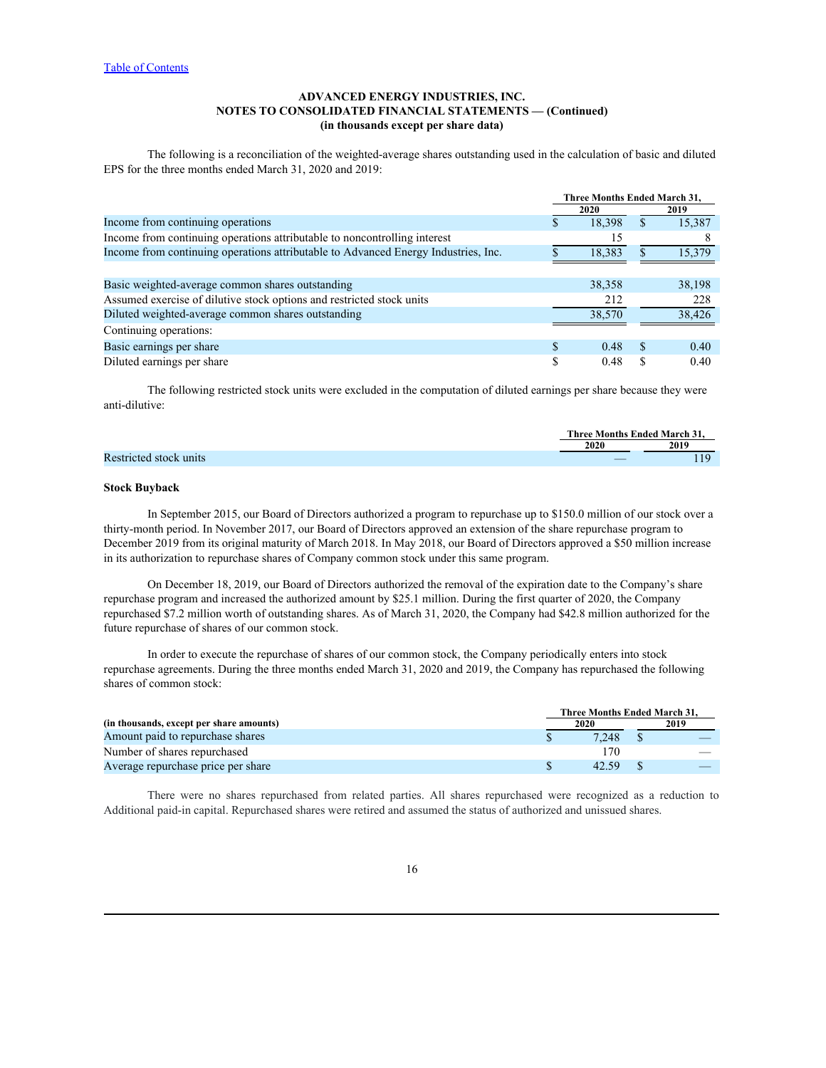The following is a reconciliation of the weighted-average shares outstanding used in the calculation of basic and diluted EPS for the three months ended March 31, 2020 and 2019:

|                                                                                    |        | Three Months Ended March 31, |        |  |
|------------------------------------------------------------------------------------|--------|------------------------------|--------|--|
|                                                                                    | 2020   |                              | 2019   |  |
| Income from continuing operations                                                  | 18,398 |                              | 15,387 |  |
| Income from continuing operations attributable to noncontrolling interest          |        |                              |        |  |
| Income from continuing operations attributable to Advanced Energy Industries, Inc. | 18,383 |                              | 15,379 |  |
|                                                                                    |        |                              |        |  |
| Basic weighted-average common shares outstanding                                   | 38.358 |                              | 38,198 |  |
| Assumed exercise of dilutive stock options and restricted stock units              | 212    |                              | 228    |  |
| Diluted weighted-average common shares outstanding                                 | 38.570 |                              | 38,426 |  |
| Continuing operations:                                                             |        |                              |        |  |
| Basic earnings per share                                                           | 0.48   |                              | 0.40   |  |
| Diluted earnings per share                                                         | 0.48   |                              | 0.40   |  |

|                        | Months<br>l hrec                                                                                                        | s Ended March 31. |
|------------------------|-------------------------------------------------------------------------------------------------------------------------|-------------------|
|                        | 2020                                                                                                                    | 2019              |
| Restricted stock units | $\mathcal{L}(\mathcal{L})$ and $\mathcal{L}(\mathcal{L})$ and $\mathcal{L}(\mathcal{L})$ and $\mathcal{L}(\mathcal{L})$ | 1 ດ<br>.          |

# **Stock Buyback**

| Dasit cariniigs per share                                                                                                                                                                                                                                                                                                                                                                                                                                                      |                                                     | V.7V |
|--------------------------------------------------------------------------------------------------------------------------------------------------------------------------------------------------------------------------------------------------------------------------------------------------------------------------------------------------------------------------------------------------------------------------------------------------------------------------------|-----------------------------------------------------|------|
| Diluted earnings per share                                                                                                                                                                                                                                                                                                                                                                                                                                                     | \$<br>0.48<br>- \$                                  | 0.40 |
| The following restricted stock units were excluded in the computation of diluted earnings per share because they were<br>anti-dilutive:                                                                                                                                                                                                                                                                                                                                        |                                                     |      |
|                                                                                                                                                                                                                                                                                                                                                                                                                                                                                | Three Months Ended March 31,<br>2020                | 2019 |
| Restricted stock units                                                                                                                                                                                                                                                                                                                                                                                                                                                         |                                                     | 119  |
| <b>Stock Buyback</b>                                                                                                                                                                                                                                                                                                                                                                                                                                                           |                                                     |      |
| In September 2015, our Board of Directors authorized a program to repurchase up to \$150.0 million of our stock over a<br>thirty-month period. In November 2017, our Board of Directors approved an extension of the share repurchase program to<br>December 2019 from its original maturity of March 2018. In May 2018, our Board of Directors approved a \$50 million increase<br>in its authorization to repurchase shares of Company common stock under this same program. |                                                     |      |
| On December 18, 2019, our Board of Directors authorized the removal of the expiration date to the Company's share<br>repurchase program and increased the authorized amount by \$25.1 million. During the first quarter of 2020, the Company<br>repurchased \$7.2 million worth of outstanding shares. As of March 31, 2020, the Company had \$42.8 million authorized for the<br>future repurchase of shares of our common stock.                                             |                                                     |      |
| In order to execute the repurchase of shares of our common stock, the Company periodically enters into stock<br>repurchase agreements. During the three months ended March 31, 2020 and 2019, the Company has repurchased the following<br>shares of common stock:                                                                                                                                                                                                             |                                                     |      |
| (in thousands, except per share amounts)                                                                                                                                                                                                                                                                                                                                                                                                                                       | Three Months Ended March 31,                        |      |
| Amount paid to repurchase shares                                                                                                                                                                                                                                                                                                                                                                                                                                               | 2020<br>7,248<br>$\mathbb{S}$<br>$\mathbf{\hat{s}}$ | 2019 |
| Number of shares repurchased                                                                                                                                                                                                                                                                                                                                                                                                                                                   | 170                                                 |      |
| Average repurchase price per share                                                                                                                                                                                                                                                                                                                                                                                                                                             | 42.59<br><sup>\$</sup><br>-S                        |      |
| There were no shares repurchased from related parties. All shares repurchased were recognized as a reduction to<br>Additional paid-in capital. Repurchased shares were retired and assumed the status of authorized and unissued shares.                                                                                                                                                                                                                                       |                                                     |      |
|                                                                                                                                                                                                                                                                                                                                                                                                                                                                                |                                                     |      |
| 16                                                                                                                                                                                                                                                                                                                                                                                                                                                                             |                                                     |      |
|                                                                                                                                                                                                                                                                                                                                                                                                                                                                                |                                                     |      |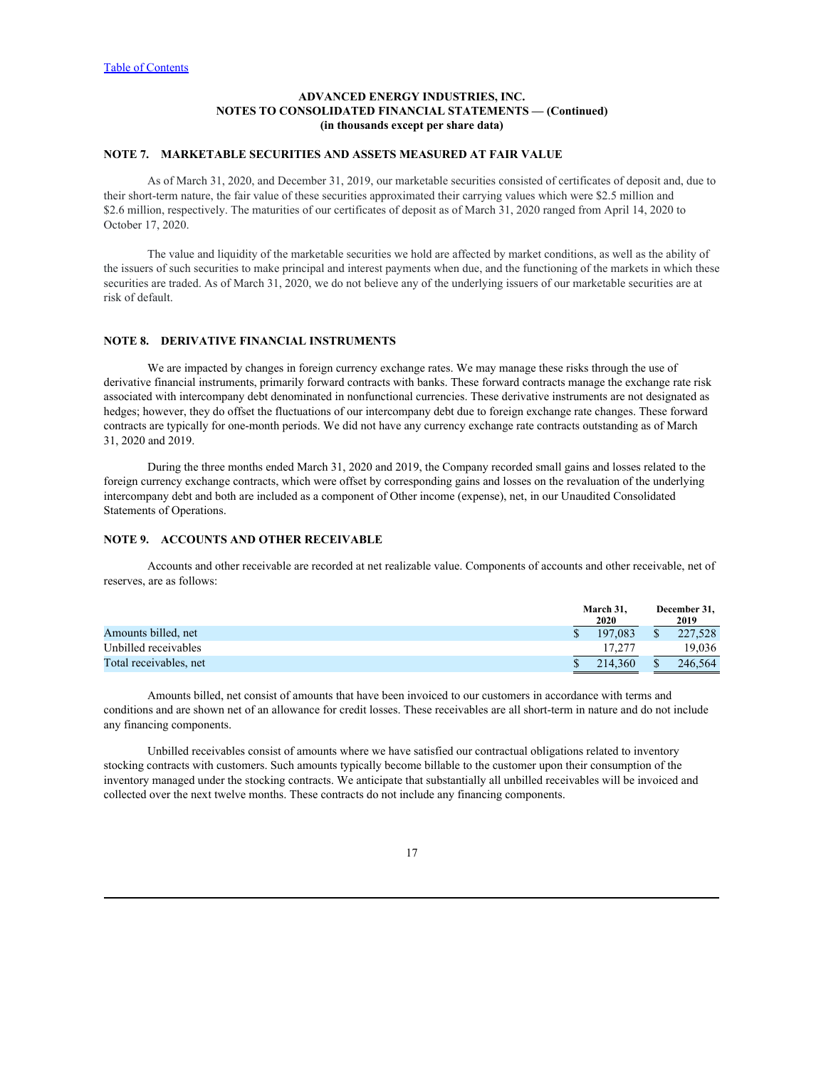# **NOTE 7. MARKETABLE SECURITIES AND ASSETS MEASURED AT FAIR VALUE**

As of March 31, 2020, and December 31, 2019, our marketable securities consisted of certificates of deposit and, due to their short-term nature, the fair value of these securities approximated their carrying values which were \$2.5 million and \$2.6 million, respectively. The maturities of our certificates of deposit as of March 31, 2020 ranged from April 14, 2020 to October 17, 2020.

The value and liquidity of the marketable securities we hold are affected by market conditions, as well as the ability of the issuers of such securities to make principal and interest payments when due, and the functioning of the markets in which these securities are traded. As of March 31, 2020, we do not believe any of the underlying issuers of our marketable securities are at risk of default.

# **NOTE 8. DERIVATIVE FINANCIAL INSTRUMENTS**

We are impacted by changes in foreign currency exchange rates. We may manage these risks through the use of derivative financial instruments, primarily forward contracts with banks. These forward contracts manage the exchange rate risk associated with intercompany debt denominated in nonfunctional currencies. These derivative instruments are not designated as hedges; however, they do offset the fluctuations of our intercompany debt due to foreign exchange rate changes. These forward contracts are typically for one-month periods. We did not have any currency exchange rate contracts outstanding as of March 31, 2020 and 2019.

During the three months ended March 31, 2020 and 2019, the Company recorded small gains and losses related to the foreign currency exchange contracts, which were offset by corresponding gains and losses on the revaluation of the underlying intercompany debt and both are included as a component of Other income (expense), net, in our Unaudited Consolidated Statements of Operations.

# **NOTE 9. ACCOUNTS AND OTHER RECEIVABLE**

Accounts and other receivable are recorded at net realizable value. Components of accounts and other receivable, net of reserves, are as follows:

|                        | March 31,<br>2020 | December 31,<br>2019 |
|------------------------|-------------------|----------------------|
| Amounts billed, net    | 197.083           | 227,528              |
| Unbilled receivables   | 17.277            | 19,036               |
| Total receivables, net | 214,360           | 246,564              |

Amounts billed, net consist of amounts that have been invoiced to our customers in accordance with terms and conditions and are shown net of an allowance for credit losses. These receivables are all short-term in nature and do not include any financing components.

Unbilled receivables consist of amounts where we have satisfied our contractual obligations related to inventory stocking contracts with customers. Such amounts typically become billable to the customer upon their consumption of the inventory managed under the stocking contracts. We anticipate that substantially all unbilled receivables will be invoiced and collected over the next twelve months. These contracts do not include any financing components.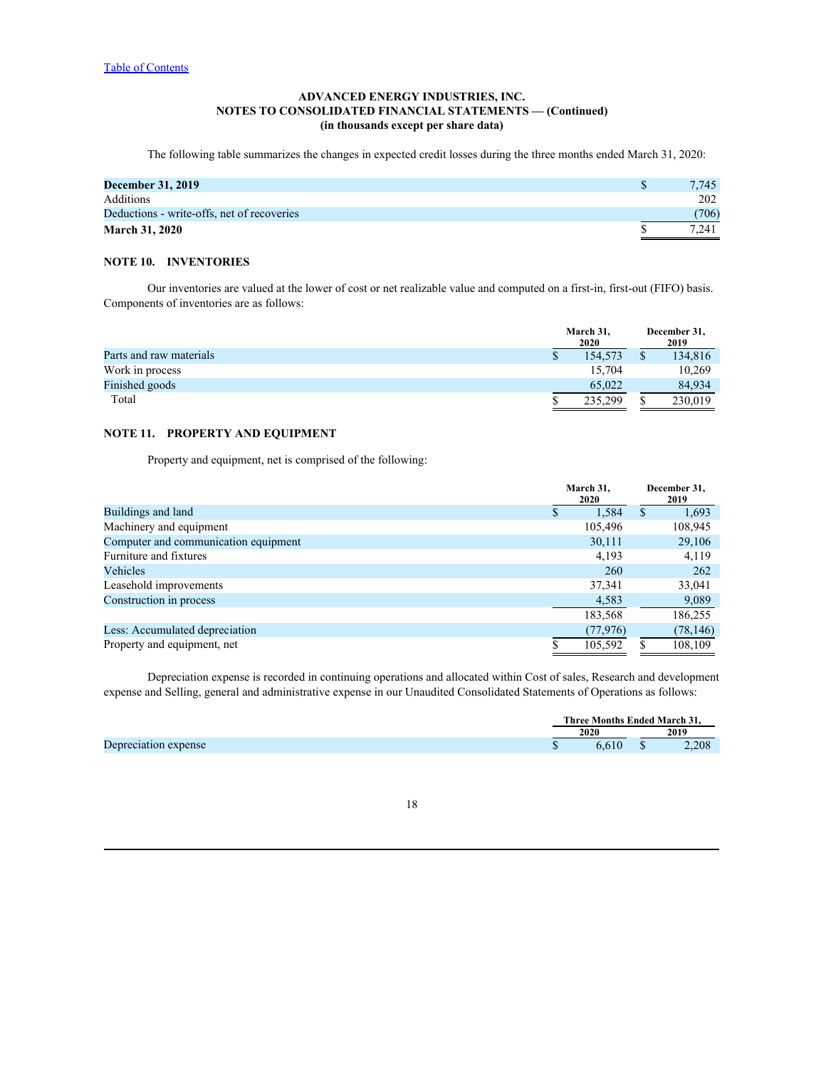The following table summarizes the changes in expected credit losses during the three months ended March 31, 2020:

| <b>December 31, 2019</b>                   | 7,745 |
|--------------------------------------------|-------|
| Additions                                  | 202   |
| Deductions - write-offs, net of recoveries | (706) |
| <b>March 31, 2020</b>                      | 7,241 |
|                                            |       |

# **NOTE 10. INVENTORIES**

Our inventories are valued at the lower of cost or net realizable value and computed on a first-in, first-out (FIFO) basis. Components of inventories are as follows:

|                         | March 31,<br>2020 | December 31,<br>2019 |
|-------------------------|-------------------|----------------------|
| Parts and raw materials | 154,573           | 134,816              |
| Work in process         | 15,704            | 10,269               |
| Finished goods          | 65,022            | 84,934               |
| Total                   | 235,299           | 230,019              |

# **NOTE 11. PROPERTY AND EQUIPMENT**

Property and equipment, net is comprised of the following:

|                                      | March 31,<br><b>2020</b> | December 31,<br>2019 |
|--------------------------------------|--------------------------|----------------------|
| Buildings and land                   | 1,584                    | 1,693                |
| Machinery and equipment              | 105,496                  | 108,945              |
| Computer and communication equipment | 30,111                   | 29,106               |
| Furniture and fixtures               | 4,193                    | 4,119                |
| Vehicles                             | 260                      | 262                  |
| Leasehold improvements               | 37,341                   | 33,041               |
| Construction in process              | 4,583                    | 9,089                |
|                                      | 183,568                  | 186,255              |
| Less: Accumulated depreciation       | (77, 976)                | (78, 146)            |
| Property and equipment, net          | 105,592                  | 108,109              |

Depreciation expense is recorded in continuing operations and allocated within Cost of sales, Research and development expense and Selling, general and administrative expense in our Unaudited Consolidated Statements of Operations as follows:

|                           | Three Months | <b>Ended March 31.</b> |       |  |
|---------------------------|--------------|------------------------|-------|--|
|                           | 2020         |                        | 2019  |  |
| Depreciation<br>i expense | 6.610        |                        | 2,208 |  |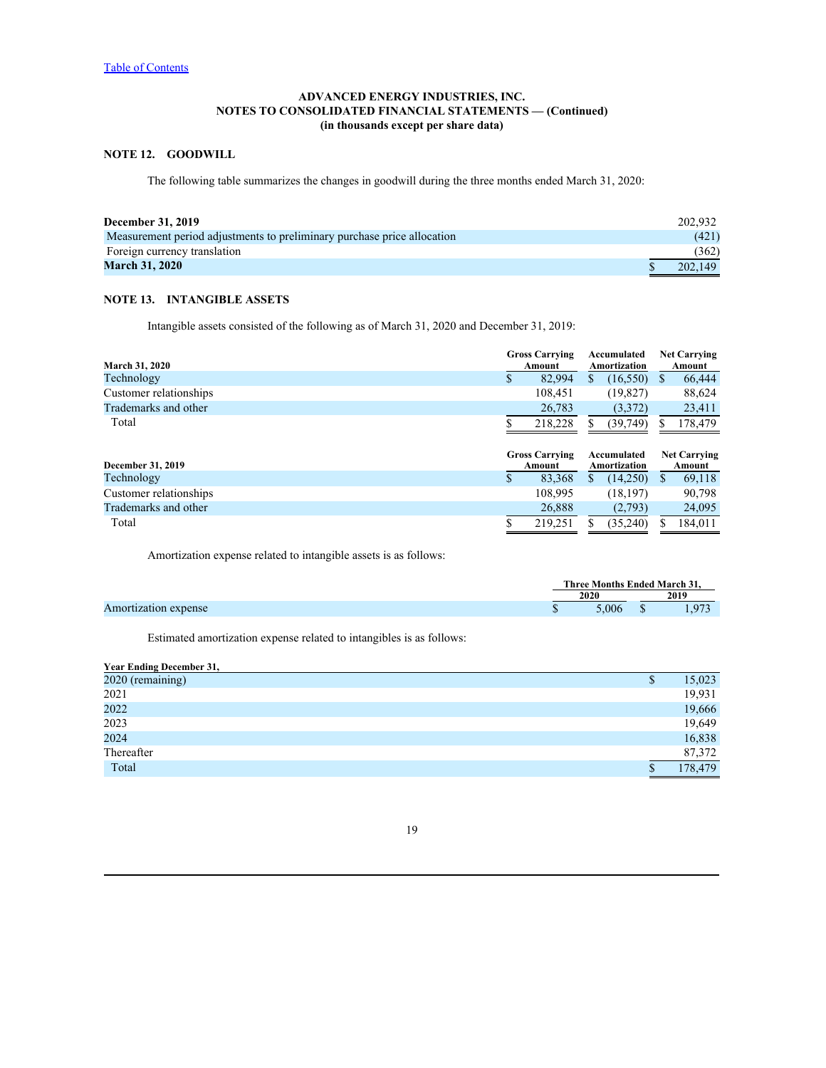# **NOTE 12. GOODWILL**

The following table summarizes the changes in goodwill during the three months ended March 31, 2020:

| <b>December 31, 2019</b>                                                | 202.932 |
|-------------------------------------------------------------------------|---------|
| Measurement period adjustments to preliminary purchase price allocation | (421)   |
| Foreign currency translation                                            | (362)   |
| <b>March 31, 2020</b>                                                   | 202,149 |

# **NOTE 13. INTANGIBLE ASSETS**

Intangible assets consisted of the following as of March 31, 2020 and December 31, 2019:

|                                 | <b>Gross Carrying</b> | Accumulated                    | <b>Net Carrying</b>    |
|---------------------------------|-----------------------|--------------------------------|------------------------|
| <b>March 31, 2020</b>           | Amount                | Amortization                   | Amount                 |
| Technology                      | 82,994                | (16, 550)                      | 66,444                 |
| Customer relationships          | 108,451               | (19, 827)                      | 88,624                 |
| Trademarks and other            | 26,783                | (3,372)                        | 23,411                 |
| Total                           | 218,228               | (39, 749)                      | 178,479                |
|                                 |                       |                                |                        |
|                                 | <b>Gross Carrying</b> | Accumulated                    | <b>Net Carrying</b>    |
| December 31, 2019<br>Technology | Amount<br>83,368      | Amortization<br>(14,250)<br>.ъ | Amount<br>69,118<br>S. |
| Customer relationships          | 108,995               | (18, 197)                      | 90,798                 |
| Trademarks and other            | 26,888                | (2,793)                        | 24,095                 |

Amortization expense related to intangible assets is as follows:

|                      | hree | Months E | $\sim$<br>ా Ended March 31. |
|----------------------|------|----------|-----------------------------|
|                      |      | 2020     | 2019                        |
| Amortization expense |      | 5,006    | $\Omega$<br>                |

Estimated amortization expense related to intangibles is as follows:

| <b>Year Ending December 31,</b> |    |         |
|---------------------------------|----|---------|
| 2020 (remaining)                | J. | 15,023  |
| 2021                            |    | 19,931  |
| 2022                            |    | 19,666  |
| 2023                            |    | 19,649  |
| 2024                            |    | 16,838  |
| Thereafter                      |    | 87,372  |
| Total                           |    | 178,479 |
|                                 |    |         |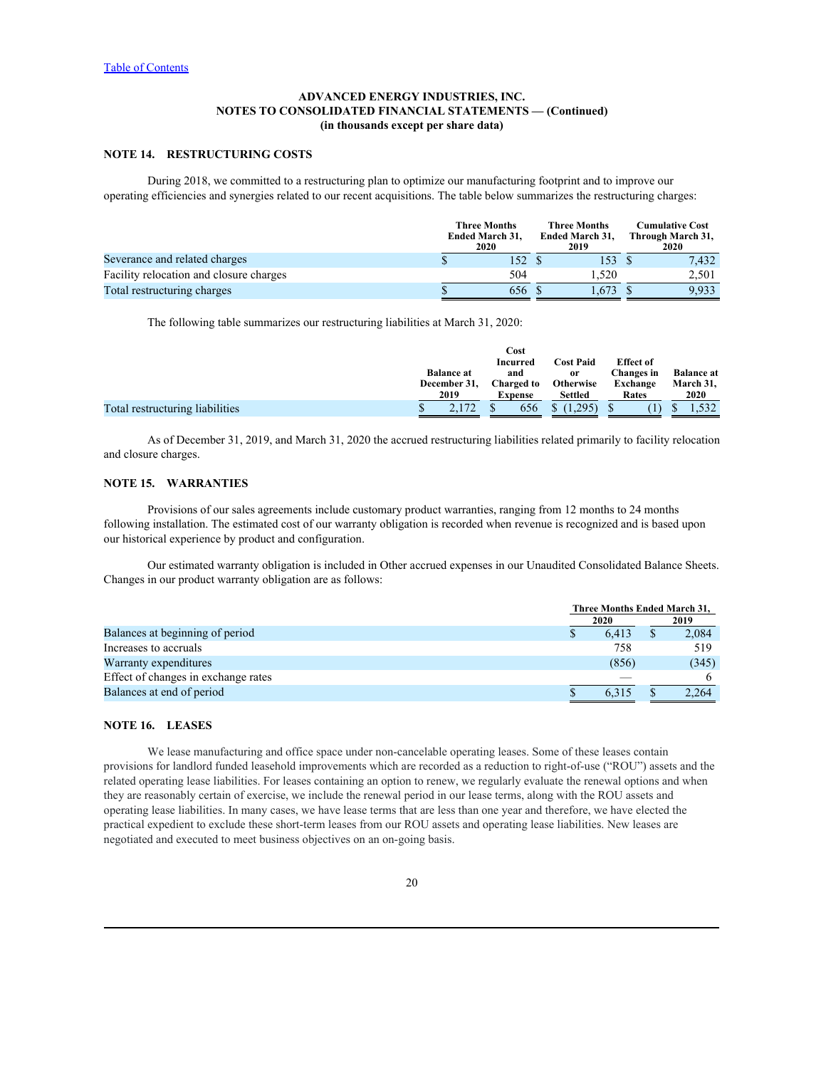# **NOTE 14. RESTRUCTURING COSTS**

During 2018, we committed to a restructuring plan to optimize our manufacturing footprint and to improve our operating efficiencies and synergies related to our recent acquisitions. The table below summarizes the restructuring charges:

|                                         | <b>Three Months</b><br><b>Ended March 31,</b><br><b>2020</b> | <b>Three Months</b><br><b>Ended March 31,</b><br>2019 | <b>Cumulative Cost</b><br>Through March 31,<br><b>2020</b> |
|-----------------------------------------|--------------------------------------------------------------|-------------------------------------------------------|------------------------------------------------------------|
| Severance and related charges           | 152                                                          | 153                                                   | 7,432                                                      |
| Facility relocation and closure charges | 504                                                          | .520                                                  | 2,501                                                      |
| Total restructuring charges             | 656 \$                                                       | .673                                                  | 9,933                                                      |

The following table summarizes our restructuring liabilities at March 31, 2020:

|                                 |                                           | Cost<br>Incurred                    | <b>Cost Paid</b>                         | <b>Effect</b> of                |                                        |
|---------------------------------|-------------------------------------------|-------------------------------------|------------------------------------------|---------------------------------|----------------------------------------|
|                                 | <b>Balance</b> at<br>December 31,<br>2019 | and<br><b>Charged to</b><br>Expense | or<br><b>Otherwise</b><br><b>Settled</b> | Changes in<br>Exchange<br>Rates | <b>Balance at</b><br>March 31,<br>2020 |
| Total restructuring liabilities | 172<br>$\sim$<br>$-1$                     | 656                                 | 1,295                                    | (1)                             | 1,532                                  |

As of December 31, 2019, and March 31, 2020 the accrued restructuring liabilities related primarily to facility relocation and closure charges.

# **NOTE 15. WARRANTIES**

Provisions of our sales agreements include customary product warranties, ranging from 12 months to 24 months following installation. The estimated cost of our warranty obligation is recorded when revenue is recognized and is based upon our historical experience by product and configuration.

Our estimated warranty obligation is included in Other accrued expenses in our Unaudited Consolidated Balance Sheets. Changes in our product warranty obligation are as follows:

|                                     |       | Three Months Ended March 31, |       |  |  |
|-------------------------------------|-------|------------------------------|-------|--|--|
|                                     | 2020  |                              | 2019  |  |  |
| Balances at beginning of period     | 6,413 |                              | 2,084 |  |  |
| Increases to accruals               | 758   |                              | 519   |  |  |
| Warranty expenditures               | (856) |                              | (345) |  |  |
| Effect of changes in exchange rates |       |                              |       |  |  |
| Balances at end of period           | 6,315 |                              | 2,264 |  |  |
|                                     |       |                              |       |  |  |

### **NOTE 16. LEASES**

We lease manufacturing and office space under non-cancelable operating leases. Some of these leases contain provisions for landlord funded leasehold improvements which are recorded as a reduction to right-of-use ("ROU") assets and the related operating lease liabilities. For leases containing an option to renew, we regularly evaluate the renewal options and when they are reasonably certain of exercise, we include the renewal period in our lease terms, along with the ROU assets and operating lease liabilities. In many cases, we have lease terms that are less than one year and therefore, we have elected the practical expedient to exclude these short-term leases from our ROU assets and operating lease liabilities. New leases are negotiated and executed to meet business objectives on an on-going basis.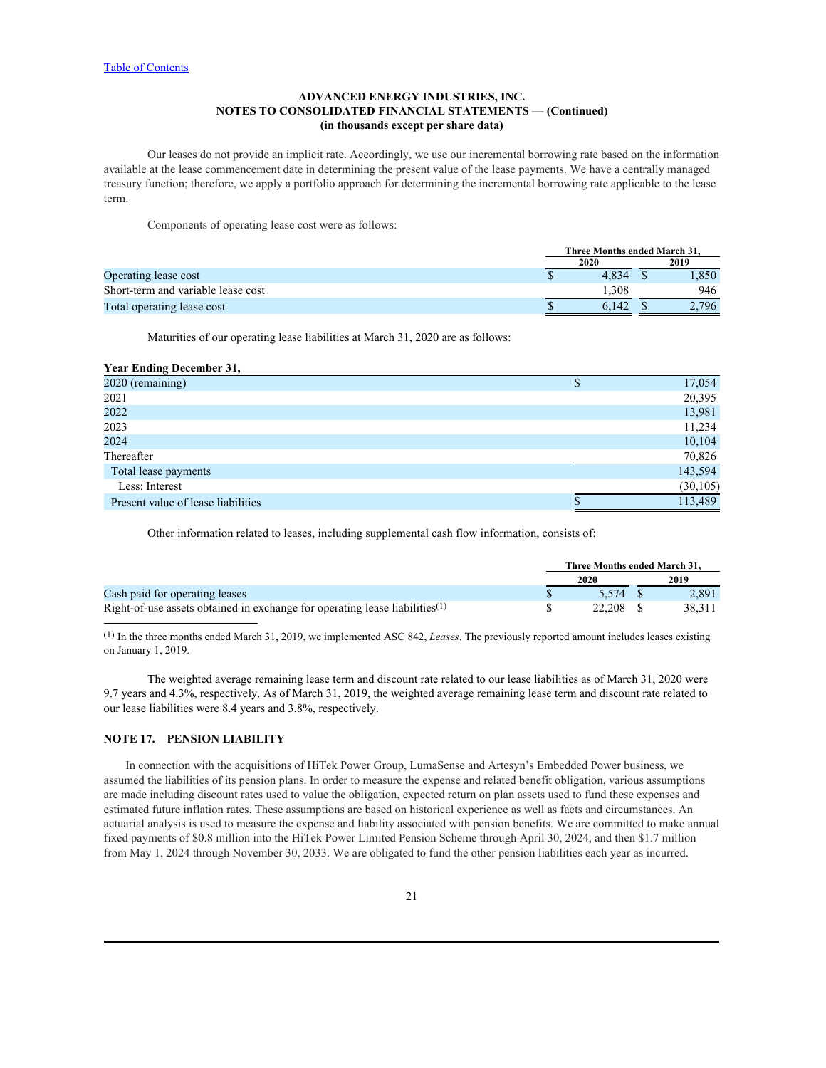Our leases do not provide an implicit rate. Accordingly, we use our incremental borrowing rate based on the information available at the lease commencement date in determining the present value of the lease payments. We have a centrally managed treasury function; therefore, we apply a portfolio approach for determining the incremental borrowing rate applicable to the lease term.

Components of operating lease cost were as follows:

|                                    |             | Three Months ended March 31, |       |
|------------------------------------|-------------|------------------------------|-------|
|                                    | <b>2020</b> |                              | 2019  |
| Operating lease cost               |             | 4,834                        | 1,850 |
| Short-term and variable lease cost |             | .308                         | 946   |
| Total operating lease cost         |             | 6,142                        | 2,796 |

Maturities of our operating lease liabilities at March 31, 2020 are as follows:

| <b>Year Ending December 31,</b>    |           |
|------------------------------------|-----------|
| 2020 (remaining)                   | 17,054    |
| 2021                               | 20,395    |
| 2022                               | 13,981    |
| 2023                               | 11,234    |
| 2024                               | 10,104    |
| Thereafter                         | 70,826    |
| Total lease payments               | 143,594   |
| Less: Interest                     | (30, 105) |
| Present value of lease liabilities | 113,489   |
|                                    |           |

Other information related to leases, including supplemental cash flow information, consists of:

|                                                                                | Three Months ended March 31. |  |        |  |  |
|--------------------------------------------------------------------------------|------------------------------|--|--------|--|--|
|                                                                                | 2020                         |  | 2019   |  |  |
| Cash paid for operating leases                                                 | - 574                        |  | 2,891  |  |  |
| Right-of-use assets obtained in exchange for operating lease liabilities $(1)$ | 22,208                       |  | 38,311 |  |  |

(1) In the three months ended March 31, 2019, we implemented ASC 842, *Leases*. The previously reported amount includes leases existing on January 1, 2019.

The weighted average remaining lease term and discount rate related to our lease liabilities as of March 31, 2020 were 9.7 years and 4.3%, respectively. As of March 31, 2019, the weighted average remaining lease term and discount rate related to our lease liabilities were 8.4 years and 3.8%, respectively.

# **NOTE 17. PENSION LIABILITY**

In connection with the acquisitions of HiTek Power Group, LumaSense and Artesyn's Embedded Power business, we assumed the liabilities of its pension plans. In order to measure the expense and related benefit obligation, various assumptions are made including discount rates used to value the obligation, expected return on plan assets used to fund these expenses and estimated future inflation rates. These assumptions are based on historical experience as well as facts and circumstances. An actuarial analysis is used to measure the expense and liability associated with pension benefits. We are committed to make annual fixed payments of \$0.8 million into the HiTek Power Limited Pension Scheme through April 30, 2024, and then \$1.7 million from May 1, 2024 through November 30, 2033. We are obligated to fund the other pension liabilities each year as incurred.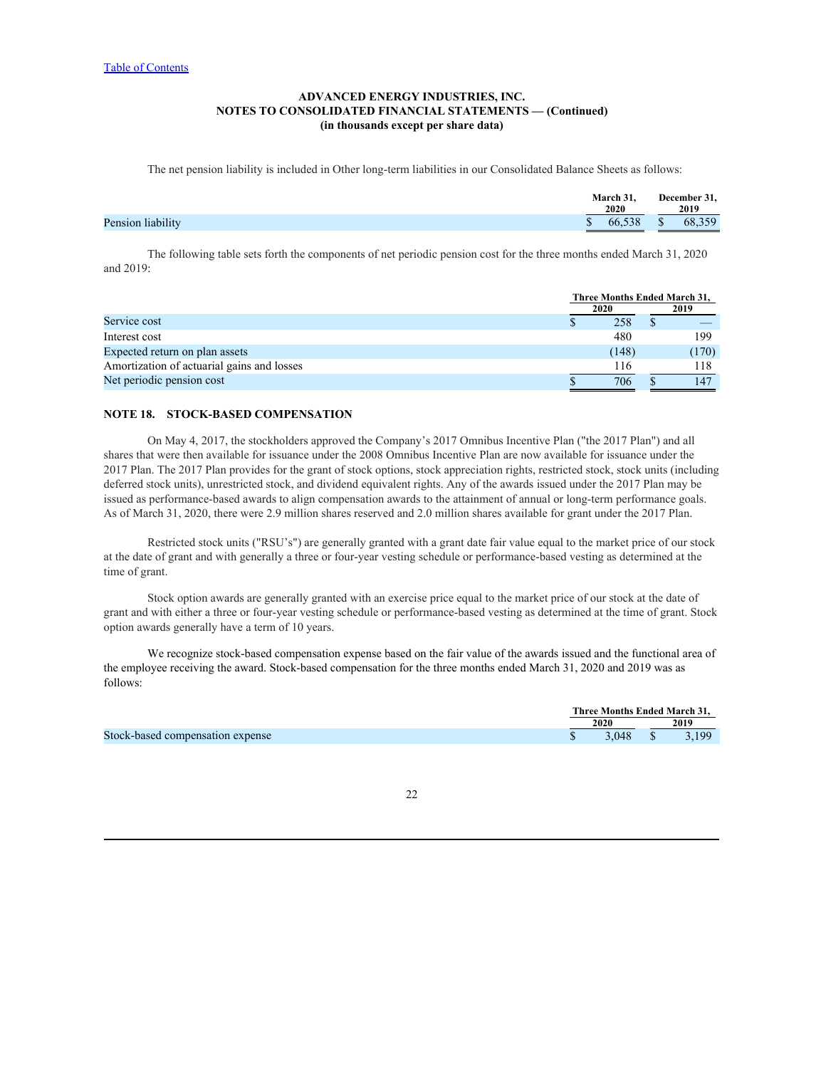The net pension liability is included in Other long-term liabilities in our Consolidated Balance Sheets as follows:

|                   | March 31<br>2020 |                 | December 31.<br>2019 |
|-------------------|------------------|-----------------|----------------------|
| Pension liability |                  | $\Gamma \cap C$ | 359<br>68.35         |

The following table sets forth the components of net periodic pension cost for the three months ended March 31, 2020 and 2019:

|                                            |      | Three Months Ended March 31, |  |       |  |  |
|--------------------------------------------|------|------------------------------|--|-------|--|--|
|                                            | 2020 |                              |  | 2019  |  |  |
| Service cost                               |      | 258                          |  |       |  |  |
| Interest cost                              |      | 480                          |  | 199   |  |  |
| Expected return on plan assets             |      | (148)                        |  | (170) |  |  |
| Amortization of actuarial gains and losses |      | 116                          |  | 118   |  |  |
| Net periodic pension cost                  |      | 706                          |  | 147   |  |  |

### **NOTE 18. STOCK-BASED COMPENSATION**

On May 4, 2017, the stockholders approved the Company's 2017 Omnibus Incentive Plan ("the 2017 Plan") and all shares that were then available for issuance under the 2008 Omnibus Incentive Plan are now available for issuance under the 2017 Plan. The 2017 Plan provides for the grant of stock options, stock appreciation rights, restricted stock, stock units (including deferred stock units), unrestricted stock, and dividend equivalent rights. Any of the awards issued under the 2017 Plan may be issued as performance-based awards to align compensation awards to the attainment of annual or long-term performance goals. As of March 31, 2020, there were 2.9 million shares reserved and 2.0 million shares available for grant under the 2017 Plan.

Restricted stock units ("RSU's") are generally granted with a grant date fair value equal to the market price of our stock at the date of grant and with generally a three or four-year vesting schedule or performance-based vesting as determined at the time of grant.

Stock option awards are generally granted with an exercise price equal to the market price of our stock at the date of grant and with either a three or four-year vesting schedule or performance-based vesting as determined at the time of grant. Stock option awards generally have a term of 10 years.

We recognize stock-based compensation expense based on the fair value of the awards issued and the functional area of the employee receiving the award. Stock-based compensation for the three months ended March 31, 2020 and 2019 was as follows:

|                                  | <b>CONTRACTOR</b><br>Three Months Ended March 31. |               |  |       |  |
|----------------------------------|---------------------------------------------------|---------------|--|-------|--|
|                                  |                                                   | 2020          |  | 2019  |  |
| Stock-based compensation expense |                                                   | 0.4C<br>2.V40 |  | 1 Q C |  |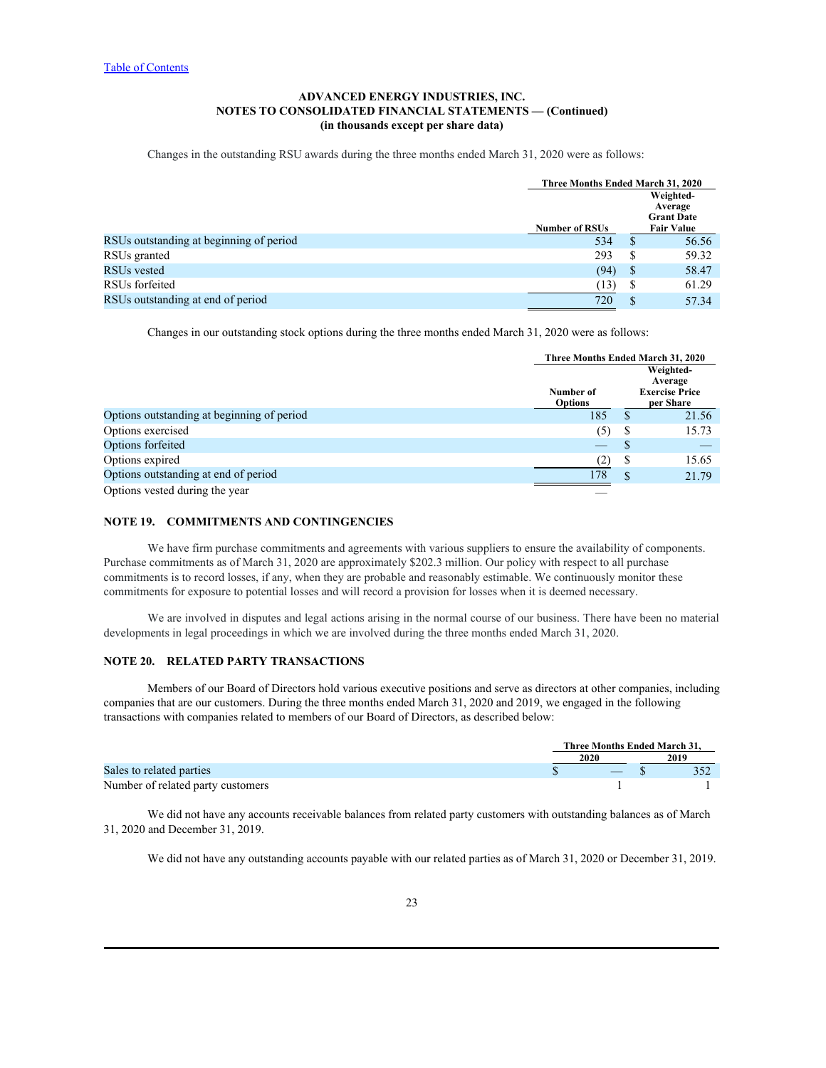Changes in the outstanding RSU awards during the three months ended March 31, 2020 were as follows:

|                                         | Three Months Ended March 31, 2020<br>Weighted- |         |                                        |  |  |  |  |  |
|-----------------------------------------|------------------------------------------------|---------|----------------------------------------|--|--|--|--|--|
|                                         |                                                |         |                                        |  |  |  |  |  |
|                                         |                                                | Average |                                        |  |  |  |  |  |
|                                         | <b>Number of RSUs</b>                          |         | <b>Grant Date</b><br><b>Fair Value</b> |  |  |  |  |  |
| RSUs outstanding at beginning of period | 534                                            |         | 56.56                                  |  |  |  |  |  |
| RSUs granted                            | 293                                            |         | 59.32                                  |  |  |  |  |  |
| RSUs vested                             | $(94)$ \$                                      |         | 58.47                                  |  |  |  |  |  |
| RSUs forfeited                          | (13)                                           |         | 61.29                                  |  |  |  |  |  |
| RSUs outstanding at end of period       | 720                                            |         | 57.34                                  |  |  |  |  |  |

Changes in our outstanding stock options during the three months ended March 31, 2020 were as follows:

|                                            | Three Months Ended March 31, 2020 |                                                            |
|--------------------------------------------|-----------------------------------|------------------------------------------------------------|
|                                            | Number of<br><b>Options</b>       | Weighted-<br>Average<br><b>Exercise Price</b><br>per Share |
| Options outstanding at beginning of period | 185                               | 21.56                                                      |
| Options exercised                          | $(5)$ \$                          | 15.73                                                      |
| Options forfeited                          | $\overline{\phantom{0}}$          | $\sim$                                                     |
| Options expired                            | (2)                               | 15.65                                                      |
| Options outstanding at end of period       | 178                               | 21.79                                                      |
| Options vested during the year             |                                   |                                                            |

# **NOTE 19. COMMITMENTS AND CONTINGENCIES**

We have firm purchase commitments and agreements with various suppliers to ensure the availability of components. Purchase commitments as of March 31, 2020 are approximately \$202.3 million. Our policy with respect to all purchase commitments is to record losses, if any, when they are probable and reasonably estimable. We continuously monitor these commitments for exposure to potential losses and will record a provision for losses when it is deemed necessary.

We are involved in disputes and legal actions arising in the normal course of our business. There have been no material developments in legal proceedings in which we are involved during the three months ended March 31, 2020.

# **NOTE 20. RELATED PARTY TRANSACTIONS**

Members of our Board of Directors hold various executive positions and serve as directors at other companies, including companies that are our customers. During the three months ended March 31, 2020 and 2019, we engaged in the following transactions with companies related to members of our Board of Directors, as described below:

|                                   |      | <b>Three Months Ended March 31.</b>                                                                                                                         |  |                   |  |
|-----------------------------------|------|-------------------------------------------------------------------------------------------------------------------------------------------------------------|--|-------------------|--|
|                                   | 2020 |                                                                                                                                                             |  | AA<br><b>2012</b> |  |
| Sales to related parties          |      | $\overline{\phantom{a}}$<br>$\mathcal{L}^{\text{max}}_{\text{max}}$ and $\mathcal{L}^{\text{max}}_{\text{max}}$ and $\mathcal{L}^{\text{max}}_{\text{max}}$ |  | سدر               |  |
| Number of related party customers |      |                                                                                                                                                             |  |                   |  |

We did not have any accounts receivable balances from related party customers with outstanding balances as of March 31, 2020 and December 31, 2019.

We did not have any outstanding accounts payable with our related parties as of March 31, 2020 or December 31, 2019.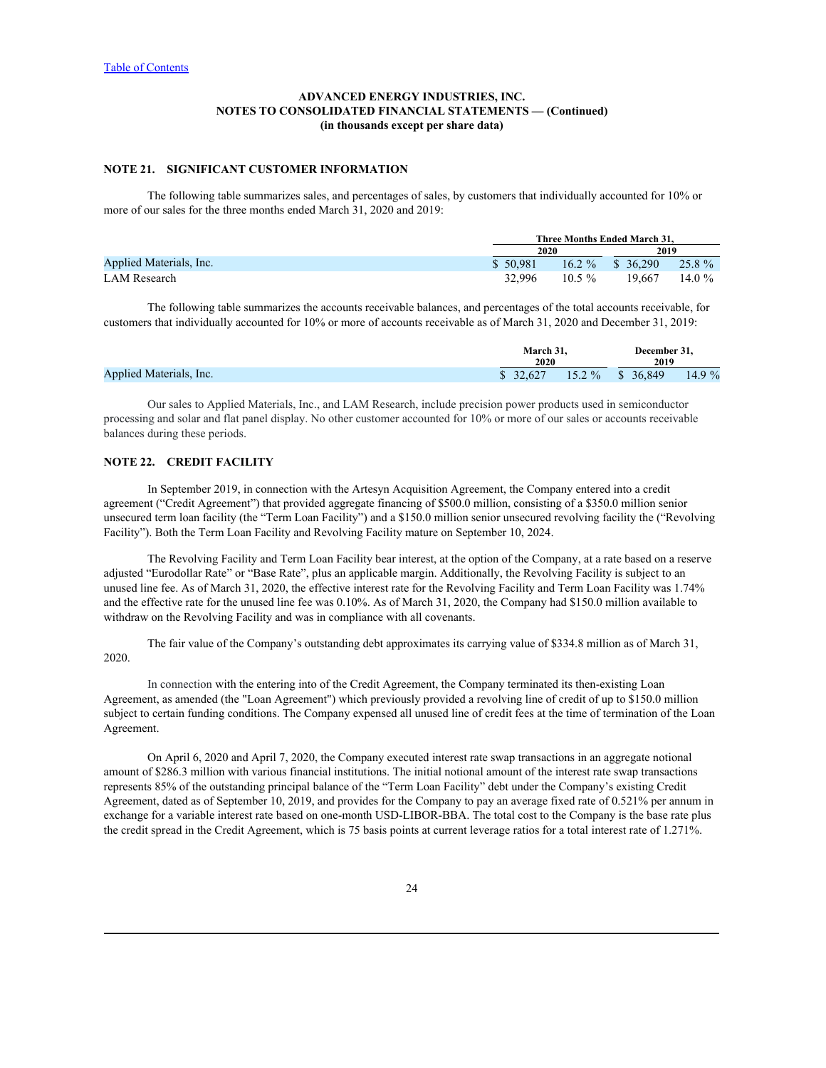### **NOTE 21. SIGNIFICANT CUSTOMER INFORMATION**

The following table summarizes sales, and percentages of sales, by customers that individually accounted for 10% or more of our sales for the three months ended March 31, 2020 and 2019:

|                         | Three Months Ended March 31. |           |          |           |  |  |  |
|-------------------------|------------------------------|-----------|----------|-----------|--|--|--|
|                         | 2020                         |           | 2019     |           |  |  |  |
| Applied Materials, Inc. | 50,981                       | $16.2 \%$ | \$36.290 | $25.8 \%$ |  |  |  |
| <b>LAM</b> Research     | 32,996                       | $10.5 \%$ | 19,667   | 14.0 $%$  |  |  |  |

The following table summarizes the accounts receivable balances, and percentages of the total accounts receivable, for customers that individually accounted for 10% or more of accounts receivable as of March 31, 2020 and December 31, 2019:

|                         | <b>March 31,<br/>2020</b> |                    | December 31,<br>2019 |        |  |
|-------------------------|---------------------------|--------------------|----------------------|--------|--|
| Applied Materials, Inc. | 22.02<br>22,02            | $5.20\%$<br>13.470 | 36,849               | 14.9 % |  |

Our sales to Applied Materials, Inc., and LAM Research, include precision power products used in semiconductor processing and solar and flat panel display. No other customer accounted for 10% or more of our sales or accounts receivable balances during these periods.

# **NOTE 22. CREDIT FACILITY**

In September 2019, in connection with the Artesyn Acquisition Agreement, the Company entered into a credit agreement ("Credit Agreement") that provided aggregate financing of \$500.0 million, consisting of a \$350.0 million senior unsecured term loan facility (the "Term Loan Facility") and a \$150.0 million senior unsecured revolving facility the ("Revolving Facility"). Both the Term Loan Facility and Revolving Facility mature on September 10, 2024.

The Revolving Facility and Term Loan Facility bear interest, at the option of the Company, at a rate based on a reserve adjusted "Eurodollar Rate" or "Base Rate", plus an applicable margin. Additionally, the Revolving Facility is subject to an unused line fee. As of March 31, 2020, the effective interest rate for the Revolving Facility and Term Loan Facility was 1.74% and the effective rate for the unused line fee was 0.10%. As of March 31, 2020, the Company had \$150.0 million available to withdraw on the Revolving Facility and was in compliance with all covenants.

The fair value of the Company's outstanding debt approximates its carrying value of \$334.8 million as of March 31, 2020.

In connection with the entering into of the Credit Agreement, the Company terminated its then-existing Loan Agreement, as amended (the "Loan Agreement") which previously provided a revolving line of credit of up to \$150.0 million subject to certain funding conditions. The Company expensed all unused line of credit fees at the time of termination of the Loan Agreement.

On April 6, 2020 and April 7, 2020, the Company executed interest rate swap transactions in an aggregate notional amount of \$286.3 million with various financial institutions. The initial notional amount of the interest rate swap transactions represents 85% of the outstanding principal balance of the "Term Loan Facility" debt under the Company's existing Credit Agreement, dated as of September 10, 2019, and provides for the Company to pay an average fixed rate of 0.521% per annum in exchange for a variable interest rate based on one-month USD-LIBOR-BBA. The total cost to the Company is the base rate plus the credit spread in the Credit Agreement, which is 75 basis points at current leverage ratios for a total interest rate of 1.271%.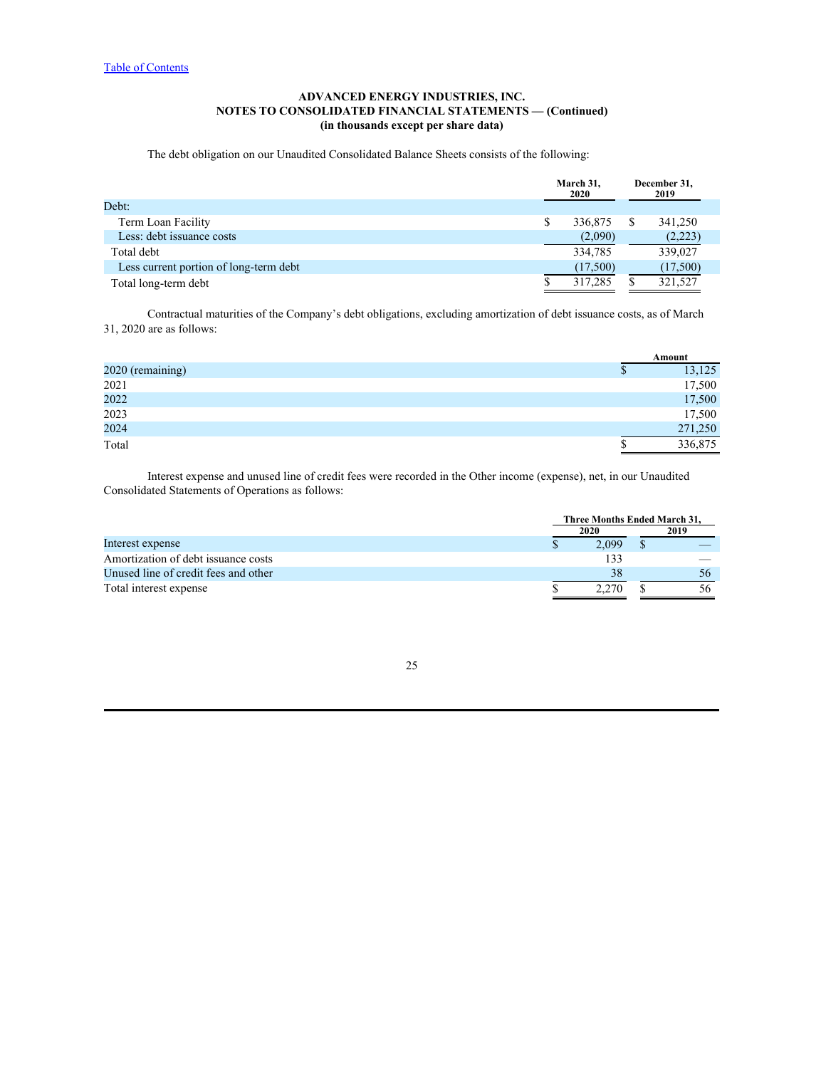The debt obligation on our Unaudited Consolidated Balance Sheets consists of the following:

|                                        | March 31,<br>2020 |          |  | December 31,<br>2019 |
|----------------------------------------|-------------------|----------|--|----------------------|
| Debt:                                  |                   |          |  |                      |
| Term Loan Facility                     |                   | 336,875  |  | 341,250              |
| Less: debt issuance costs              |                   | (2,090)  |  | (2,223)              |
| Total debt                             |                   | 334,785  |  | 339,027              |
| Less current portion of long-term debt |                   | (17,500) |  | (17,500)             |
| Total long-term debt                   |                   | 317,285  |  | 321,527              |

Contractual maturities of the Company's debt obligations, excluding amortization of debt issuance costs, as of March 31, 2020 are as follows:

| Amount  |
|---------|
| 13,125  |
| 17,500  |
| 17,500  |
| 17,500  |
| 271,250 |
| 336,875 |
|         |

Interest expense and unused line of credit fees were recorded in the Other income (expense), net, in our Unaudited Consolidated Statements of Operations as follows:

|                                      |       | Three Months Ended March 31, |
|--------------------------------------|-------|------------------------------|
|                                      | 2020  | 2019                         |
| Interest expense                     | 2,099 |                              |
| Amortization of debt issuance costs  | د د.  | $\overline{\phantom{a}}$     |
| Unused line of credit fees and other |       | 56                           |
| Total interest expense               | 2,270 |                              |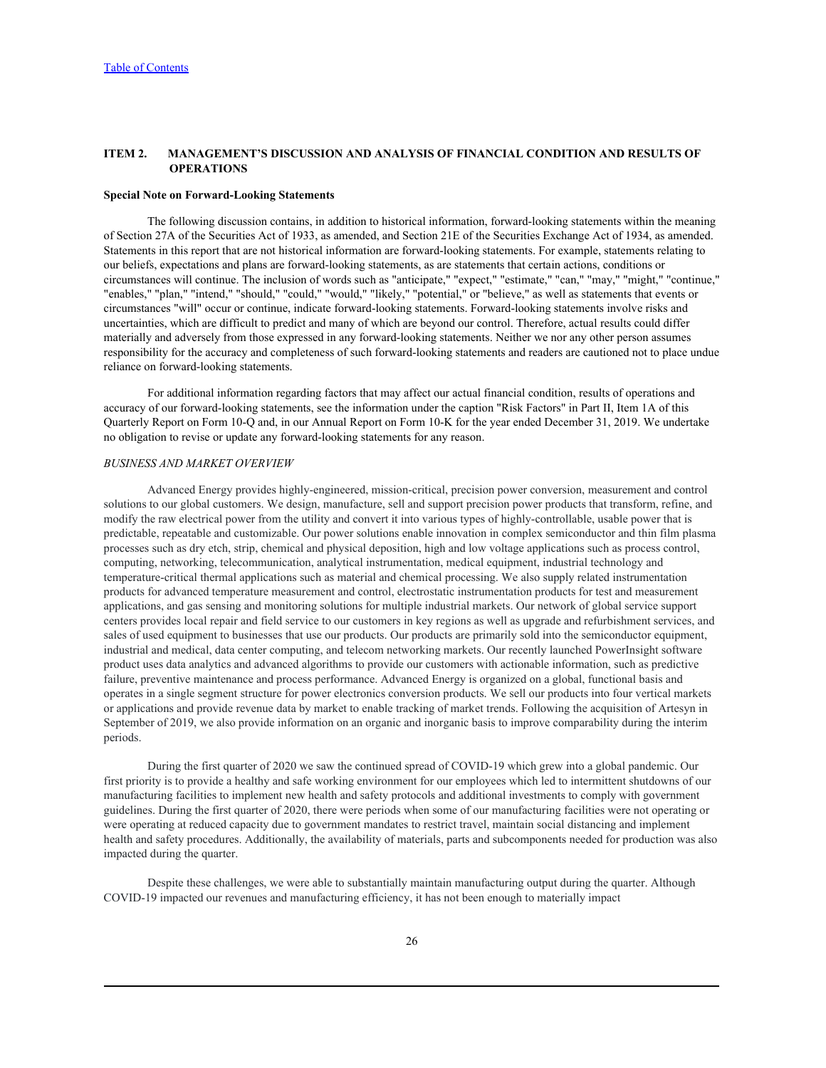# <span id="page-25-0"></span>**ITEM 2. MANAGEMENT'S DISCUSSION AND ANALYSIS OF FINANCIAL CONDITION AND RESULTS OF OPERATIONS**

#### **Special Note on Forward-Looking Statements**

The following discussion contains, in addition to historical information, forward-looking statements within the meaning of Section 27A of the Securities Act of 1933, as amended, and Section 21E of the Securities Exchange Act of 1934, as amended. Statements in this report that are not historical information are forward-looking statements. For example, statements relating to our beliefs, expectations and plans are forward-looking statements, as are statements that certain actions, conditions or circumstances will continue. The inclusion of words such as "anticipate," "expect," "estimate," "can," "may," "might," "continue," "enables," "plan," "intend," "should," "could," "would," "likely," "potential," or "believe," as well as statements that events or circumstances "will" occur or continue, indicate forward-looking statements. Forward-looking statements involve risks and uncertainties, which are difficult to predict and many of which are beyond our control. Therefore, actual results could differ materially and adversely from those expressed in any forward-looking statements. Neither we nor any other person assumes responsibility for the accuracy and completeness of such forward-looking statements and readers are cautioned not to place undue reliance on forward-looking statements.

For additional information regarding factors that may affect our actual financial condition, results of operations and accuracy of our forward-looking statements, see the information under the caption "Risk Factors" in Part II, Item 1A of this Quarterly Report on Form 10-Q and, in our Annual Report on Form 10-K for the year ended December 31, 2019. We undertake no obligation to revise or update any forward-looking statements for any reason.

#### *BUSINESS AND MARKET OVERVIEW*

Advanced Energy provides highly-engineered, mission-critical, precision power conversion, measurement and control solutions to our global customers. We design, manufacture, sell and support precision power products that transform, refine, and modify the raw electrical power from the utility and convert it into various types of highly-controllable, usable power that is predictable, repeatable and customizable. Our power solutions enable innovation in complex semiconductor and thin film plasma processes such as dry etch, strip, chemical and physical deposition, high and low voltage applications such as process control, computing, networking, telecommunication, analytical instrumentation, medical equipment, industrial technology and temperature-critical thermal applications such as material and chemical processing. We also supply related instrumentation products for advanced temperature measurement and control, electrostatic instrumentation products for test and measurement applications, and gas sensing and monitoring solutions for multiple industrial markets. Our network of global service support centers provides local repair and field service to our customers in key regions as well as upgrade and refurbishment services, and sales of used equipment to businesses that use our products. Our products are primarily sold into the semiconductor equipment, industrial and medical, data center computing, and telecom networking markets. Our recently launched PowerInsight software product uses data analytics and advanced algorithms to provide our customers with actionable information, such as predictive failure, preventive maintenance and process performance. Advanced Energy is organized on a global, functional basis and operates in a single segment structure for power electronics conversion products. We sell our products into four vertical markets or applications and provide revenue data by market to enable tracking of market trends. Following the acquisition of Artesyn in September of 2019, we also provide information on an organic and inorganic basis to improve comparability during the interim periods.

During the first quarter of 2020 we saw the continued spread of COVID-19 which grew into a global pandemic. Our first priority is to provide a healthy and safe working environment for our employees which led to intermittent shutdowns of our manufacturing facilities to implement new health and safety protocols and additional investments to comply with government guidelines. During the first quarter of 2020, there were periods when some of our manufacturing facilities were not operating or were operating at reduced capacity due to government mandates to restrict travel, maintain social distancing and implement health and safety procedures. Additionally, the availability of materials, parts and subcomponents needed for production was also impacted during the quarter.

Despite these challenges, we were able to substantially maintain manufacturing output during the quarter. Although COVID-19 impacted our revenues and manufacturing efficiency, it has not been enough to materially impact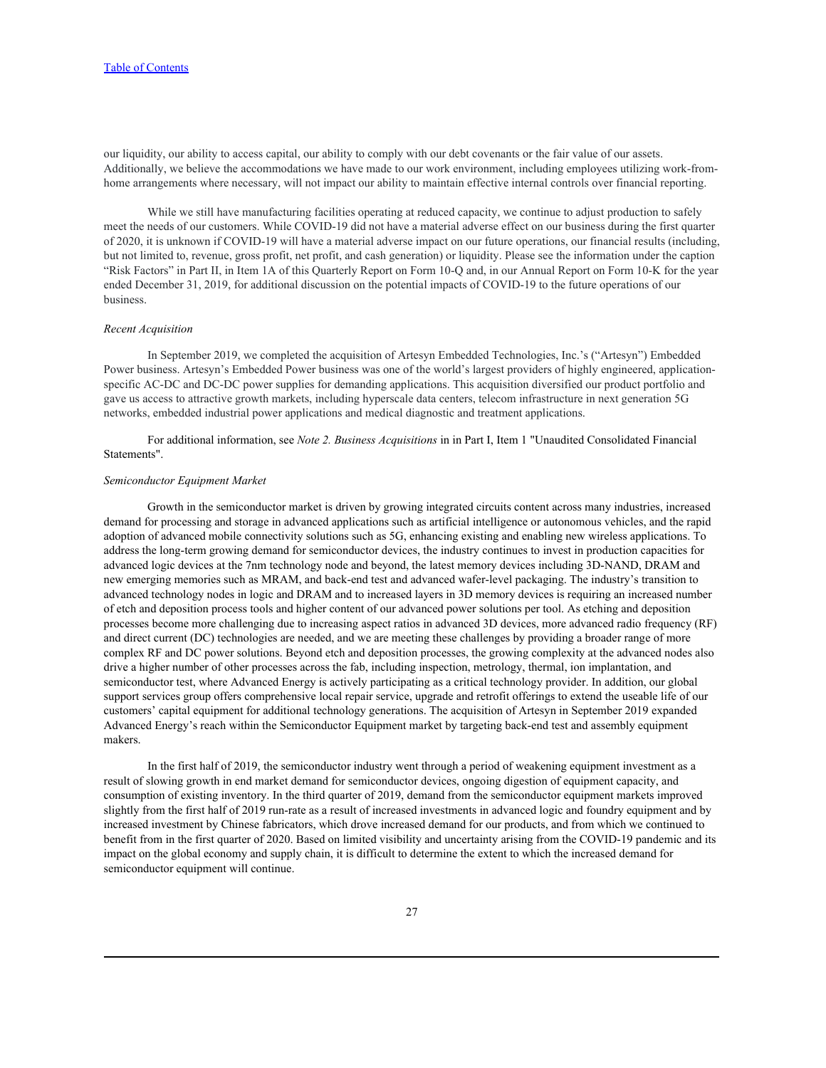our liquidity, our ability to access capital, our ability to comply with our debt covenants or the fair value of our assets. Additionally, we believe the accommodations we have made to our work environment, including employees utilizing work-fromhome arrangements where necessary, will not impact our ability to maintain effective internal controls over financial reporting.

While we still have manufacturing facilities operating at reduced capacity, we continue to adjust production to safely meet the needs of our customers. While COVID-19 did not have a material adverse effect on our business during the first quarter of 2020, it is unknown if COVID-19 will have a material adverse impact on our future operations, our financial results (including, but not limited to, revenue, gross profit, net profit, and cash generation) or liquidity. Please see the information under the caption "Risk Factors" in Part II, in Item 1A of this Quarterly Report on Form 10-Q and, in our Annual Report on Form 10-K for the year ended December 31, 2019, for additional discussion on the potential impacts of COVID-19 to the future operations of our business.

#### *Recent Acquisition*

In September 2019, we completed the acquisition of Artesyn Embedded Technologies, Inc.'s ("Artesyn") Embedded Power business. Artesyn's Embedded Power business was one of the world's largest providers of highly engineered, applicationspecific AC-DC and DC-DC power supplies for demanding applications. This acquisition diversified our product portfolio and gave us access to attractive growth markets, including hyperscale data centers, telecom infrastructure in next generation 5G networks, embedded industrial power applications and medical diagnostic and treatment applications.

For additional information, see *Note 2. Business Acquisitions* in in Part I, Item 1 "Unaudited Consolidated Financial Statements".

# *Semiconductor Equipment Market*

Growth in the semiconductor market is driven by growing integrated circuits content across many industries, increased demand for processing and storage in advanced applications such as artificial intelligence or autonomous vehicles, and the rapid adoption of advanced mobile connectivity solutions such as 5G, enhancing existing and enabling new wireless applications. To address the long-term growing demand for semiconductor devices, the industry continues to invest in production capacities for advanced logic devices at the 7nm technology node and beyond, the latest memory devices including 3D-NAND, DRAM and new emerging memories such as MRAM, and back-end test and advanced wafer-level packaging. The industry's transition to advanced technology nodes in logic and DRAM and to increased layers in 3D memory devices is requiring an increased number of etch and deposition process tools and higher content of our advanced power solutions per tool. As etching and deposition processes become more challenging due to increasing aspect ratios in advanced 3D devices, more advanced radio frequency (RF) and direct current (DC) technologies are needed, and we are meeting these challenges by providing a broader range of more complex RF and DC power solutions. Beyond etch and deposition processes, the growing complexity at the advanced nodes also drive a higher number of other processes across the fab, including inspection, metrology, thermal, ion implantation, and semiconductor test, where Advanced Energy is actively participating as a critical technology provider. In addition, our global support services group offers comprehensive local repair service, upgrade and retrofit offerings to extend the useable life of our customers' capital equipment for additional technology generations. The acquisition of Artesyn in September 2019 expanded Advanced Energy's reach within the Semiconductor Equipment market by targeting back-end test and assembly equipment makers.

In the first half of 2019, the semiconductor industry went through a period of weakening equipment investment as a result of slowing growth in end market demand for semiconductor devices, ongoing digestion of equipment capacity, and consumption of existing inventory. In the third quarter of 2019, demand from the semiconductor equipment markets improved slightly from the first half of 2019 run-rate as a result of increased investments in advanced logic and foundry equipment and by increased investment by Chinese fabricators, which drove increased demand for our products, and from which we continued to benefit from in the first quarter of 2020. Based on limited visibility and uncertainty arising from the COVID-19 pandemic and its impact on the global economy and supply chain, it is difficult to determine the extent to which the increased demand for semiconductor equipment will continue.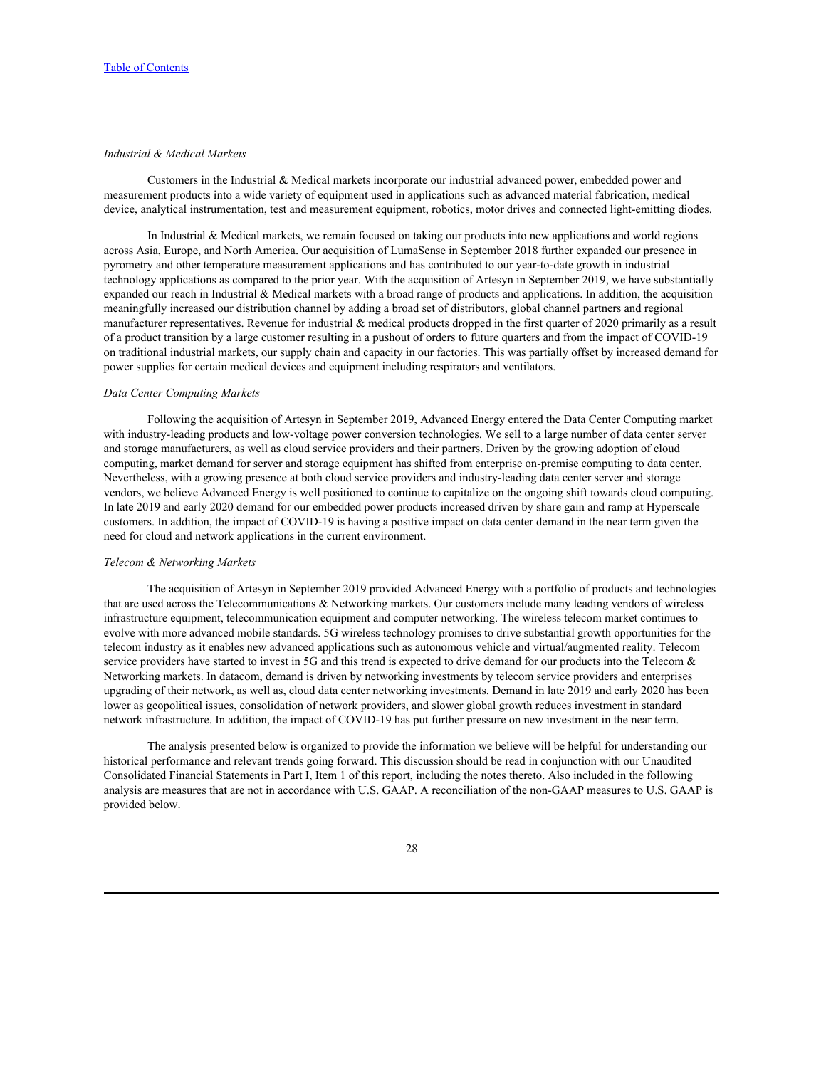# *Industrial & Medical Markets*

Customers in the Industrial & Medical markets incorporate our industrial advanced power, embedded power and measurement products into a wide variety of equipment used in applications such as advanced material fabrication, medical device, analytical instrumentation, test and measurement equipment, robotics, motor drives and connected light-emitting diodes.

In Industrial & Medical markets, we remain focused on taking our products into new applications and world regions across Asia, Europe, and North America. Our acquisition of LumaSense in September 2018 further expanded our presence in pyrometry and other temperature measurement applications and has contributed to our year-to-date growth in industrial technology applications as compared to the prior year. With the acquisition of Artesyn in September 2019, we have substantially expanded our reach in Industrial & Medical markets with a broad range of products and applications. In addition, the acquisition meaningfully increased our distribution channel by adding a broad set of distributors, global channel partners and regional manufacturer representatives. Revenue for industrial & medical products dropped in the first quarter of 2020 primarily as a result of a product transition by a large customer resulting in a pushout of orders to future quarters and from the impact of COVID-19 on traditional industrial markets, our supply chain and capacity in our factories. This was partially offset by increased demand for power supplies for certain medical devices and equipment including respirators and ventilators.

#### *Data Center Computing Markets*

Following the acquisition of Artesyn in September 2019, Advanced Energy entered the Data Center Computing market with industry-leading products and low-voltage power conversion technologies. We sell to a large number of data center server and storage manufacturers, as well as cloud service providers and their partners. Driven by the growing adoption of cloud computing, market demand for server and storage equipment has shifted from enterprise on-premise computing to data center. Nevertheless, with a growing presence at both cloud service providers and industry-leading data center server and storage vendors, we believe Advanced Energy is well positioned to continue to capitalize on the ongoing shift towards cloud computing. In late 2019 and early 2020 demand for our embedded power products increased driven by share gain and ramp at Hyperscale customers. In addition, the impact of COVID-19 is having a positive impact on data center demand in the near term given the need for cloud and network applications in the current environment.

### *Telecom & Networking Markets*

The acquisition of Artesyn in September 2019 provided Advanced Energy with a portfolio of products and technologies that are used across the Telecommunications & Networking markets. Our customers include many leading vendors of wireless infrastructure equipment, telecommunication equipment and computer networking. The wireless telecom market continues to evolve with more advanced mobile standards. 5G wireless technology promises to drive substantial growth opportunities for the telecom industry as it enables new advanced applications such as autonomous vehicle and virtual/augmented reality. Telecom service providers have started to invest in 5G and this trend is expected to drive demand for our products into the Telecom & Networking markets. In datacom, demand is driven by networking investments by telecom service providers and enterprises upgrading of their network, as well as, cloud data center networking investments. Demand in late 2019 and early 2020 has been lower as geopolitical issues, consolidation of network providers, and slower global growth reduces investment in standard network infrastructure. In addition, the impact of COVID-19 has put further pressure on new investment in the near term.

The analysis presented below is organized to provide the information we believe will be helpful for understanding our historical performance and relevant trends going forward. This discussion should be read in conjunction with our Unaudited Consolidated Financial Statements in Part I, Item 1 of this report, including the notes thereto. Also included in the following analysis are measures that are not in accordance with U.S. GAAP. A reconciliation of the non-GAAP measures to U.S. GAAP is provided below.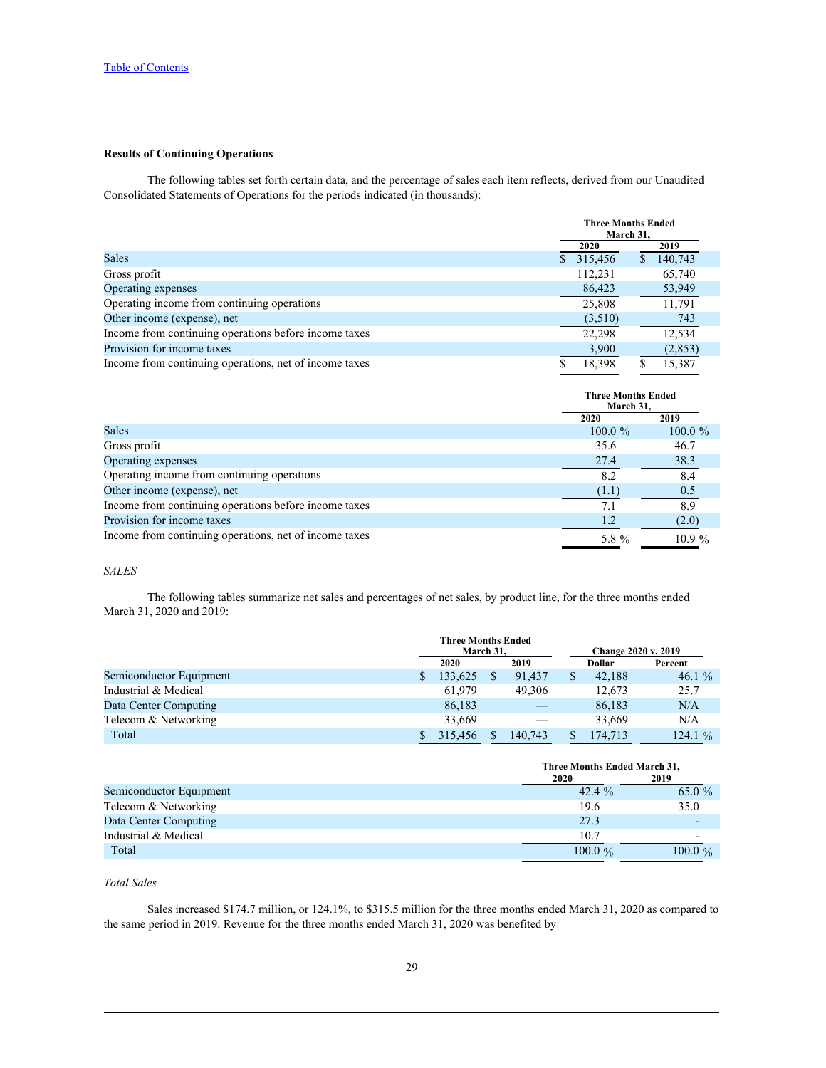# **Results of Continuing Operations**

The following tables set forth certain data, and the percentage of sales each item reflects, derived from our Unaudited Consolidated Statements of Operations for the periods indicated (in thousands):

|                                                        | <b>Three Months Ended</b><br>March 31. |           |  |          |  |
|--------------------------------------------------------|----------------------------------------|-----------|--|----------|--|
|                                                        |                                        | 2020      |  | 2019     |  |
| <b>Sales</b>                                           |                                        | \$315,456 |  | 140,743  |  |
| Gross profit                                           |                                        | 112,231   |  | 65,740   |  |
| Operating expenses                                     |                                        | 86,423    |  | 53,949   |  |
| Operating income from continuing operations            |                                        | 25,808    |  | 11,791   |  |
| Other income (expense), net                            |                                        | (3,510)   |  | 743      |  |
| Income from continuing operations before income taxes  |                                        | 22,298    |  | 12,534   |  |
| Provision for income taxes                             |                                        | 3,900     |  | (2, 853) |  |
| Income from continuing operations, net of income taxes |                                        | 18,398    |  | 5.387    |  |

|                                                        | <b>Three Months Ended</b><br>March 31, |            |  |
|--------------------------------------------------------|----------------------------------------|------------|--|
|                                                        | <b>2020</b>                            | 2019       |  |
| <b>Sales</b>                                           | $100.0 \%$                             | $100.0 \%$ |  |
| Gross profit                                           | 35.6                                   | 46.7       |  |
| Operating expenses                                     | 27.4                                   | 38.3       |  |
| Operating income from continuing operations            | 8.2                                    | 8.4        |  |
| Other income (expense), net                            | (1.1)                                  | 0.5        |  |
| Income from continuing operations before income taxes  |                                        | 8.9        |  |
| Provision for income taxes                             |                                        | (2.0)      |  |
| Income from continuing operations, net of income taxes | 5.8 $\%$                               | $10.9\%$   |  |

#### *SALES*

The following tables summarize net sales and percentages of net sales, by product line, for the three months ended March 31, 2020 and 2019:

| 2020 | 2019                                             |                                        | Dollar  | Percent             |
|------|--------------------------------------------------|----------------------------------------|---------|---------------------|
|      | 91,437                                           |                                        | 42,188  | 46.1 $%$            |
|      | 49,306                                           |                                        | 12,673  | 25.7                |
|      | $\overbrace{\phantom{aaaaa}}^{x}$                |                                        | 86,183  | N/A                 |
|      | $\hspace{0.1mm}-\hspace{0.1mm}$                  |                                        | 33.669  | N/A                 |
|      | 140.743                                          |                                        | 174,713 | 124.1%              |
|      | 133,625<br>61,979<br>86,183<br>33,669<br>315,456 | <b>Three Months Ended</b><br>March 31, |         | Change 2020 v. 2019 |

|                         |          | Three Months Ended March 31, |  |  |
|-------------------------|----------|------------------------------|--|--|
|                         | 2020     | 2019                         |  |  |
| Semiconductor Equipment | 42.4 $%$ | 65.0 %                       |  |  |
| Telecom & Networking    | 19.6     | 35.0                         |  |  |
| Data Center Computing   | 27.3     | $\overline{\phantom{0}}$     |  |  |
| Industrial & Medical    | 10.7     |                              |  |  |
| Total                   | 100.0%   | 100.0 $\%$                   |  |  |

# *Total Sales*

Sales increased \$174.7 million, or 124.1%, to \$315.5 million for the three months ended March 31, 2020 as compared to the same period in 2019. Revenue for the three months ended March 31, 2020 was benefited by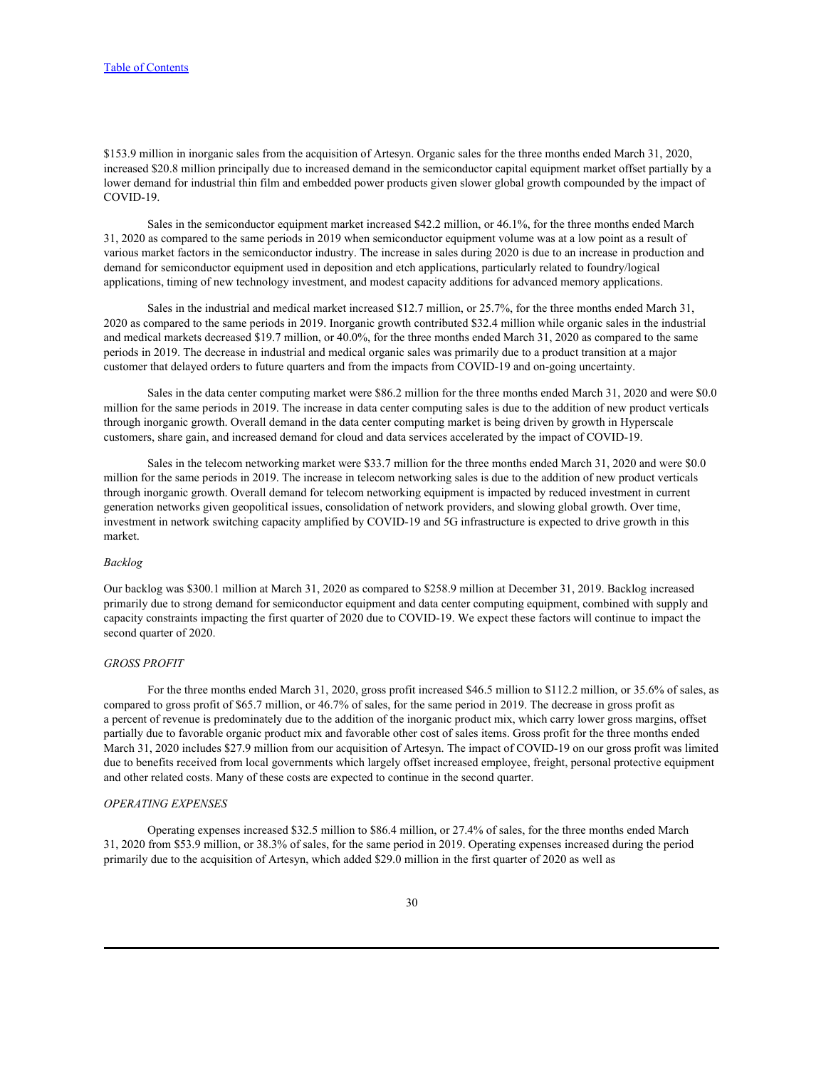\$153.9 million in inorganic sales from the acquisition of Artesyn. Organic sales for the three months ended March 31, 2020, increased \$20.8 million principally due to increased demand in the semiconductor capital equipment market offset partially by a lower demand for industrial thin film and embedded power products given slower global growth compounded by the impact of COVID-19.

Sales in the semiconductor equipment market increased \$42.2 million, or 46.1%, for the three months ended March 31, 2020 as compared to the same periods in 2019 when semiconductor equipment volume was at a low point as a result of various market factors in the semiconductor industry. The increase in sales during 2020 is due to an increase in production and demand for semiconductor equipment used in deposition and etch applications, particularly related to foundry/logical applications, timing of new technology investment, and modest capacity additions for advanced memory applications.

Sales in the industrial and medical market increased \$12.7 million, or 25.7%, for the three months ended March 31, 2020 as compared to the same periods in 2019. Inorganic growth contributed \$32.4 million while organic sales in the industrial and medical markets decreased \$19.7 million, or 40.0%, for the three months ended March 31, 2020 as compared to the same periods in 2019. The decrease in industrial and medical organic sales was primarily due to a product transition at a major customer that delayed orders to future quarters and from the impacts from COVID-19 and on-going uncertainty.

Sales in the data center computing market were \$86.2 million for the three months ended March 31, 2020 and were \$0.0 million for the same periods in 2019. The increase in data center computing sales is due to the addition of new product verticals through inorganic growth. Overall demand in the data center computing market is being driven by growth in Hyperscale customers, share gain, and increased demand for cloud and data services accelerated by the impact of COVID-19.

Sales in the telecom networking market were \$33.7 million for the three months ended March 31, 2020 and were \$0.0 million for the same periods in 2019. The increase in telecom networking sales is due to the addition of new product verticals through inorganic growth. Overall demand for telecom networking equipment is impacted by reduced investment in current generation networks given geopolitical issues, consolidation of network providers, and slowing global growth. Over time, investment in network switching capacity amplified by COVID-19 and 5G infrastructure is expected to drive growth in this market.

### *Backlog*

Our backlog was \$300.1 million at March 31, 2020 as compared to \$258.9 million at December 31, 2019. Backlog increased primarily due to strong demand for semiconductor equipment and data center computing equipment, combined with supply and capacity constraints impacting the first quarter of 2020 due to COVID-19. We expect these factors will continue to impact the second quarter of 2020.

# *GROSS PROFIT*

For the three months ended March 31, 2020, gross profit increased \$46.5 million to \$112.2 million, or 35.6% of sales, as compared to gross profit of \$65.7 million, or 46.7% of sales, for the same period in 2019. The decrease in gross profit as a percent of revenue is predominately due to the addition of the inorganic product mix, which carry lower gross margins, offset partially due to favorable organic product mix and favorable other cost of sales items. Gross profit for the three months ended March 31, 2020 includes \$27.9 million from our acquisition of Artesyn. The impact of COVID-19 on our gross profit was limited due to benefits received from local governments which largely offset increased employee, freight, personal protective equipment and other related costs. Many of these costs are expected to continue in the second quarter.

#### *OPERATING EXPENSES*

Operating expenses increased \$32.5 million to \$86.4 million, or 27.4% of sales, for the three months ended March 31, 2020 from \$53.9 million, or 38.3% of sales, for the same period in 2019. Operating expenses increased during the period primarily due to the acquisition of Artesyn, which added \$29.0 million in the first quarter of 2020 as well as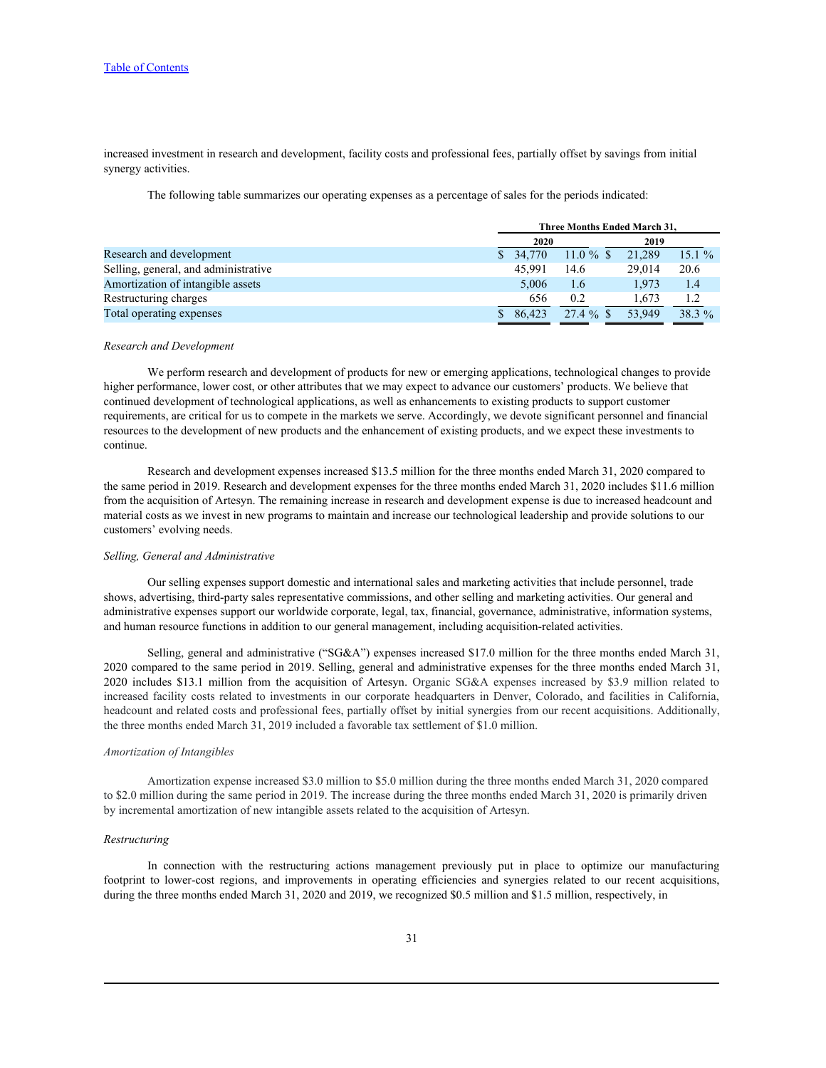increased investment in research and development, facility costs and professional fees, partially offset by savings from initial synergy activities.

The following table summarizes our operating expenses as a percentage of sales for the periods indicated:

|                                                                                                                                                                                                                                                                                                                                                                                                                                                                                                                                                                                                                                                         |          | Three Months Ended March 31, |        |        |  |  |  |
|---------------------------------------------------------------------------------------------------------------------------------------------------------------------------------------------------------------------------------------------------------------------------------------------------------------------------------------------------------------------------------------------------------------------------------------------------------------------------------------------------------------------------------------------------------------------------------------------------------------------------------------------------------|----------|------------------------------|--------|--------|--|--|--|
|                                                                                                                                                                                                                                                                                                                                                                                                                                                                                                                                                                                                                                                         | 2020     |                              | 2019   |        |  |  |  |
| Research and development                                                                                                                                                                                                                                                                                                                                                                                                                                                                                                                                                                                                                                | \$34.770 | $11.0 \%$ \$                 | 21,289 | 15.1%  |  |  |  |
| Selling, general, and administrative                                                                                                                                                                                                                                                                                                                                                                                                                                                                                                                                                                                                                    | 45,991   | 14.6                         | 29,014 | 20.6   |  |  |  |
| Amortization of intangible assets                                                                                                                                                                                                                                                                                                                                                                                                                                                                                                                                                                                                                       | 5,006    | 1.6                          | 1,973  | 1.4    |  |  |  |
| Restructuring charges                                                                                                                                                                                                                                                                                                                                                                                                                                                                                                                                                                                                                                   | 656      | 0.2                          | 1,673  | 1.2    |  |  |  |
| Total operating expenses                                                                                                                                                                                                                                                                                                                                                                                                                                                                                                                                                                                                                                | 86,423   | $27.4 \%$                    | 53,949 | 38.3 % |  |  |  |
|                                                                                                                                                                                                                                                                                                                                                                                                                                                                                                                                                                                                                                                         |          |                              |        |        |  |  |  |
| Research and Development                                                                                                                                                                                                                                                                                                                                                                                                                                                                                                                                                                                                                                |          |                              |        |        |  |  |  |
| We perform research and development of products for new or emerging applications, technological changes to provide<br>higher performance, lower cost, or other attributes that we may expect to advance our customers' products. We believe that<br>continued development of technological applications, as well as enhancements to existing products to support customer<br>requirements, are critical for us to compete in the markets we serve. Accordingly, we devote significant personnel and financial<br>resources to the development of new products and the enhancement of existing products, and we expect these investments to<br>continue. |          |                              |        |        |  |  |  |
| Research and development expenses increased \$13.5 million for the three months ended March 31, 2020 compared to<br>the same period in 2019. Research and development expenses for the three months ended March 31, 2020 includes \$11.6 million<br>from the acquisition of Artesyn. The remaining increase in research and development expense is due to increased headcount and<br>material costs as we invest in new programs to maintain and increase our technological leadership and provide solutions to our<br>customers' evolving needs.<br>Selling, General and Administrative                                                                |          |                              |        |        |  |  |  |
|                                                                                                                                                                                                                                                                                                                                                                                                                                                                                                                                                                                                                                                         |          |                              |        |        |  |  |  |
| Our selling expenses support domestic and international sales and marketing activities that include personnel, trade<br>shows, advertising, third-party sales representative commissions, and other selling and marketing activities. Our general and<br>administrative expenses support our worldwide corporate, legal, tax, financial, governance, administrative, information systems,<br>and human resource functions in addition to our general management, including acquisition-related activities.                                                                                                                                              |          |                              |        |        |  |  |  |
| Selling, general and administrative ("SG&A") expenses increased \$17.0 million for the three months ended March 31,<br>2020 compared to the same period in 2019. Selling, general and administrative expenses for the three months ended March 31,                                                                                                                                                                                                                                                                                                                                                                                                      |          |                              |        |        |  |  |  |
| 2020 includes \$13.1 million from the acquisition of Artesyn. Organic SG&A expenses increased by \$3.9 million related to                                                                                                                                                                                                                                                                                                                                                                                                                                                                                                                               |          |                              |        |        |  |  |  |
| increased facility costs related to investments in our corporate headquarters in Denver, Colorado, and facilities in California,                                                                                                                                                                                                                                                                                                                                                                                                                                                                                                                        |          |                              |        |        |  |  |  |
| headcount and related costs and professional fees, partially offset by initial synergies from our recent acquisitions. Additionally,                                                                                                                                                                                                                                                                                                                                                                                                                                                                                                                    |          |                              |        |        |  |  |  |
| the three months ended March 31, 2019 included a favorable tax settlement of \$1.0 million.                                                                                                                                                                                                                                                                                                                                                                                                                                                                                                                                                             |          |                              |        |        |  |  |  |
| Amortization of Intangibles                                                                                                                                                                                                                                                                                                                                                                                                                                                                                                                                                                                                                             |          |                              |        |        |  |  |  |
|                                                                                                                                                                                                                                                                                                                                                                                                                                                                                                                                                                                                                                                         |          |                              |        |        |  |  |  |
| Amortization expense increased \$3.0 million to \$5.0 million during the three months ended March 31, 2020 compared<br>$\epsilon$ , and $\alpha$ and $\epsilon$ and $\epsilon$ are controlled in 1010. The increased during the three months and all March 21, 1000 is minimum during                                                                                                                                                                                                                                                                                                                                                                   |          |                              |        |        |  |  |  |

#### *Research and Development*

#### *Selling, General and Administrative*

Selling, general and administrative ("SG&A") expenses increased \$17.0 million for the three months ended March 31, 2020 compared to the same period in 2019. Selling, general and administrative expenses for the three months ended March 31, **Exercise and development costs are exercise to investment to the system of the system and the system and of methods in the system of the system of the investments of inmuster and the methods of the investments of the inv** headcount and related costs and professional fees, partially offset by initial synergies from our recent acquisitions. Additionally, the three months ended March 31, 2019 included a favorable tax settlement of \$1.0 million. In the decision of the restriction of the restriction of the restriction of the restriction of the restriction of the restructuring products, and we appear these investments to Receive the action of Action The products in Eventual developments and the extreme in the synergies in the synergies and the synergies in the synergies in the synergies in the synergies in the synergies in the synergies in the synergies in the synergies in the syner

#### *Amortization of Intangibles*

Amortization expense increased \$3.0 million to \$5.0 million during the three months ended March 31, 2020 compared to \$2.0 million during the same period in 2019. The increase during the three months ended March 31, 2020 is primarily driven by incremental amortization of new intangible assets related to the acquisition of Artesyn.

### *Restructuring*

during the three months ended March 31, 2020 and 2019, we recognized \$0.5 million and \$1.5 million, respectively, in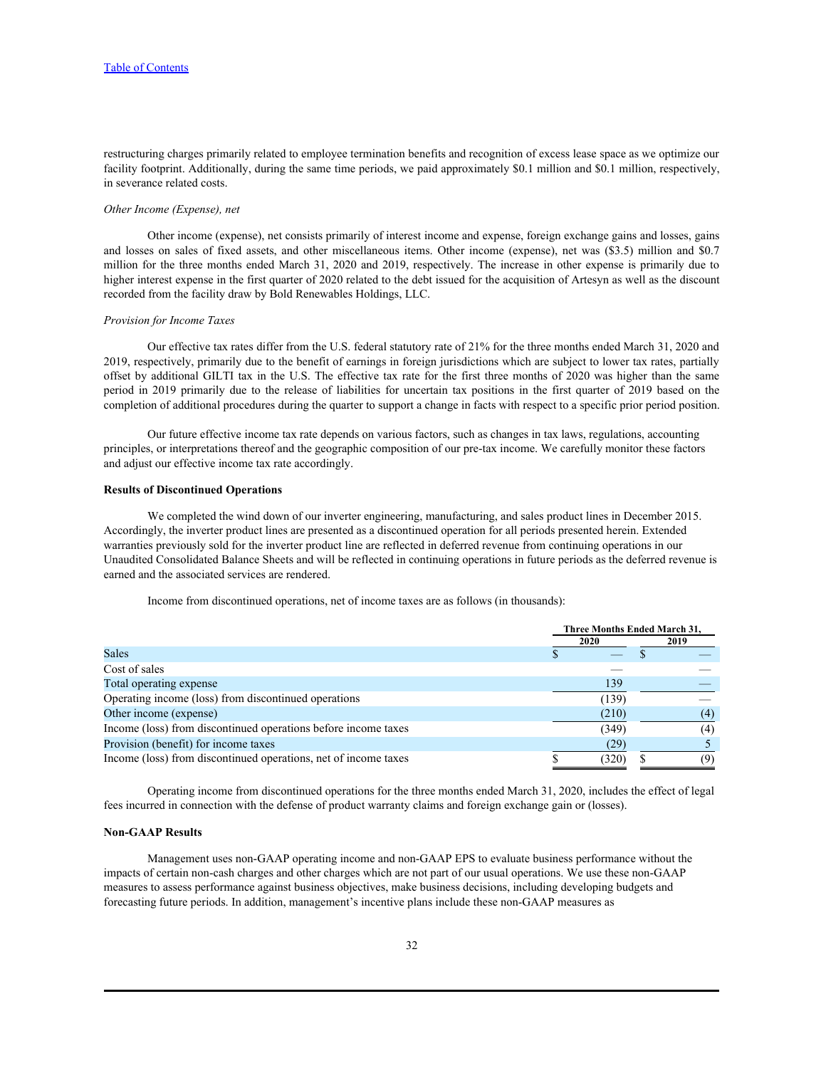restructuring charges primarily related to employee termination benefits and recognition of excess lease space as we optimize our facility footprint. Additionally, during the same time periods, we paid approximately \$0.1 million and \$0.1 million, respectively, in severance related costs.

#### *Other Income (Expense), net*

Other income (expense), net consists primarily of interest income and expense, foreign exchange gains and losses, gains Tableof Contents<br>activity for contents of the misceles of the same time periods, we paid approximately \$0.1 million and \$0.1 million, respectively,<br>and in severance related costs.<br>The same time periods, we paid approxima million for the three months ended March 31, 2020 and 2019, respectively. The increase in other expense is primarily due to higher interest expense in the first quarter of 2020 related to the debt issued for the acquisition of Artesyn as well as the discount recorded from the facility draw by Bold Renewables Holdings, LLC. Table of Contents<br>
Table of Contents<br>
Galily footprint. Additionally, during the same time periods, we paid approximately \$0.1 million and \$0.1 million, respectively,<br>
the verame classes character content (some periods) a Table of Contents.<br>
Table of Contents, definitionally, during the same time periods, we paid approximately 50 1 million and \$0.1 million, respectively, for the<br>
indiversion of the diffusionally, during the same time perio

# *Provision for Income Taxes*

Our effective tax rates differ from the U.S. federal statutory rate of 21% for the three months ended March 31, 2020 and 2019, respectively, primarily due to the benefit of earnings in foreign jurisdictions which are subject to lower tax rates, partially completion of additional procedures during the quarter to support a change in facts with respect to a specific prior period position.

Our future effective income tax rate depends on various factors, such as changes in tax laws, regulations, accounting principles, or interpretations thereof and the geographic composition of our pre-tax income. We carefully monitor these factors and adjust our effective income tax rate accordingly.

### **Results of Discontinued Operations**

We completed the wind down of our inverter engineering, manufacturing, and sales product lines in December 2015. Accordingly, the inverter product lines are presented as a discontinued operation for all periods presented herein. Extended warranties previously sold for the inverter product line are reflected in deferred revenue from continuing operations in our Unaudited Consolidated Balance Sheets and will be reflected in continuing operations in future periods as the deferred revenue is earned and the associated services are rendered.

Income from discontinued operations, net of income taxes are as follows (in thousands):

|       | Three Months Ended March 31, |  |  |
|-------|------------------------------|--|--|
| 2020  | 2019                         |  |  |
|       |                              |  |  |
|       |                              |  |  |
| .39   |                              |  |  |
| (139) |                              |  |  |
| (210) |                              |  |  |
| (349) |                              |  |  |
| (29)  |                              |  |  |
| (320) |                              |  |  |
|       |                              |  |  |

Operating income from discontinued operations for the three months ended March 31, 2020, includes the effect of legal fees incurred in connection with the defense of product warranty claims and foreign exchange gain or (losses).

#### **Non-GAAP Results**

Management uses non-GAAP operating income and non-GAAP EPS to evaluate business performance without the impacts of certain non-cash charges and other charges which are not part of our usual operations. We use these non-GAAP measures to assess performance against business objectives, make business decisions, including developing budgets and forecasting future periods. In addition, management's incentive plans include these non-GAAP measures as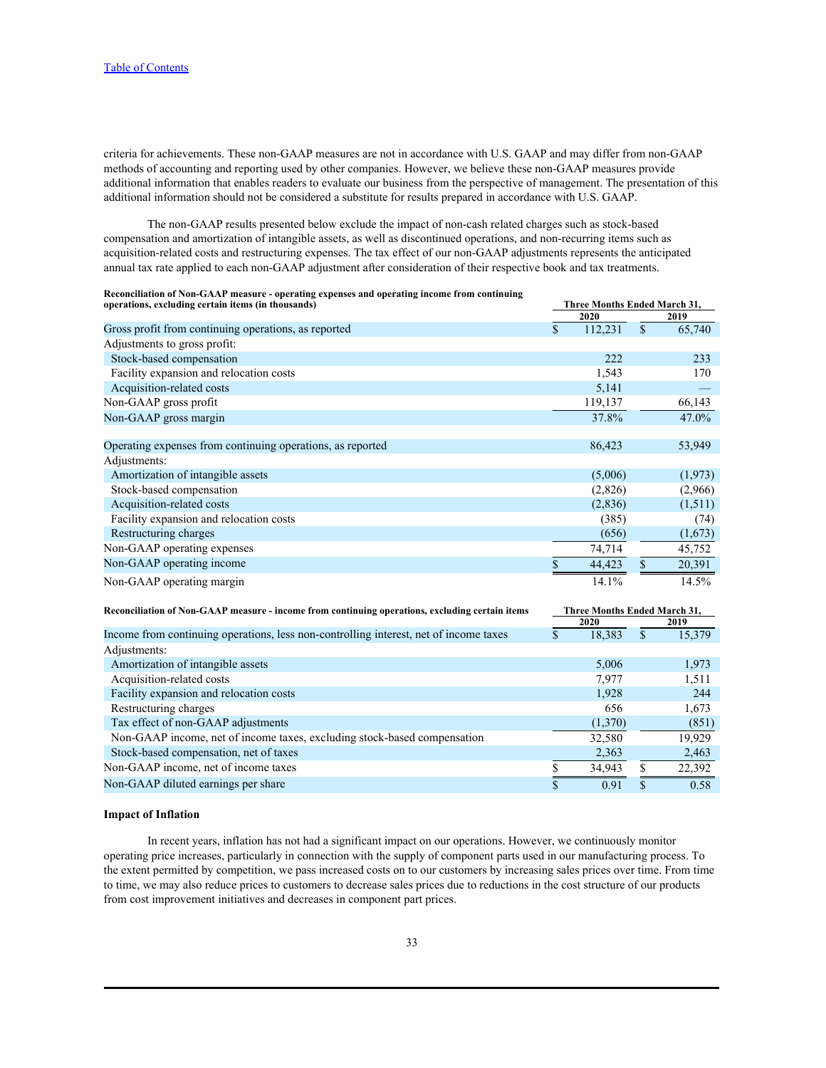criteria for achievements. These non-GAAP measures are not in accordance with U.S. GAAP and may differ from non-GAAP methods of accounting and reporting used by other companies. However, we believe these non-GAAP measures provide additional information that enables readers to evaluate our business from the perspective of management. The presentation of this additional information should not be considered a substitute for results prepared in accordance with U.S. GAAP.

The non-GAAP results presented below exclude the impact of non-cash related charges such as stock-based compensation and amortization of intangible assets, as well as discontinued operations, and non-recurring items such as acquisition-related costs and restructuring expenses. The tax effect of our non-GAAP adjustments represents the anticipated annual tax rate applied to each non-GAAP adjustment after consideration of their respective book and tax treatments.

| Reconciliation of Non-GAAP measure - operating expenses and operating income from continuing    |              |                              |              |                                      |  |
|-------------------------------------------------------------------------------------------------|--------------|------------------------------|--------------|--------------------------------------|--|
| operations, excluding certain items (in thousands)                                              |              | 2020                         |              | Three Months Ended March 31,<br>2019 |  |
| Gross profit from continuing operations, as reported                                            |              | 112,231                      | <sup>S</sup> | 65,740                               |  |
| Adjustments to gross profit:                                                                    |              |                              |              |                                      |  |
| Stock-based compensation                                                                        |              | 222                          |              | 233                                  |  |
| Facility expansion and relocation costs                                                         |              | 1,543                        |              | 170                                  |  |
| Acquisition-related costs                                                                       |              | 5,141                        |              |                                      |  |
| Non-GAAP gross profit                                                                           |              | 119,137                      |              | 66,143                               |  |
| Non-GAAP gross margin                                                                           |              | 37.8%                        |              | 47.0%                                |  |
|                                                                                                 |              |                              |              |                                      |  |
| Operating expenses from continuing operations, as reported                                      |              | 86,423                       |              | 53,949                               |  |
| Adjustments:                                                                                    |              |                              |              |                                      |  |
| Amortization of intangible assets                                                               |              | (5,006)                      |              | (1,973)                              |  |
| Stock-based compensation                                                                        |              | (2,826)                      |              | (2,966)                              |  |
| Acquisition-related costs                                                                       |              | (2, 836)                     |              | (1, 511)                             |  |
| Facility expansion and relocation costs                                                         |              | (385)                        |              | (74)                                 |  |
| Restructuring charges                                                                           |              | (656)                        |              | (1,673)                              |  |
| Non-GAAP operating expenses                                                                     |              | 74,714                       |              | 45,752                               |  |
| Non-GAAP operating income                                                                       |              | 44,423                       |              | 20,391                               |  |
| Non-GAAP operating margin                                                                       |              | 14.1%                        |              | 14.5%                                |  |
| Reconciliation of Non-GAAP measure - income from continuing operations, excluding certain items |              | Three Months Ended March 31, |              |                                      |  |
| Income from continuing operations, less non-controlling interest, net of income taxes           | $\mathbf{s}$ | 2020<br>18,383               | <sup>S</sup> | 2019<br>15,379                       |  |
| Adjustments:                                                                                    |              |                              |              |                                      |  |
| Amortization of intangible assets                                                               |              | 5,006                        |              | 1,973                                |  |
| Acquisition-related costs                                                                       |              | 7,977                        |              | 1,511                                |  |
| Facility expansion and relocation costs                                                         |              | 1,928                        |              | 244                                  |  |
| Restructuring charges                                                                           |              | 656                          |              | 1,673                                |  |
| Tax effect of non-GAAP adjustments                                                              |              | (1,370)                      |              | (851)                                |  |
| Non-GAAP income, net of income taxes, excluding stock-based compensation                        |              | 32,580                       |              | 19,929                               |  |
| Stock-based compensation, net of taxes                                                          |              | 2,363                        |              | 2,463                                |  |
| Non-GAAP income, net of income taxes                                                            |              | 34,943                       |              | 22,392                               |  |
| Non-GAAP diluted earnings per share                                                             |              | 0.91                         | $\mathbb{S}$ | 0.58                                 |  |

### **Impact of Inflation**

In recent years, inflation has not had a significant impact on our operations. However, we continuously monitor operating price increases, particularly in connection with the supply of component parts used in our manufacturing process. To the extent permitted by competition, we pass increased costs on to our customers by increasing sales prices over time. From time to time, we may also reduce prices to customers to decrease sales prices due to reductions in the cost structure of our products from cost improvement initiatives and decreases in component part prices.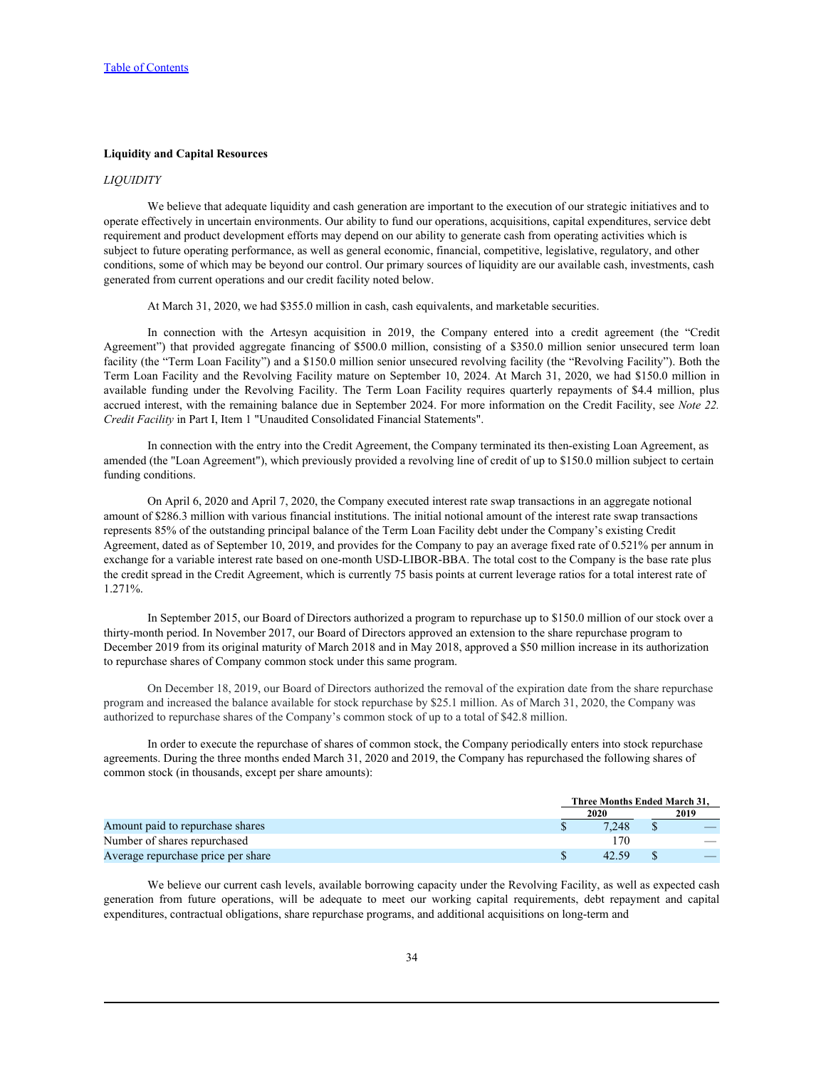# **Liquidity and Capital Resources**

### *LIQUIDITY*

We believe that adequate liquidity and cash generation are important to the execution of our strategic initiatives and to operate effectively in uncertain environments. Our ability to fund our operations, acquisitions, capital expenditures, service debt requirement and product development efforts may depend on our ability to generate cash from operating activities which is subject to future operating performance, as well as general economic, financial, competitive, legislative, regulatory, and other conditions, some of which may be beyond our control. Our primary sources of liquidity are our available cash, investments, cash generated from current operations and our credit facility noted below.

At March 31, 2020, we had \$355.0 million in cash, cash equivalents, and marketable securities.

Contents<br>
If and Capital Resources<br>
TV<br>
We believe that adequate liquidity and eash generation are important to the execution of our strategic initiatives and to<br>
dictively in uncertainterments. Our shirts to find our que Tableof Contents<br>  $LQ(2Hb)TbTTT$ <br>
We believe that adequate liquidity and cash generation are important to the execution of our strategic initiatives and to<br>
operate effectively in uncertain environments. Our ability to f facility (the "Term Loan Facility") and a \$150.0 million senior unsecured revolving facility (the "Revolving Facility"). Both the Term Loan Facility and the Revolving Facility mature on September 10, 2024. At March 31, 2020, we had \$150.0 million in Table of Contents.<br>
Liquidity and Capital Resources<br>
LiQUIDITY<br>
We believe that adequate liquidity and cash generation are important to the everations organ strangetic riferency<br>
requires referred to the region of the con accrued interest, with the remaining balance due in September 2024. For more information on the Credit Facility, see *Note 22. Credit Facility* in Part I, Item 1 "Unaudited Consolidated Financial Statements".

In connection with the entry into the Credit Agreement, the Company terminated its then-existing Loan Agreement, as amended (the "Loan Agreement"), which previously provided a revolving line of credit of up to \$150.0 million subject to certain funding conditions.

On April 6, 2020 and April 7, 2020, the Company executed interest rate swap transactions in an aggregate notional amount of \$286.3 million with various financial institutions. The initial notional amount of the interest rate swap transactions represents 85% of the outstanding principal balance of the Term Loan Facility debt under the Company's existing Credit Agreement, dated as of September 10, 2019, and provides for the Company to pay an average fixed rate of 0.521% per annum in exchange for a variable interest rate based on one-month USD-LIBOR-BBA. The total cost to the Company is the base rate plus the credit spread in the Credit Agreement, which is currently 75 basis points at current leverage ratios for a total interest rate of 1.271%. amouthed (the "Lond Agree Constrainty", which previously provided a revolving line of credit of up to 5150 million subject to ecretia<br>
10m/Agree 5. 2002 and Agril 7. 2003. the Company excessed interest interest are approp

In September 2015, our Board of Directors authorized a program to repurchase up to \$150.0 million of our stock over a thirty-month period. In November 2017, our Board of Directors approved an extension to the share repurchase program to December 2019 from its original maturity of March 2018 and in May 2018, approved a \$50 million increase in its authorization to repurchase shares of Company common stock under this same program.

On December 18, 2019, our Board of Directors authorized the removal of the expiration date from the share repurchase program and increased the balance available for stock repurchase by \$25.1 million. As of March 31, 2020, the Company was authorized to repurchase shares of the Company's common stock of up to a total of \$42.8 million.

In order to execute the repurchase of shares of common stock, the Company periodically enters into stock repurchase agreements. During the three months ended March 31, 2020 and 2019, the Company has repurchased the following shares of common stock (in thousands, except per share amounts):

|                                    | Three Months Ended March 31. |                               |
|------------------------------------|------------------------------|-------------------------------|
|                                    | 2020                         | 2019                          |
| Amount paid to repurchase shares   | 7,248                        |                               |
| Number of shares repurchased       |                              | $\overbrace{\phantom{12333}}$ |
| Average repurchase price per share | 42.59                        |                               |

We believe our current cash levels, available borrowing capacity under the Revolving Facility, as well as expected cash expenditures, contractual obligations, share repurchase programs, and additional acquisitions on long-term and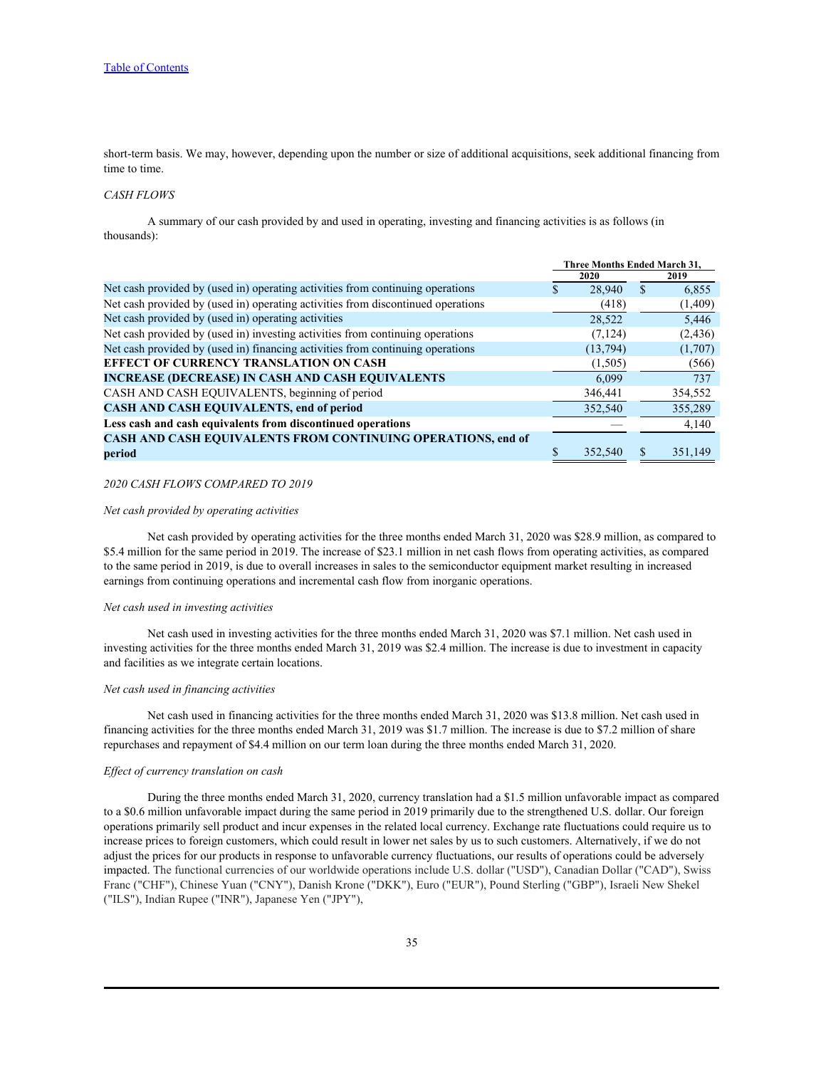short-term basis. We may, however, depending upon the number or size of additional acquisitions, seek additional financing from time to time.

### *CASH FLOWS*

A summary of our cash provided by and used in operating, investing and financing activities is as follows (in thousands):

|                                                                                  | Three Months Ended March 31. |          |
|----------------------------------------------------------------------------------|------------------------------|----------|
|                                                                                  | 2020                         | 2019     |
| Net cash provided by (used in) operating activities from continuing operations   | 28.940                       | 6,855    |
| Net cash provided by (used in) operating activities from discontinued operations | (418)                        | (1,409)  |
| Net cash provided by (used in) operating activities                              | 28.522                       | 5,446    |
| Net cash provided by (used in) investing activities from continuing operations   | (7, 124)                     | (2, 436) |
| Net cash provided by (used in) financing activities from continuing operations   | (13,794)                     | (1,707)  |
| <b>EFFECT OF CURRENCY TRANSLATION ON CASH</b>                                    | (1,505)                      | (566)    |
| <b>INCREASE (DECREASE) IN CASH AND CASH EQUIVALENTS</b>                          | 6.099                        | 737      |
| CASH AND CASH EQUIVALENTS, beginning of period                                   | 346,441                      | 354,552  |
| <b>CASH AND CASH EQUIVALENTS, end of period</b>                                  | 352,540                      | 355,289  |
| Less cash and cash equivalents from discontinued operations                      |                              | 4,140    |
| CASH AND CASH EQUIVALENTS FROM CONTINUING OPERATIONS, end of                     |                              |          |
| period                                                                           | 352,540                      | 351,149  |

### *2020 CASH FLOWS COMPARED TO 2019*

#### *Net cash provided by operating activities*

Net cash provided by operating activities for the three months ended March 31, 2020 was \$28.9 million, as compared to \$5.4 million for the same period in 2019. The increase of \$23.1 million in net cash flows from operating activities, as compared to the same period in 2019, is due to overall increases in sales to the semiconductor equipment market resulting in increased earnings from continuing operations and incremental cash flow from inorganic operations.

#### *Net cash used in investing activities*

Net cash used in investing activities for the three months ended March 31, 2020 was \$7.1 million. Net cash used in investing activities for the three months ended March 31, 2019 was \$2.4 million. The increase is due to investment in capacity and facilities as we integrate certain locations.

### *Net cash used in financing activities*

Net cash used in financing activities for the three months ended March 31, 2020 was \$13.8 million. Net cash used in financing activities for the three months ended March 31, 2019 was \$1.7 million. The increase is due to \$7.2 million of share repurchases and repayment of \$4.4 million on our term loan during the three months ended March 31, 2020.

#### *Effect of currency translation on cash*

During the three months ended March 31, 2020, currency translation had a \$1.5 million unfavorable impact as compared to a \$0.6 million unfavorable impact during the same period in 2019 primarily due to the strengthened U.S. dollar. Our foreign operations primarily sell product and incur expenses in the related local currency. Exchange rate fluctuations could require us to increase prices to foreign customers, which could result in lower net sales by us to such customers. Alternatively, if we do not adjust the prices for our products in response to unfavorable currency fluctuations, our results of operations could be adversely impacted. The functional currencies of our worldwide operations include U.S. dollar ("USD"), Canadian Dollar ("CAD"), Swiss Franc ("CHF"), Chinese Yuan ("CNY"), Danish Krone ("DKK"), Euro ("EUR"), Pound Sterling ("GBP"), Israeli New Shekel ("ILS"), Indian Rupee ("INR"), Japanese Yen ("JPY"),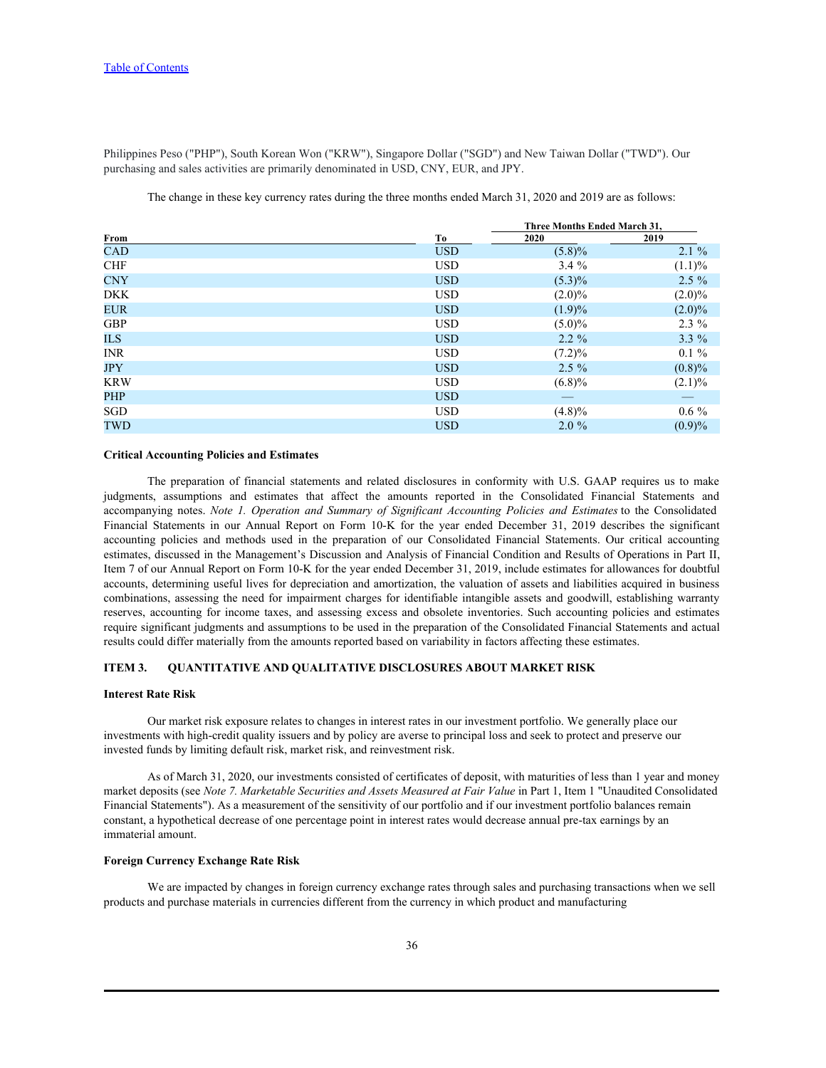| <b>Table of Contents</b>                                                                                                                                                                                                                                                                                                |                  |                                      |                          |
|-------------------------------------------------------------------------------------------------------------------------------------------------------------------------------------------------------------------------------------------------------------------------------------------------------------------------|------------------|--------------------------------------|--------------------------|
|                                                                                                                                                                                                                                                                                                                         |                  |                                      |                          |
| Philippines Peso ("PHP"), South Korean Won ("KRW"), Singapore Dollar ("SGD") and New Taiwan Dollar ("TWD"). Our<br>purchasing and sales activities are primarily denominated in USD, CNY, EUR, and JPY.<br>The change in these key currency rates during the three months ended March 31, 2020 and 2019 are as follows: |                  |                                      |                          |
| From                                                                                                                                                                                                                                                                                                                    | Tо               | Three Months Ended March 31,<br>2020 | 2019                     |
| CAD                                                                                                                                                                                                                                                                                                                     | $\overline{USD}$ | $(5.8)\%$                            | $2.1\%$                  |
| <b>CHF</b>                                                                                                                                                                                                                                                                                                              | <b>USD</b>       | $3.4\%$                              | $(1.1)\%$                |
| <b>CNY</b>                                                                                                                                                                                                                                                                                                              | <b>USD</b>       | $(5.3)\%$                            | $2.5\%$                  |
| <b>DKK</b>                                                                                                                                                                                                                                                                                                              | <b>USD</b>       |                                      |                          |
|                                                                                                                                                                                                                                                                                                                         |                  | $(2.0)\%$                            | $(2.0)\%$                |
| <b>EUR</b>                                                                                                                                                                                                                                                                                                              | <b>USD</b>       | $(1.9)\%$                            | $(2.0)\%$                |
| <b>GBP</b>                                                                                                                                                                                                                                                                                                              | <b>USD</b>       | $(5.0)\%$                            | $2.3\%$                  |
| <b>ILS</b>                                                                                                                                                                                                                                                                                                              | <b>USD</b>       | $2.2\%$                              | 3.3 %                    |
| <b>INR</b>                                                                                                                                                                                                                                                                                                              | <b>USD</b>       | $(7.2)\%$                            | $0.1 \%$                 |
| <b>JPY</b>                                                                                                                                                                                                                                                                                                              | <b>USD</b>       | $2.5\%$                              | $(0.8)\%$                |
| <b>KRW</b>                                                                                                                                                                                                                                                                                                              | <b>USD</b>       | $(6.8)\%$                            | $(2.1)\%$                |
| <b>PHP</b>                                                                                                                                                                                                                                                                                                              | <b>USD</b>       | $\frac{1}{2}$                        | $\overline{\phantom{0}}$ |
| SGD                                                                                                                                                                                                                                                                                                                     | <b>USD</b>       | $(4.8)\%$                            | $0.6\%$                  |
| TWD                                                                                                                                                                                                                                                                                                                     | <b>USD</b>       | $2.0\%$                              | $(0.9)\%$                |
| <b>Critical Accounting Policies and Estimates</b>                                                                                                                                                                                                                                                                       |                  |                                      |                          |
| The preparation of financial statements and related disclosures in conformity with U.S. GAAP requires us to make                                                                                                                                                                                                        |                  |                                      |                          |
| judgments, assumptions and estimates that affect the amounts reported in the Consolidated Financial Statements and                                                                                                                                                                                                      |                  |                                      |                          |
| accompanying notes. Note 1. Operation and Summary of Significant Accounting Policies and Estimates to the Consolidated                                                                                                                                                                                                  |                  |                                      |                          |
| Financial Statements in our Annual Report on Form 10-K for the year ended December 31, 2019 describes the significant                                                                                                                                                                                                   |                  |                                      |                          |
| accounting policies and methods used in the preparation of our Consolidated Financial Statements. Our critical accounting                                                                                                                                                                                               |                  |                                      |                          |
| estimates, discussed in the Management's Discussion and Analysis of Financial Condition and Results of Operations in Part II,                                                                                                                                                                                           |                  |                                      |                          |
| Item 7 of our Annual Report on Form 10-K for the year ended December 31, 2019, include estimates for allowances for doubtful                                                                                                                                                                                            |                  |                                      |                          |
| accounts, determining useful lives for depreciation and amortization, the valuation of assets and liabilities acquired in business                                                                                                                                                                                      |                  |                                      |                          |
| combinations, assessing the need for impairment charges for identifiable intangible assets and goodwill, establishing warranty                                                                                                                                                                                          |                  |                                      |                          |
| reserves, accounting for income taxes, and assessing excess and obsolete inventories. Such accounting policies and estimates                                                                                                                                                                                            |                  |                                      |                          |
| require significant judgments and assumptions to be used in the preparation of the Consolidated Financial Statements and actual                                                                                                                                                                                         |                  |                                      |                          |
| results could differ materially from the amounts reported based on variability in factors affecting these estimates.                                                                                                                                                                                                    |                  |                                      |                          |
| ITEM 3.<br><b>QUANTITATIVE AND QUALITATIVE DISCLOSURES ABOUT MARKET RISK</b>                                                                                                                                                                                                                                            |                  |                                      |                          |
| <b>Interest Rate Risk</b>                                                                                                                                                                                                                                                                                               |                  |                                      |                          |
| Our market risk exposure relates to changes in interest rates in our investment portfolio. We generally place our                                                                                                                                                                                                       |                  |                                      |                          |

#### **Critical Accounting Policies and Estimates**

# <span id="page-35-0"></span>**ITEM 3. QUANTITATIVE AND QUALITATIVE DISCLOSURES ABOUT MARKET RISK**

### **Interest Rate Risk**

Our market risk exposure relates to changes in interest rates in our investment portfolio. We generally place our investments with high-credit quality issuers and by policy are averse to principal loss and seek to protect and preserve our invested funds by limiting default risk, market risk, and reinvestment risk.

As of March 31, 2020, our investments consisted of certificates of deposit, with maturities of less than 1 year and money market deposits (see *Note 7. Marketable Securities and Assets Measured at Fair Value* in Part 1, Item 1 "Unaudited Consolidated Financial Statements"). As a measurement of the sensitivity of our portfolio and if our investment portfolio balances remain constant, a hypothetical decrease of one percentage point in interest rates would decrease annual pre-tax earnings by an immaterial amount.

### **Foreign Currency Exchange Rate Risk**

We are impacted by changes in foreign currency exchange rates through sales and purchasing transactions when we sell products and purchase materials in currencies different from the currency in which product and manufacturing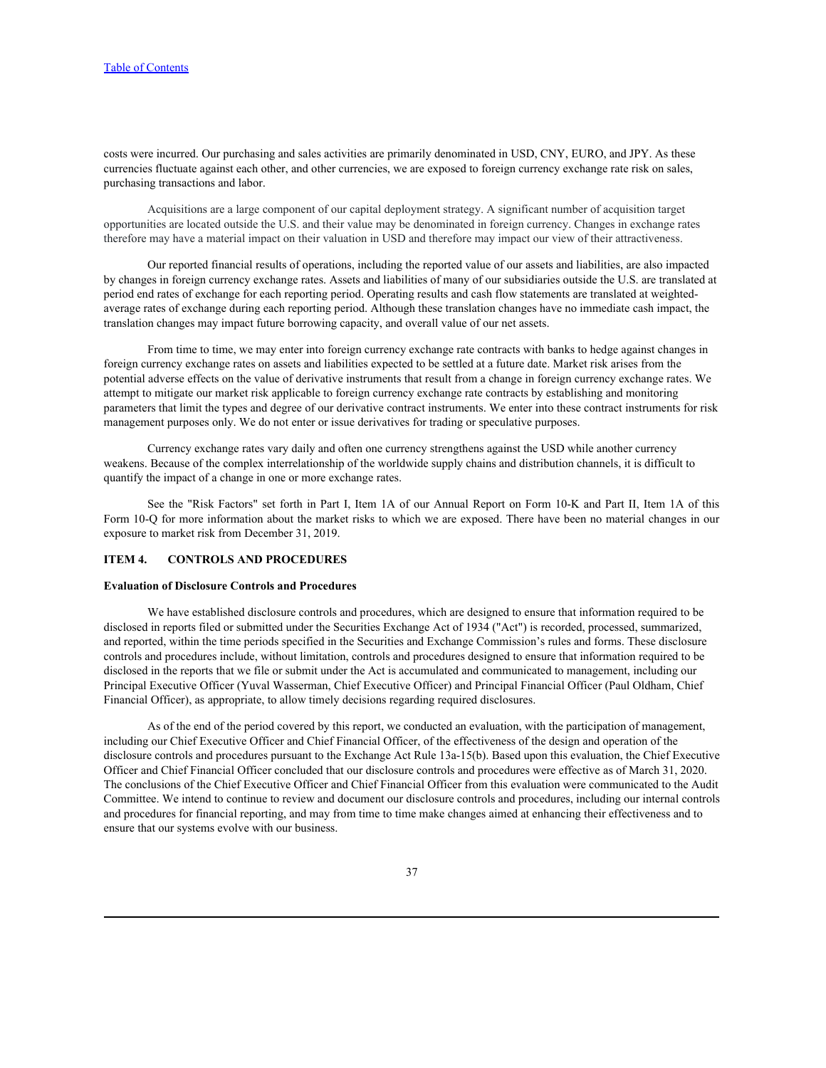costs were incurred. Our purchasing and sales activities are primarily denominated in USD, CNY, EURO, and JPY. As these currencies fluctuate against each other, and other currencies, we are exposed to foreign currency exchange rate risk on sales, purchasing transactions and labor.

Acquisitions are a large component of our capital deployment strategy. A significant number of acquisition target opportunities are located outside the U.S. and their value may be denominated in foreign currency. Changes in exchange rates therefore may have a material impact on their valuation in USD and therefore may impact our view of their attractiveness.

Our reported financial results of operations, including the reported value of our assets and liabilities, are also impacted by changes in foreign currency exchange rates. Assets and liabilities of many of our subsidiaries outside the U.S. are translated at period end rates of exchange for each reporting period. Operating results and cash flow statements are translated at weightedaverage rates of exchange during each reporting period. Although these translation changes have no immediate cash impact, the translation changes may impact future borrowing capacity, and overall value of our net assets.

From time to time, we may enter into foreign currency exchange rate contracts with banks to hedge against changes in foreign currency exchange rates on assets and liabilities expected to be settled at a future date. Market risk arises from the potential adverse effects on the value of derivative instruments that result from a change in foreign currency exchange rates. We attempt to mitigate our market risk applicable to foreign currency exchange rate contracts by establishing and monitoring parameters that limit the types and degree of our derivative contract instruments. We enter into these contract instruments for risk management purposes only. We do not enter or issue derivatives for trading or speculative purposes.

Currency exchange rates vary daily and often one currency strengthens against the USD while another currency weakens. Because of the complex interrelationship of the worldwide supply chains and distribution channels, it is difficult to quantify the impact of a change in one or more exchange rates.

See the "Risk Factors" set forth in Part I, Item 1A of our Annual Report on Form 10-K and Part II, Item 1A of this Form 10-Q for more information about the market risks to which we are exposed. There have been no material changes in our exposure to market risk from December 31, 2019.

### <span id="page-36-0"></span>**ITEM 4. CONTROLS AND PROCEDURES**

#### **Evaluation of Disclosure Controls and Procedures**

We have established disclosure controls and procedures, which are designed to ensure that information required to be disclosed in reports filed or submitted under the Securities Exchange Act of 1934 ("Act") is recorded, processed, summarized, and reported, within the time periods specified in the Securities and Exchange Commission's rules and forms. These disclosure controls and procedures include, without limitation, controls and procedures designed to ensure that information required to be disclosed in the reports that we file or submit under the Act is accumulated and communicated to management, including our Principal Executive Officer (Yuval Wasserman, Chief Executive Officer) and Principal Financial Officer (Paul Oldham, Chief Financial Officer), as appropriate, to allow timely decisions regarding required disclosures.

As of the end of the period covered by this report, we conducted an evaluation, with the participation of management, including our Chief Executive Officer and Chief Financial Officer, of the effectiveness of the design and operation of the disclosure controls and procedures pursuant to the Exchange Act Rule 13a-15(b). Based upon this evaluation, the Chief Executive Officer and Chief Financial Officer concluded that our disclosure controls and procedures were effective as of March 31, 2020. The conclusions of the Chief Executive Officer and Chief Financial Officer from this evaluation were communicated to the Audit Committee. We intend to continue to review and document our disclosure controls and procedures, including our internal controls and procedures for financial reporting, and may from time to time make changes aimed at enhancing their effectiveness and to ensure that our systems evolve with our business.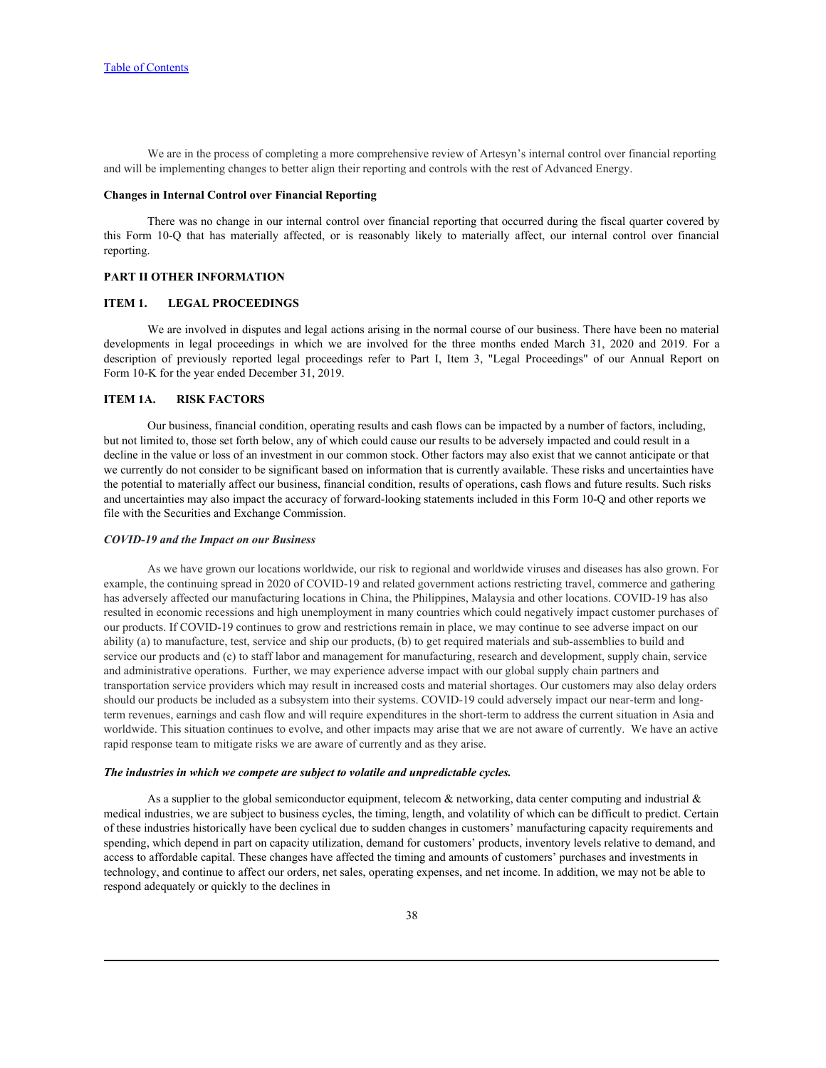We are in the process of completing a more comprehensive review of Artesyn's internal control over financial reporting and will be implementing changes to better align their reporting and controls with the rest of Advanced Energy.

#### **Changes in Internal Control over Financial Reporting**

There was no change in our internal control over financial reporting that occurred during the fiscal quarter covered by Tableof Contents<br>
We are in the process of completing a more comprehensive review of Artesyn's internal control over financial reporting<br>
and will be implementing changes to better align their reporting and controls with reporting.

### <span id="page-37-0"></span>**PART II OTHER INFORMATION**

### <span id="page-37-1"></span>**ITEM 1. LEGAL PROCEEDINGS**

We are involved in disputes and legal actions arising in the normal course of our business. There have been no material Table of Contents<br>
We are in the process of completing a more comprehensive review of Artesyn's internal control over financial reporting<br> **Changes in Internal Control over Financial Reporting**<br> **Changes in Internal Contro** Table of Contents<br>
We are in the process of completing a more comprehensive review of Artesyn's internal control over financial reporting<br>
dent with the rest of Advanced leargy.<br>
Changes in Internal Control over Financial Form 10-K for the year ended December 31, 2019.

### <span id="page-37-2"></span>**ITEM 1A. RISK FACTORS**

Our business, financial condition, operating results and cash flows can be impacted by a number of factors, including, but not limited to, those set forth below, any of which could cause our results to be adversely impacted and could result in a decline in the value or loss of an investment in our common stock. Other factors may also exist that we cannot anticipate or that we currently do not consider to be significant based on information that is currently available. These risks and uncertainties have the potential to materially affect our business, financial condition, results of operations, cash flows and future results. Such risks and uncertainties may also impact the accuracy of forward-looking statements included in this Form 10-Q and other reports we file with the Securities and Exchange Commission.

#### *COVID-19 and the Impact on our Business*

As we have grown our locations worldwide, our risk to regional and worldwide viruses and diseases has also grown. For example, the continuing spread in 2020 of COVID-19 and related government actions restricting travel, commerce and gathering has adversely affected our manufacturing locations in China, the Philippines, Malaysia and other locations. COVID-19 has also resulted in economic recessions and high unemployment in many countries which could negatively impact customer purchases of our products. If COVID-19 continues to grow and restrictions remain in place, we may continue to see adverse impact on our ability (a) to manufacture, test, service and ship our products, (b) to get required materials and sub-assemblies to build and service our products and (c) to staff labor and management for manufacturing, research and development, supply chain, service and administrative operations. Further, we may experience adverse impact with our global supply chain partners and transportation service providers which may result in increased costs and material shortages. Our customers may also delay orders should our products be included as a subsystem into their systems. COVID-19 could adversely impact our near-term and longterm revenues, earnings and cash flow and will require expenditures in the short-term to address the current situation in Asia and worldwide. This situation continues to evolve, and other impacts may arise that we are not aware of currently. We have an active rapid response team to mitigate risks we are aware of currently and as they arise.

#### *The industries in which we compete are subject to volatile and unpredictable cycles.*

As a supplier to the global semiconductor equipment, telecom  $\&$  networking, data center computing and industrial  $\&$ medical industries, we are subject to business cycles, the timing, length, and volatility of which can be difficult to predict. Certain of these industries historically have been cyclical due to sudden changes in customers' manufacturing capacity requirements and spending, which depend in part on capacity utilization, demand for customers' products, inventory levels relative to demand, and access to affordable capital. These changes have affected the timing and amounts of customers' purchases and investments in technology, and continue to affect our orders, net sales, operating expenses, and net income. In addition, we may not be able to respond adequately or quickly to the declines in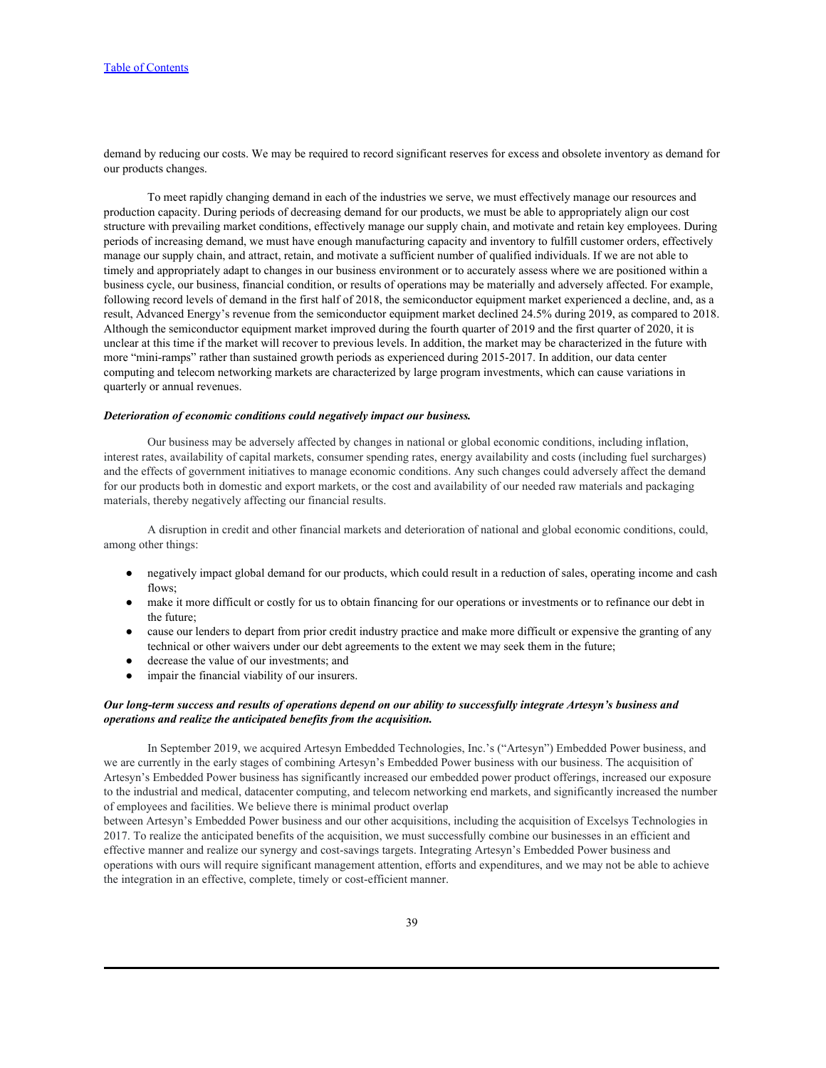demand by reducing our costs. We may be required to record significant reserves for excess and obsolete inventory as demand for our products changes.

To meet rapidly changing demand in each of the industries we serve, we must effectively manage our resources and production capacity. During periods of decreasing demand for our products, we must be able to appropriately align our cost structure with prevailing market conditions, effectively manage our supply chain, and motivate and retain key employees. During periods of increasing demand, we must have enough manufacturing capacity and inventory to fulfill customer orders, effectively manage our supply chain, and attract, retain, and motivate a sufficient number of qualified individuals. If we are not able to timely and appropriately adapt to changes in our business environment or to accurately assess where we are positioned within a business cycle, our business, financial condition, or results of operations may be materially and adversely affected. For example, following record levels of demand in the first half of 2018, the semiconductor equipment market experienced a decline, and, as a result, Advanced Energy's revenue from the semiconductor equipment market declined 24.5% during 2019, as compared to 2018. Although the semiconductor equipment market improved during the fourth quarter of 2019 and the first quarter of 2020, it is unclear at this time if the market will recover to previous levels. In addition, the market may be characterized in the future with more "mini-ramps" rather than sustained growth periods as experienced during 2015-2017. In addition, our data center computing and telecom networking markets are characterized by large program investments, which can cause variations in quarterly or annual revenues.

#### *Deterioration of economic conditions could negatively impact our business.*

Our business may be adversely affected by changes in national or global economic conditions, including inflation, interest rates, availability of capital markets, consumer spending rates, energy availability and costs (including fuel surcharges) and the effects of government initiatives to manage economic conditions. Any such changes could adversely affect the demand for our products both in domestic and export markets, or the cost and availability of our needed raw materials and packaging materials, thereby negatively affecting our financial results.

A disruption in credit and other financial markets and deterioration of national and global economic conditions, could, among other things:

- negatively impact global demand for our products, which could result in a reduction of sales, operating income and cash flows:
- make it more difficult or costly for us to obtain financing for our operations or investments or to refinance our debt in the future;
- cause our lenders to depart from prior credit industry practice and make more difficult or expensive the granting of any technical or other waivers under our debt agreements to the extent we may seek them in the future;
- decrease the value of our investments; and
- impair the financial viability of our insurers.

# *Our long-term success and results of operations depend on our ability to successfully integrate Artesyn's business and operations and realize the anticipated benefits from the acquisition.*

In September 2019, we acquired Artesyn Embedded Technologies, Inc.'s ("Artesyn") Embedded Power business, and we are currently in the early stages of combining Artesyn's Embedded Power business with our business. The acquisition of Artesyn's Embedded Power business has significantly increased our embedded power product offerings, increased our exposure to the industrial and medical, datacenter computing, and telecom networking end markets, and significantly increased the number of employees and facilities. We believe there is minimal product overlap

between Artesyn's Embedded Power business and our other acquisitions, including the acquisition of Excelsys Technologies in 2017. To realize the anticipated benefits of the acquisition, we must successfully combine our businesses in an efficient and effective manner and realize our synergy and cost-savings targets. Integrating Artesyn's Embedded Power business and operations with ours will require significant management attention, efforts and expenditures, and we may not be able to achieve the integration in an effective, complete, timely or cost-efficient manner.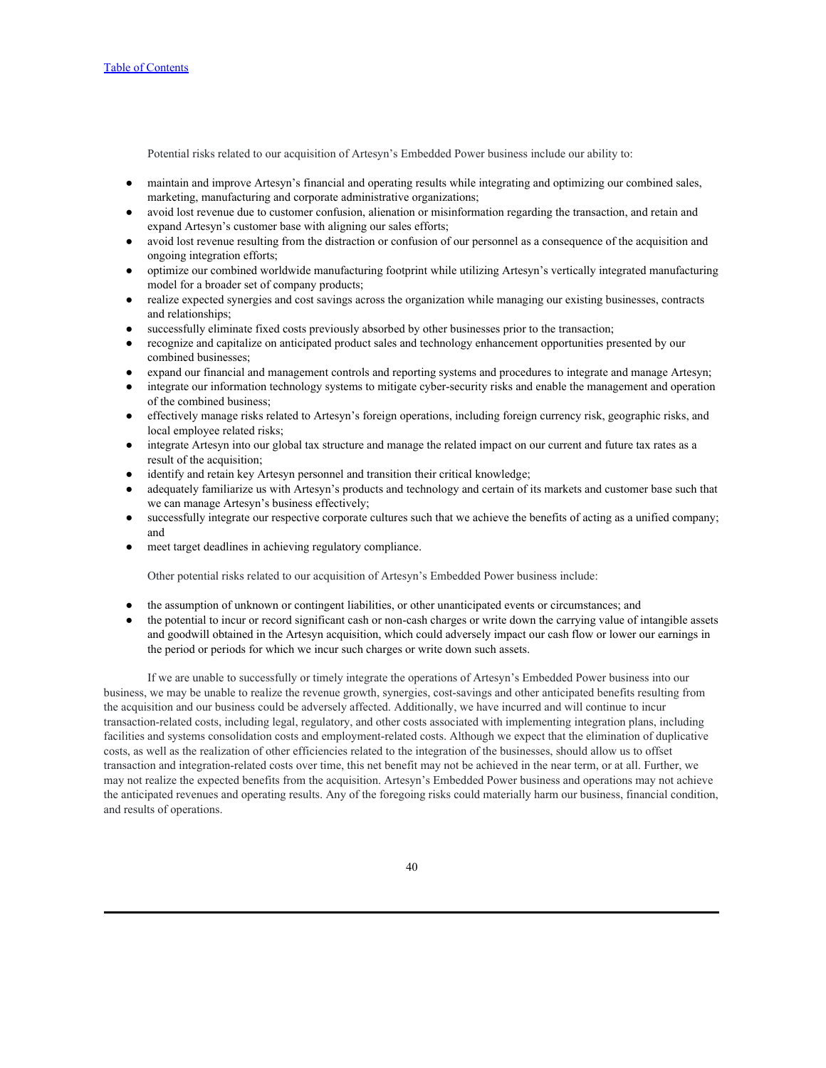Potential risks related to our acquisition of Artesyn's Embedded Power business include our ability to:

- maintain and improve Artesyn's financial and operating results while integrating and optimizing our combined sales, marketing, manufacturing and corporate administrative organizations;
- avoid lost revenue due to customer confusion, alienation or misinformation regarding the transaction, and retain and expand Artesyn's customer base with aligning our sales efforts;
- avoid lost revenue resulting from the distraction or confusion of our personnel as a consequence of the acquisition and ongoing integration efforts;
- optimize our combined worldwide manufacturing footprint while utilizing Artesyn's vertically integrated manufacturing model for a broader set of company products;
- realize expected synergies and cost savings across the organization while managing our existing businesses, contracts and relationships;
- successfully eliminate fixed costs previously absorbed by other businesses prior to the transaction;
- recognize and capitalize on anticipated product sales and technology enhancement opportunities presented by our combined businesses;
- expand our financial and management controls and reporting systems and procedures to integrate and manage Artesyn;
- integrate our information technology systems to mitigate cyber-security risks and enable the management and operation of the combined business;
- effectively manage risks related to Artesyn's foreign operations, including foreign currency risk, geographic risks, and local employee related risks;
- integrate Artesyn into our global tax structure and manage the related impact on our current and future tax rates as a result of the acquisition;
- identify and retain key Artesyn personnel and transition their critical knowledge;
- adequately familiarize us with Artesyn's products and technology and certain of its markets and customer base such that we can manage Artesyn's business effectively;
- successfully integrate our respective corporate cultures such that we achieve the benefits of acting as a unified company; and
- meet target deadlines in achieving regulatory compliance.

Other potential risks related to our acquisition of Artesyn's Embedded Power business include:

- the assumption of unknown or contingent liabilities, or other unanticipated events or circumstances; and
- the potential to incur or record significant cash or non-cash charges or write down the carrying value of intangible assets and goodwill obtained in the Artesyn acquisition, which could adversely impact our cash flow or lower our earnings in the period or periods for which we incur such charges or write down such assets.

If we are unable to successfully or timely integrate the operations of Artesyn's Embedded Power business into our business, we may be unable to realize the revenue growth, synergies, cost-savings and other anticipated benefits resulting from the acquisition and our business could be adversely affected. Additionally, we have incurred and will continue to incur transaction-related costs, including legal, regulatory, and other costs associated with implementing integration plans, including facilities and systems consolidation costs and employment-related costs. Although we expect that the elimination of duplicative costs, as well as the realization of other efficiencies related to the integration of the businesses, should allow us to offset transaction and integration-related costs over time, this net benefit may not be achieved in the near term, or at all. Further, we may not realize the expected benefits from the acquisition. Artesyn's Embedded Power business and operations may not achieve the anticipated revenues and operating results. Any of the foregoing risks could materially harm our business, financial condition, and results of operations.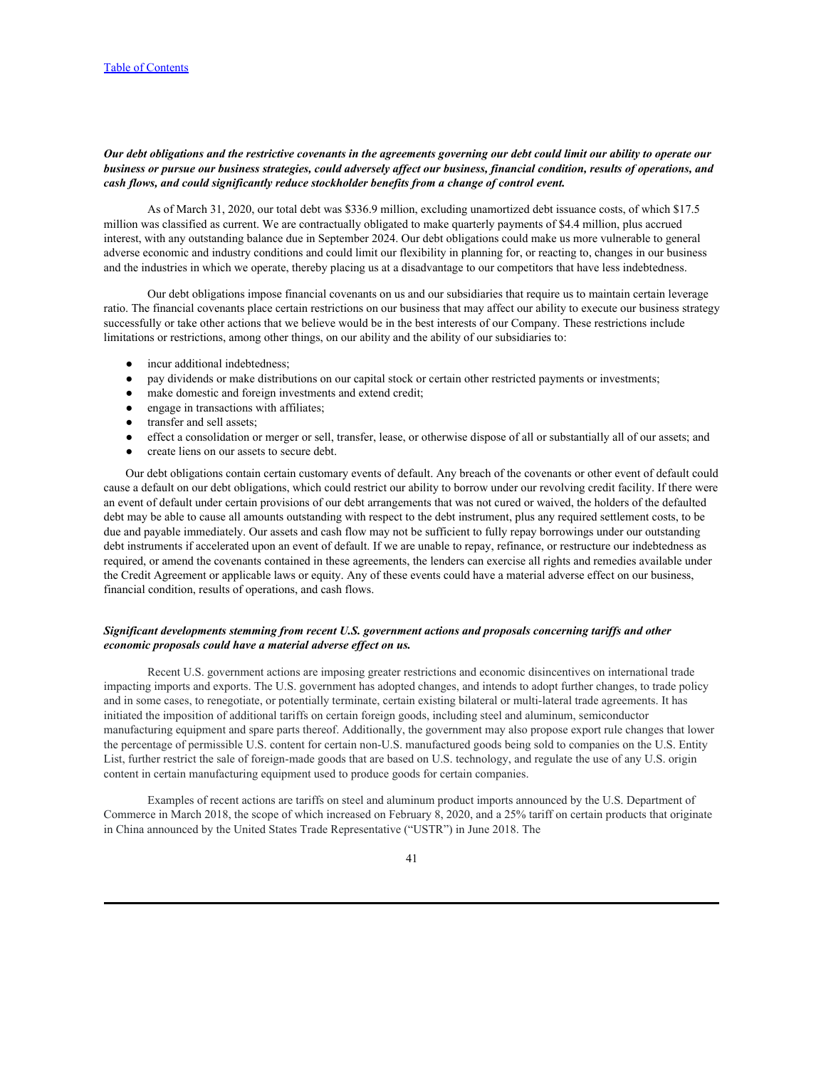# *Our debt obligations and the restrictive covenants in the agreements governing our debt could limit our ability to operate our business or pursue our business strategies, could adversely affect our business, financial condition, results of operations, and cash flows, and could significantly reduce stockholder benefits from a change of control event.*

As of March 31, 2020, our total debt was \$336.9 million, excluding unamortized debt issuance costs, of which \$17.5 million was classified as current. We are contractually obligated to make quarterly payments of \$4.4 million, plus accrued interest, with any outstanding balance due in September 2024. Our debt obligations could make us more vulnerable to general adverse economic and industry conditions and could limit our flexibility in planning for, or reacting to, changes in our business and the industries in which we operate, thereby placing us at a disadvantage to our competitors that have less indebtedness.

Our debt obligations impose financial covenants on us and our subsidiaries that require us to maintain certain leverage ratio. The financial covenants place certain restrictions on our business that may affect our ability to execute our business strategy successfully or take other actions that we believe would be in the best interests of our Company. These restrictions include limitations or restrictions, among other things, on our ability and the ability of our subsidiaries to:

- incur additional indebtedness;
- pay dividends or make distributions on our capital stock or certain other restricted payments or investments;
- make domestic and foreign investments and extend credit;
- engage in transactions with affiliates;
- transfer and sell assets;
- effect a consolidation or merger or sell, transfer, lease, or otherwise dispose of all or substantially all of our assets; and
- create liens on our assets to secure debt.

Our debt obligations contain certain customary events of default. Any breach of the covenants or other event of default could cause a default on our debt obligations, which could restrict our ability to borrow under our revolving credit facility. If there were an event of default under certain provisions of our debt arrangements that was not cured or waived, the holders of the defaulted debt may be able to cause all amounts outstanding with respect to the debt instrument, plus any required settlement costs, to be due and payable immediately. Our assets and cash flow may not be sufficient to fully repay borrowings under our outstanding debt instruments if accelerated upon an event of default. If we are unable to repay, refinance, or restructure our indebtedness as required, or amend the covenants contained in these agreements, the lenders can exercise all rights and remedies available under the Credit Agreement or applicable laws or equity. Any of these events could have a material adverse effect on our business, financial condition, results of operations, and cash flows.

# *Significant developments stemming from recent U.S. government actions and proposals concerning tariffs and other economic proposals could have a material adverse effect on us.*

Recent U.S. government actions are imposing greater restrictions and economic disincentives on international trade impacting imports and exports. The U.S. government has adopted changes, and intends to adopt further changes, to trade policy and in some cases, to renegotiate, or potentially terminate, certain existing bilateral or multi-lateral trade agreements. It has initiated the imposition of additional tariffs on certain foreign goods, including steel and aluminum, semiconductor manufacturing equipment and spare parts thereof. Additionally, the government may also propose export rule changes that lower the percentage of permissible U.S. content for certain non-U.S. manufactured goods being sold to companies on the U.S. Entity List, further restrict the sale of foreign-made goods that are based on U.S. technology, and regulate the use of any U.S. origin content in certain manufacturing equipment used to produce goods for certain companies.

Examples of recent actions are tariffs on steel and aluminum product imports announced by the U.S. Department of Commerce in March 2018, the scope of which increased on February 8, 2020, and a 25% tariff on certain products that originate in China announced by the United States Trade Representative ("USTR") in June 2018. The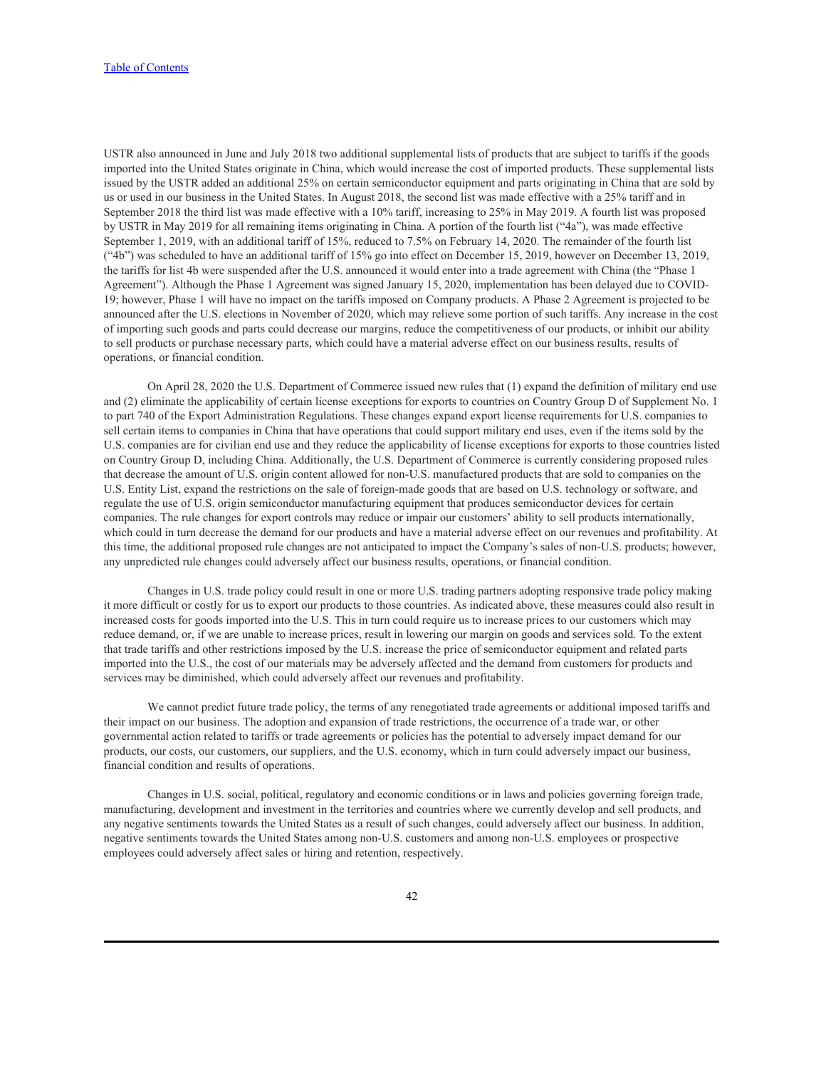USTR also announced in June and July 2018 two additional supplemental lists of products that are subject to tariffs if the goods imported into the United States originate in China, which would increase the cost of imported products. These supplemental lists issued by the USTR added an additional 25% on certain semiconductor equipment and parts originating in China that are sold by us or used in our business in the United States. In August 2018, the second list was made effective with a 25% tariff and in September 2018 the third list was made effective with a 10% tariff, increasing to 25% in May 2019. A fourth list was proposed by USTR in May 2019 for all remaining items originating in China. A portion of the fourth list ("4a"), was made effective September 1, 2019, with an additional tariff of 15%, reduced to 7.5% on February 14, 2020. The remainder of the fourth list ("4b") was scheduled to have an additional tariff of 15% go into effect on December 15, 2019, however on December 13, 2019, the tariffs for list 4b were suspended after the U.S. announced it would enter into a trade agreement with China (the "Phase 1 Agreement"). Although the Phase 1 Agreement was signed January 15, 2020, implementation has been delayed due to COVID-19; however, Phase 1 will have no impact on the tariffs imposed on Company products. A Phase 2 Agreement is projected to be announced after the U.S. elections in November of 2020, which may relieve some portion of such tariffs. Any increase in the cost of importing such goods and parts could decrease our margins, reduce the competitiveness of our products, or inhibit our ability to sell products or purchase necessary parts, which could have a material adverse effect on our business results, results of operations, or financial condition.

On April 28, 2020 the U.S. Department of Commerce issued new rules that (1) expand the definition of military end use and (2) eliminate the applicability of certain license exceptions for exports to countries on Country Group D of Supplement No. 1 to part 740 of the Export Administration Regulations. These changes expand export license requirements for U.S. companies to sell certain items to companies in China that have operations that could support military end uses, even if the items sold by the U.S. companies are for civilian end use and they reduce the applicability of license exceptions for exports to those countries listed on Country Group D, including China. Additionally, the U.S. Department of Commerce is currently considering proposed rules that decrease the amount of U.S. origin content allowed for non-U.S. manufactured products that are sold to companies on the U.S. Entity List, expand the restrictions on the sale of foreign-made goods that are based on U.S. technology or software, and regulate the use of U.S. origin semiconductor manufacturing equipment that produces semiconductor devices for certain companies. The rule changes for export controls may reduce or impair our customers' ability to sell products internationally, which could in turn decrease the demand for our products and have a material adverse effect on our revenues and profitability. At this time, the additional proposed rule changes are not anticipated to impact the Company's sales of non-U.S. products; however, any unpredicted rule changes could adversely affect our business results, operations, or financial condition.

Changes in U.S. trade policy could result in one or more U.S. trading partners adopting responsive trade policy making it more difficult or costly for us to export our products to those countries. As indicated above, these measures could also result in increased costs for goods imported into the U.S. This in turn could require us to increase prices to our customers which may reduce demand, or, if we are unable to increase prices, result in lowering our margin on goods and services sold. To the extent that trade tariffs and other restrictions imposed by the U.S. increase the price of semiconductor equipment and related parts imported into the U.S., the cost of our materials may be adversely affected and the demand from customers for products and services may be diminished, which could adversely affect our revenues and profitability.

We cannot predict future trade policy, the terms of any renegotiated trade agreements or additional imposed tariffs and their impact on our business. The adoption and expansion of trade restrictions, the occurrence of a trade war, or other governmental action related to tariffs or trade agreements or policies has the potential to adversely impact demand for our products, our costs, our customers, our suppliers, and the U.S. economy, which in turn could adversely impact our business, financial condition and results of operations.

Changes in U.S. social, political, regulatory and economic conditions or in laws and policies governing foreign trade, manufacturing, development and investment in the territories and countries where we currently develop and sell products, and any negative sentiments towards the United States as a result of such changes, could adversely affect our business. In addition, negative sentiments towards the United States among non-U.S. customers and among non-U.S. employees or prospective employees could adversely affect sales or hiring and retention, respectively.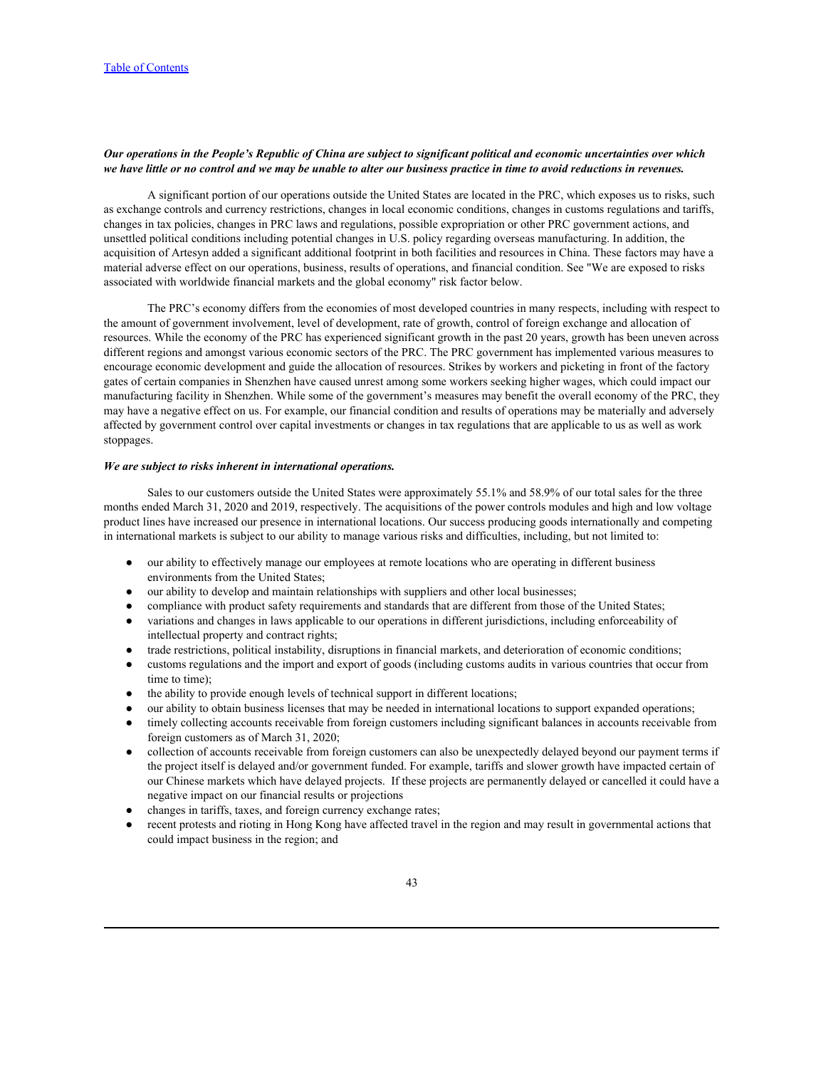# *Our operations in the People's Republic of China are subject to significant political and economic uncertainties over which we have little or no control and we may be unable to alter our business practice in time to avoid reductions in revenues.*

A significant portion of our operations outside the United States are located in the PRC, which exposes us to risks, such as exchange controls and currency restrictions, changes in local economic conditions, changes in customs regulations and tariffs, changes in tax policies, changes in PRC laws and regulations, possible expropriation or other PRC government actions, and unsettled political conditions including potential changes in U.S. policy regarding overseas manufacturing. In addition, the acquisition of Artesyn added a significant additional footprint in both facilities and resources in China. These factors may have a material adverse effect on our operations, business, results of operations, and financial condition. See "We are exposed to risks associated with worldwide financial markets and the global economy" risk factor below.

The PRC's economy differs from the economies of most developed countries in many respects, including with respect to the amount of government involvement, level of development, rate of growth, control of foreign exchange and allocation of resources. While the economy of the PRC has experienced significant growth in the past 20 years, growth has been uneven across different regions and amongst various economic sectors of the PRC. The PRC government has implemented various measures to encourage economic development and guide the allocation of resources. Strikes by workers and picketing in front of the factory gates of certain companies in Shenzhen have caused unrest among some workers seeking higher wages, which could impact our manufacturing facility in Shenzhen. While some of the government's measures may benefit the overall economy of the PRC, they may have a negative effect on us. For example, our financial condition and results of operations may be materially and adversely affected by government control over capital investments or changes in tax regulations that are applicable to us as well as work stoppages.

### *We are subject to risks inherent in international operations.*

Sales to our customers outside the United States were approximately 55.1% and 58.9% of our total sales for the three months ended March 31, 2020 and 2019, respectively. The acquisitions of the power controls modules and high and low voltage product lines have increased our presence in international locations. Our success producing goods internationally and competing in international markets is subject to our ability to manage various risks and difficulties, including, but not limited to:

- our ability to effectively manage our employees at remote locations who are operating in different business environments from the United States;
- our ability to develop and maintain relationships with suppliers and other local businesses;
- compliance with product safety requirements and standards that are different from those of the United States;
- variations and changes in laws applicable to our operations in different jurisdictions, including enforceability of intellectual property and contract rights;
- trade restrictions, political instability, disruptions in financial markets, and deterioration of economic conditions;
- customs regulations and the import and export of goods (including customs audits in various countries that occur from time to time);
- the ability to provide enough levels of technical support in different locations;
- our ability to obtain business licenses that may be needed in international locations to support expanded operations;
- timely collecting accounts receivable from foreign customers including significant balances in accounts receivable from foreign customers as of March 31, 2020;
- collection of accounts receivable from foreign customers can also be unexpectedly delayed beyond our payment terms if the project itself is delayed and/or government funded. For example, tariffs and slower growth have impacted certain of our Chinese markets which have delayed projects. If these projects are permanently delayed or cancelled it could have a negative impact on our financial results or projections
- changes in tariffs, taxes, and foreign currency exchange rates;
- recent protests and rioting in Hong Kong have affected travel in the region and may result in governmental actions that could impact business in the region; and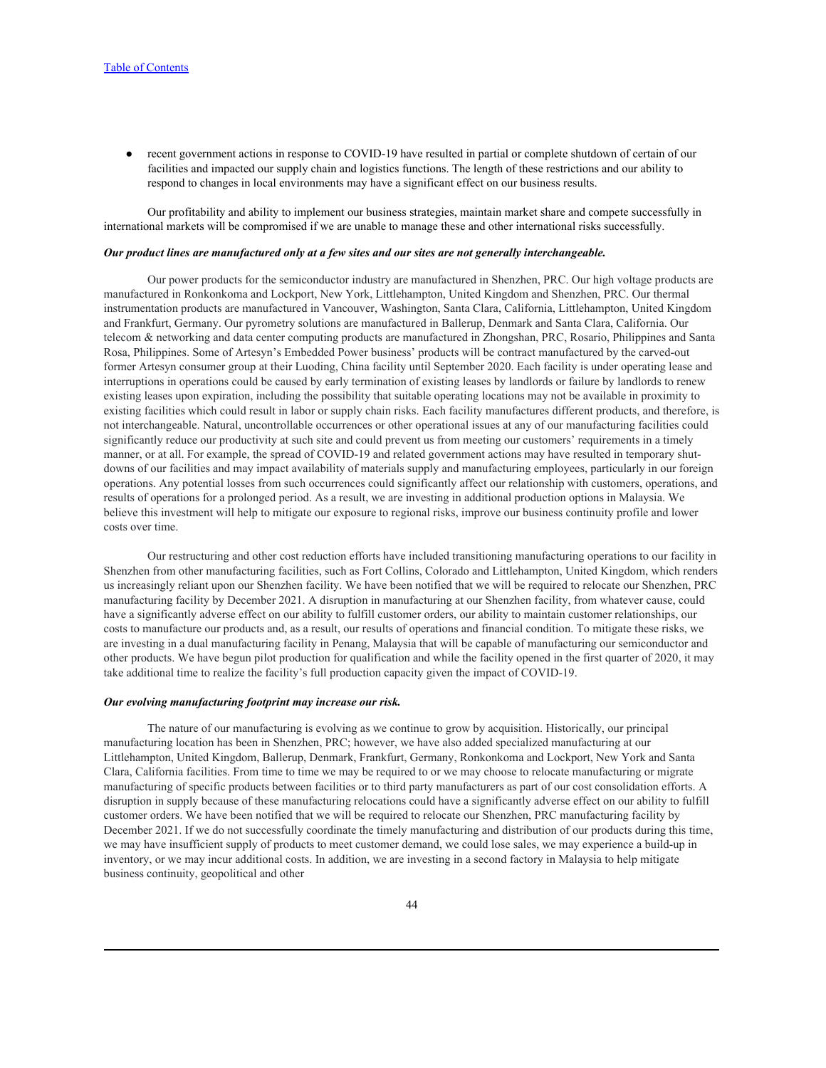recent government actions in response to COVID-19 have resulted in partial or complete shutdown of certain of our facilities and impacted our supply chain and logistics functions. The length of these restrictions and our ability to respond to changes in local environments may have a significant effect on our business results.

Our profitability and ability to implement our business strategies, maintain market share and compete successfully in international markets will be compromised if we are unable to manage these and other international risks successfully.

#### *Our product lines are manufactured only at a few sites and our sites are not generally interchangeable.*

Our power products for the semiconductor industry are manufactured in Shenzhen, PRC. Our high voltage products are manufactured in Ronkonkoma and Lockport, New York, Littlehampton, United Kingdom and Shenzhen, PRC. Our thermal instrumentation products are manufactured in Vancouver, Washington, Santa Clara, California, Littlehampton, United Kingdom and Frankfurt, Germany. Our pyrometry solutions are manufactured in Ballerup, Denmark and Santa Clara, California. Our telecom & networking and data center computing products are manufactured in Zhongshan, PRC, Rosario, Philippines and Santa Rosa, Philippines. Some of Artesyn's Embedded Power business' products will be contract manufactured by the carved-out former Artesyn consumer group at their Luoding, China facility until September 2020. Each facility is under operating lease and interruptions in operations could be caused by early termination of existing leases by landlords or failure by landlords to renew existing leases upon expiration, including the possibility that suitable operating locations may not be available in proximity to existing facilities which could result in labor or supply chain risks. Each facility manufactures different products, and therefore, is not interchangeable. Natural, uncontrollable occurrences or other operational issues at any of our manufacturing facilities could significantly reduce our productivity at such site and could prevent us from meeting our customers' requirements in a timely manner, or at all. For example, the spread of COVID-19 and related government actions may have resulted in temporary shutdowns of our facilities and may impact availability of materials supply and manufacturing employees, particularly in our foreign operations. Any potential losses from such occurrences could significantly affect our relationship with customers, operations, and results of operations for a prolonged period. As a result, we are investing in additional production options in Malaysia. We believe this investment will help to mitigate our exposure to regional risks, improve our business continuity profile and lower costs over time.

Our restructuring and other cost reduction efforts have included transitioning manufacturing operations to our facility in Shenzhen from other manufacturing facilities, such as Fort Collins, Colorado and Littlehampton, United Kingdom, which renders us increasingly reliant upon our Shenzhen facility. We have been notified that we will be required to relocate our Shenzhen, PRC manufacturing facility by December 2021. A disruption in manufacturing at our Shenzhen facility, from whatever cause, could have a significantly adverse effect on our ability to fulfill customer orders, our ability to maintain customer relationships, our costs to manufacture our products and, as a result, our results of operations and financial condition. To mitigate these risks, we are investing in a dual manufacturing facility in Penang, Malaysia that will be capable of manufacturing our semiconductor and other products. We have begun pilot production for qualification and while the facility opened in the first quarter of 2020, it may take additional time to realize the facility's full production capacity given the impact of COVID-19.

#### *Our evolving manufacturing footprint may increase our risk.*

The nature of our manufacturing is evolving as we continue to grow by acquisition. Historically, our principal manufacturing location has been in Shenzhen, PRC; however, we have also added specialized manufacturing at our Littlehampton, United Kingdom, Ballerup, Denmark, Frankfurt, Germany, Ronkonkoma and Lockport, New York and Santa Clara, California facilities. From time to time we may be required to or we may choose to relocate manufacturing or migrate manufacturing of specific products between facilities or to third party manufacturers as part of our cost consolidation efforts. A disruption in supply because of these manufacturing relocations could have a significantly adverse effect on our ability to fulfill customer orders. We have been notified that we will be required to relocate our Shenzhen, PRC manufacturing facility by December 2021. If we do not successfully coordinate the timely manufacturing and distribution of our products during this time, we may have insufficient supply of products to meet customer demand, we could lose sales, we may experience a build-up in inventory, or we may incur additional costs. In addition, we are investing in a second factory in Malaysia to help mitigate business continuity, geopolitical and other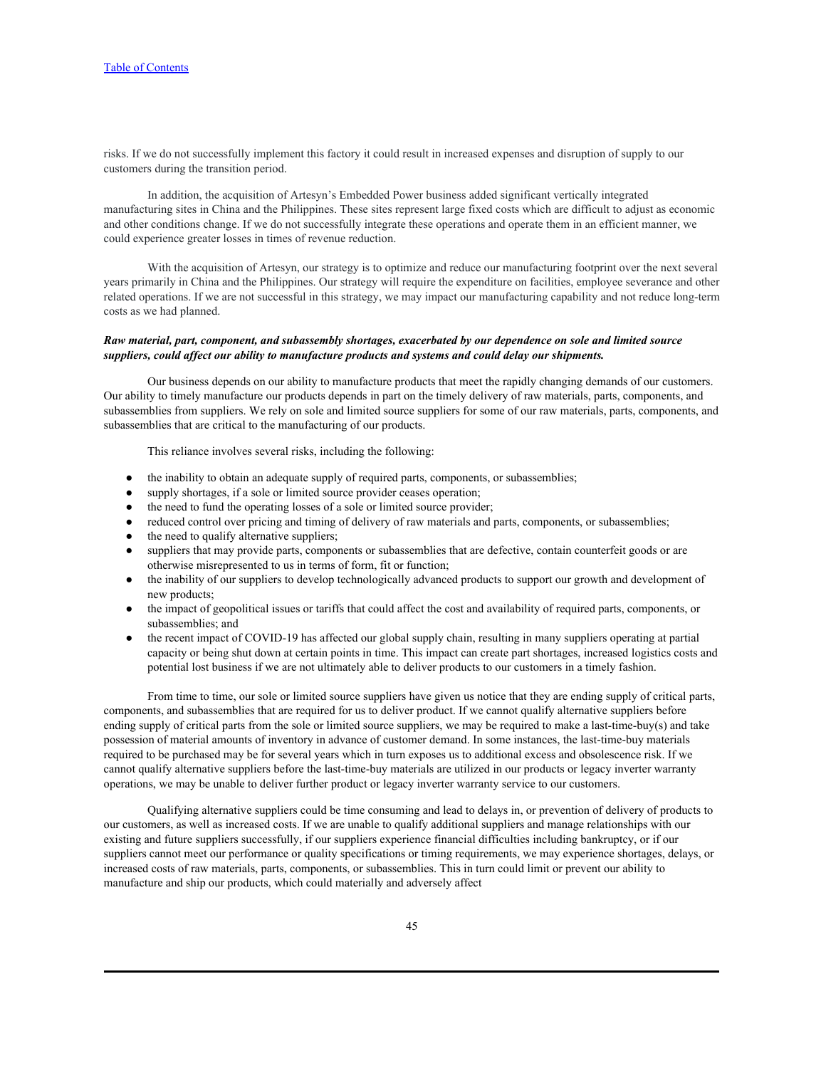risks. If we do not successfully implement this factory it could result in increased expenses and disruption of supply to our customers during the transition period.

In addition, the acquisition of Artesyn's Embedded Power business added significant vertically integrated manufacturing sites in China and the Philippines. These sites represent large fixed costs which are difficult to adjust as economic and other conditions change. If we do not successfully integrate these operations and operate them in an efficient manner, we could experience greater losses in times of revenue reduction.

With the acquisition of Artesyn, our strategy is to optimize and reduce our manufacturing footprint over the next several years primarily in China and the Philippines. Our strategy will require the expenditure on facilities, employee severance and other related operations. If we are not successful in this strategy, we may impact our manufacturing capability and not reduce long-term costs as we had planned.

### *Raw material, part, component, and subassembly shortages, exacerbated by our dependence on sole and limited source suppliers, could affect our ability to manufacture products and systems and could delay our shipments.*

Our business depends on our ability to manufacture products that meet the rapidly changing demands of our customers. Our ability to timely manufacture our products depends in part on the timely delivery of raw materials, parts, components, and subassemblies from suppliers. We rely on sole and limited source suppliers for some of our raw materials, parts, components, and subassemblies that are critical to the manufacturing of our products.

This reliance involves several risks, including the following:

- the inability to obtain an adequate supply of required parts, components, or subassemblies;
- supply shortages, if a sole or limited source provider ceases operation;
- the need to fund the operating losses of a sole or limited source provider;
- reduced control over pricing and timing of delivery of raw materials and parts, components, or subassemblies;
- the need to qualify alternative suppliers;
- suppliers that may provide parts, components or subassemblies that are defective, contain counterfeit goods or are otherwise misrepresented to us in terms of form, fit or function;
- the inability of our suppliers to develop technologically advanced products to support our growth and development of new products;
- the impact of geopolitical issues or tariffs that could affect the cost and availability of required parts, components, or subassemblies; and
- the recent impact of COVID-19 has affected our global supply chain, resulting in many suppliers operating at partial capacity or being shut down at certain points in time. This impact can create part shortages, increased logistics costs and potential lost business if we are not ultimately able to deliver products to our customers in a timely fashion.

From time to time, our sole or limited source suppliers have given us notice that they are ending supply of critical parts, components, and subassemblies that are required for us to deliver product. If we cannot qualify alternative suppliers before ending supply of critical parts from the sole or limited source suppliers, we may be required to make a last-time-buy(s) and take possession of material amounts of inventory in advance of customer demand. In some instances, the last-time-buy materials required to be purchased may be for several years which in turn exposes us to additional excess and obsolescence risk. If we cannot qualify alternative suppliers before the last-time-buy materials are utilized in our products or legacy inverter warranty operations, we may be unable to deliver further product or legacy inverter warranty service to our customers.

Qualifying alternative suppliers could be time consuming and lead to delays in, or prevention of delivery of products to our customers, as well as increased costs. If we are unable to qualify additional suppliers and manage relationships with our existing and future suppliers successfully, if our suppliers experience financial difficulties including bankruptcy, or if our suppliers cannot meet our performance or quality specifications or timing requirements, we may experience shortages, delays, or increased costs of raw materials, parts, components, or subassemblies. This in turn could limit or prevent our ability to manufacture and ship our products, which could materially and adversely affect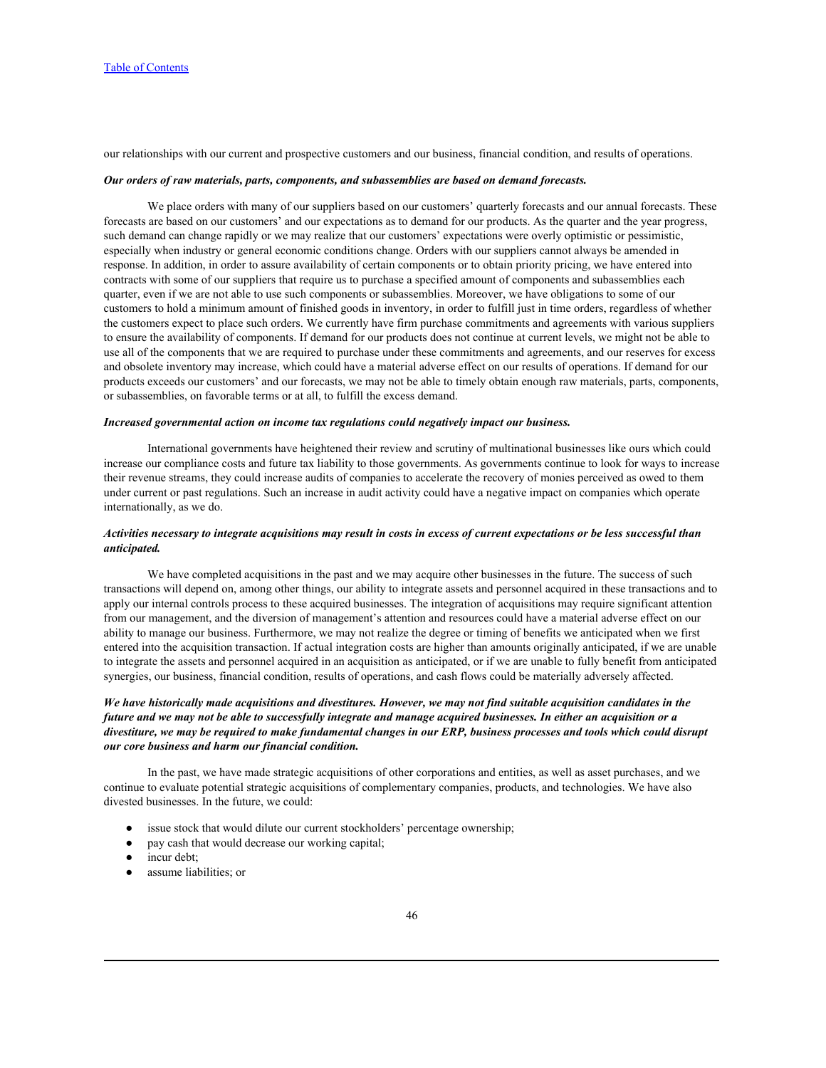our relationships with our current and prospective customers and our business, financial condition, and results of operations.

#### *Our orders of raw materials, parts, components, and subassemblies are based on demand forecasts.*

We place orders with many of our suppliers based on our customers' quarterly forecasts and our annual forecasts. These forecasts are based on our customers' and our expectations as to demand for our products. As the quarter and the year progress, such demand can change rapidly or we may realize that our customers' expectations were overly optimistic or pessimistic, especially when industry or general economic conditions change. Orders with our suppliers cannot always be amended in response. In addition, in order to assure availability of certain components or to obtain priority pricing, we have entered into contracts with some of our suppliers that require us to purchase a specified amount of components and subassemblies each quarter, even if we are not able to use such components or subassemblies. Moreover, we have obligations to some of our customers to hold a minimum amount of finished goods in inventory, in order to fulfill just in time orders, regardless of whether the customers expect to place such orders. We currently have firm purchase commitments and agreements with various suppliers to ensure the availability of components. If demand for our products does not continue at current levels, we might not be able to use all of the components that we are required to purchase under these commitments and agreements, and our reserves for excess and obsolete inventory may increase, which could have a material adverse effect on our results of operations. If demand for our products exceeds our customers' and our forecasts, we may not be able to timely obtain enough raw materials, parts, components, or subassemblies, on favorable terms or at all, to fulfill the excess demand.

#### *Increased governmental action on income tax regulations could negatively impact our business.*

International governments have heightened their review and scrutiny of multinational businesses like ours which could increase our compliance costs and future tax liability to those governments. As governments continue to look for ways to increase their revenue streams, they could increase audits of companies to accelerate the recovery of monies perceived as owed to them under current or past regulations. Such an increase in audit activity could have a negative impact on companies which operate internationally, as we do.

# *Activities necessary to integrate acquisitions may result in costs in excess of current expectations or be less successful than anticipated.*

We have completed acquisitions in the past and we may acquire other businesses in the future. The success of such transactions will depend on, among other things, our ability to integrate assets and personnel acquired in these transactions and to apply our internal controls process to these acquired businesses. The integration of acquisitions may require significant attention from our management, and the diversion of management's attention and resources could have a material adverse effect on our ability to manage our business. Furthermore, we may not realize the degree or timing of benefits we anticipated when we first entered into the acquisition transaction. If actual integration costs are higher than amounts originally anticipated, if we are unable to integrate the assets and personnel acquired in an acquisition as anticipated, or if we are unable to fully benefit from anticipated synergies, our business, financial condition, results of operations, and cash flows could be materially adversely affected.

# *We have historically made acquisitions and divestitures. However, we may not find suitable acquisition candidates in the future and we may not be able to successfully integrate and manage acquired businesses. In either an acquisition or a divestiture, we may be required to make fundamental changes in our ERP, business processes and tools which could disrupt our core business and harm our financial condition.*

In the past, we have made strategic acquisitions of other corporations and entities, as well as asset purchases, and we continue to evaluate potential strategic acquisitions of complementary companies, products, and technologies. We have also divested businesses. In the future, we could:

- issue stock that would dilute our current stockholders' percentage ownership;
- pay cash that would decrease our working capital;
- incur debt;
- assume liabilities; or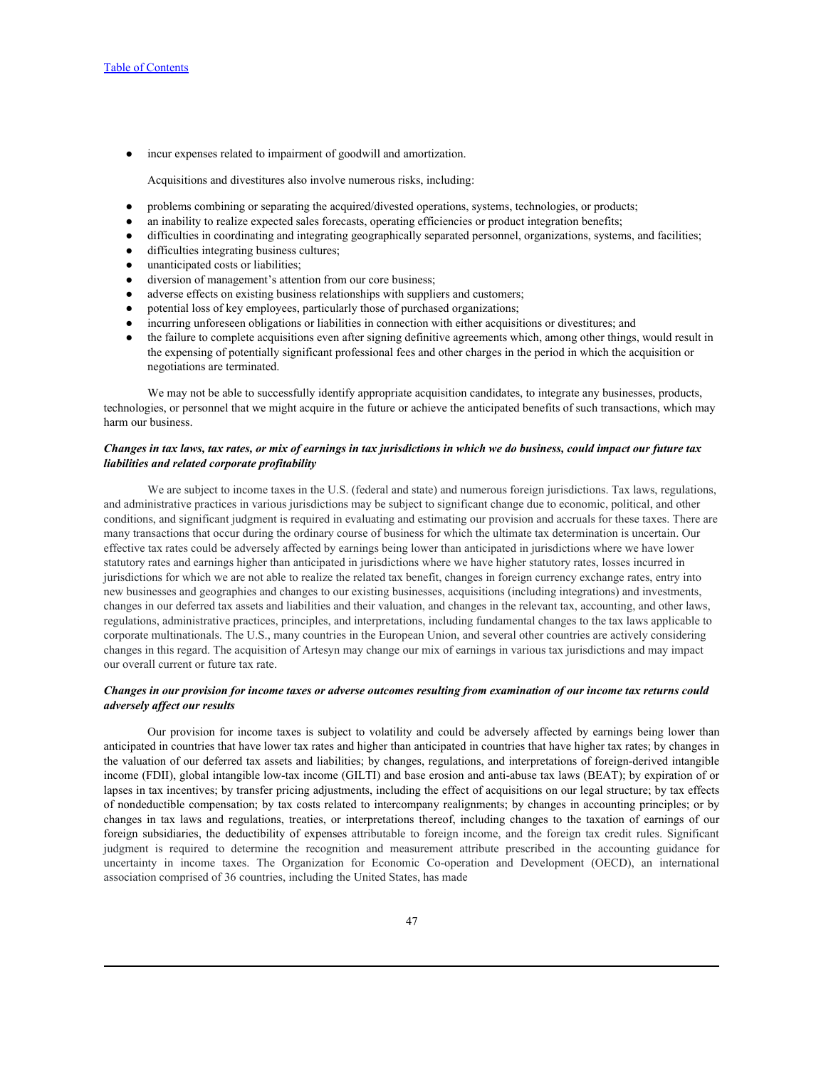● incur expenses related to impairment of goodwill and amortization.

Acquisitions and divestitures also involve numerous risks, including:

- problems combining or separating the acquired/divested operations, systems, technologies, or products;
- an inability to realize expected sales forecasts, operating efficiencies or product integration benefits;
- difficulties in coordinating and integrating geographically separated personnel, organizations, systems, and facilities;
- difficulties integrating business cultures;
- unanticipated costs or liabilities;
- diversion of management's attention from our core business;
- adverse effects on existing business relationships with suppliers and customers;
- potential loss of key employees, particularly those of purchased organizations;
- incurring unforeseen obligations or liabilities in connection with either acquisitions or divestitures; and
- the failure to complete acquisitions even after signing definitive agreements which, among other things, would result in the expensing of potentially significant professional fees and other charges in the period in which the acquisition or negotiations are terminated.

We may not be able to successfully identify appropriate acquisition candidates, to integrate any businesses, products, technologies, or personnel that we might acquire in the future or achieve the anticipated benefits of such transactions, which may harm our business.

### *Changes in tax laws, tax rates, or mix of earnings in tax jurisdictions in which we do business, could impact our future tax liabilities and related corporate profitability*

We are subject to income taxes in the U.S. (federal and state) and numerous foreign jurisdictions. Tax laws, regulations, and administrative practices in various jurisdictions may be subject to significant change due to economic, political, and other conditions, and significant judgment is required in evaluating and estimating our provision and accruals for these taxes. There are many transactions that occur during the ordinary course of business for which the ultimate tax determination is uncertain. Our effective tax rates could be adversely affected by earnings being lower than anticipated in jurisdictions where we have lower statutory rates and earnings higher than anticipated in jurisdictions where we have higher statutory rates, losses incurred in jurisdictions for which we are not able to realize the related tax benefit, changes in foreign currency exchange rates, entry into new businesses and geographies and changes to our existing businesses, acquisitions (including integrations) and investments, changes in our deferred tax assets and liabilities and their valuation, and changes in the relevant tax, accounting, and other laws, regulations, administrative practices, principles, and interpretations, including fundamental changes to the tax laws applicable to corporate multinationals. The U.S., many countries in the European Union, and several other countries are actively considering changes in this regard. The acquisition of Artesyn may change our mix of earnings in various tax jurisdictions and may impact our overall current or future tax rate. above effects one twisting bosines relationships with supplies and could be adversely and could be provision for income that the income that the requisions of diversion of the income of the subject of the subject of the su We may not be able to successfully identify appropriate acquisition enadidate, to integrate any basis ensures, the memories, or presented that we might nequire in the future or achieve the nutricipated benefits of asic fr We any one has be to access that in the properties acquited to encillence, to integrate a plusters, probable, the details of the properties at the total state in the foreign the state of experiment and the control of the heliones on provided provided in the state of provided the future of achieve the activity and the required the controllegies and the results of the relations, Change in the future in the recognition of the controllegies an harm our basiness.<br>
Changes in tax democraties are meta of remember in taxe jurisdictions in which we do business, ondd impact and functions in the Co-Organization corrections in the U.S. (isolend and stable) and minerocon

### *Changes in our provision for income taxes or adverse outcomes resulting from examination of our income tax returns could adversely affect our results*

anticipated in countries that have lower tax rates and higher than anticipated in countries that have higher tax rates; by changes in the valuation of our deferred tax assets and liabilities; by changes, regulations, and interpretations of foreign-derived intangible income (FDII), global intangible low-tax income (GILTI) and base erosion and anti-abuse tax laws (BEAT); by expiration of or lapses in tax incentives; by transfer pricing adjustments, including the effect of acquisitions on our legal structure; by tax effects of nondeductible compensation; by tax costs related to intercompany realignments; by changes in accounting principles; or by association comprised of 36 countries, including the United States, has made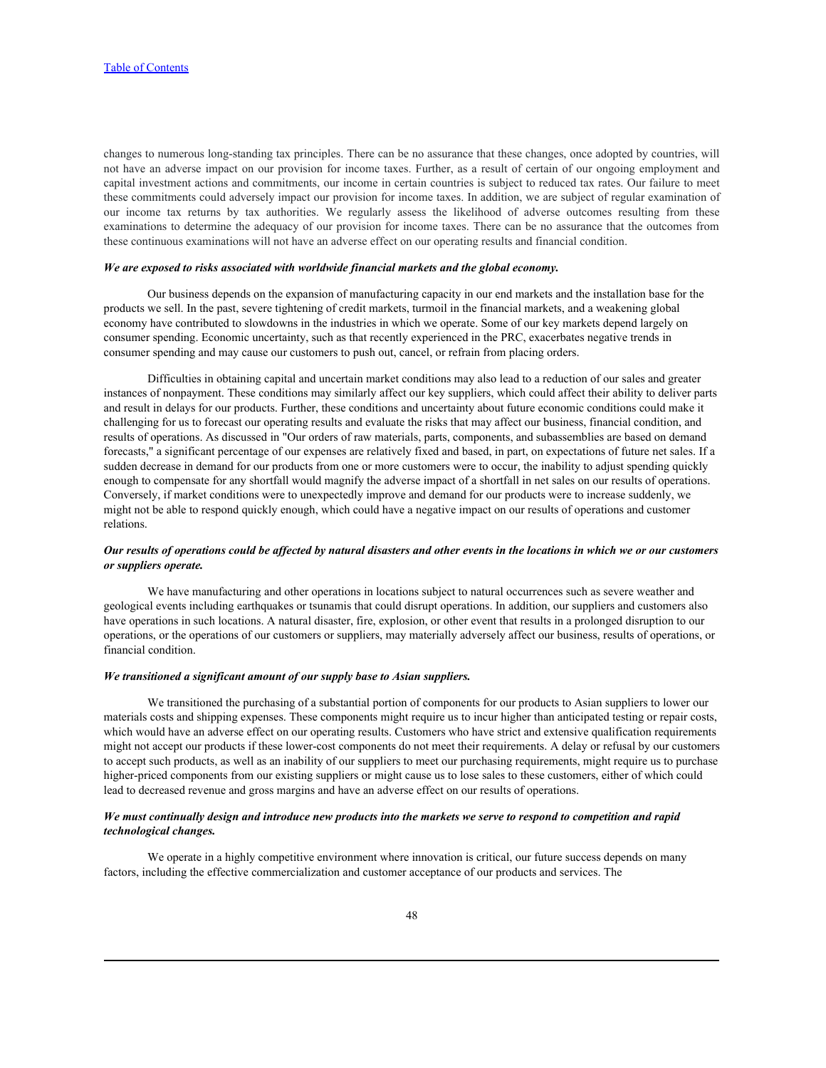changes to numerous long-standing tax principles. There can be no assurance that these changes, once adopted by countries, will not have an adverse impact on our provision for income taxes. Further, as a result of certain of our ongoing employment and capital investment actions and commitments, our income in certain countries is subject to reduced tax rates. Our failure to meet these commitments could adversely impact our provision for income taxes. In addition, we are subject of regular examination of Tableof Contents<br>
or thanges to numerous long-standing tax principles. There can be no assurance that these changes, once adopted by countries, will<br>
not have an adverse impact on our provision for income taxes. Further, examinations to determine the adequacy of our provision for income taxes. There can be no assurance that the outcomes from these continuous examinations will not have an adverse effect on our operating results and financial condition.

### *We are exposed to risks associated with worldwide financial markets and the global economy.*

Our business depends on the expansion of manufacturing capacity in our end markets and the installation base for the products we sell. In the past, severe tightening of credit markets, turmoil in the financial markets, and a weakening global economy have contributed to slowdowns in the industries in which we operate. Some of our key markets depend largely on consumer spending. Economic uncertainty, such as that recently experienced in the PRC, exacerbates negative trends in consumer spending and may cause our customers to push out, cancel, or refrain from placing orders.

Difficulties in obtaining capital and uncertain market conditions may also lead to a reduction of our sales and greater instances of nonpayment. These conditions may similarly affect our key suppliers, which could affect their ability to deliver parts and result in delays for our products. Further, these conditions and uncertainty about future economic conditions could make it challenging for us to forecast our operating results and evaluate the risks that may affect our business, financial condition, and results of operations. As discussed in "Our orders of raw materials, parts, components, and subassemblies are based on demand forecasts," a significant percentage of our expenses are relatively fixed and based, in part, on expectations of future net sales. If a sudden decrease in demand for our products from one or more customers were to occur, the inability to adjust spending quickly enough to compensate for any shortfall would magnify the adverse impact of a shortfall in net sales on our results of operations. Conversely, if market conditions were to unexpectedly improve and demand for our products were to increase suddenly, we might not be able to respond quickly enough, which could have a negative impact on our results of operations and customer relations.

# *Our results of operations could be affected by natural disasters and other events in the locations in which we or our customers or suppliers operate.*

We have manufacturing and other operations in locations subject to natural occurrences such as severe weather and geological events including earthquakes or tsunamis that could disrupt operations. In addition, our suppliers and customers also have operations in such locations. A natural disaster, fire, explosion, or other event that results in a prolonged disruption to our operations, or the operations of our customers or suppliers, may materially adversely affect our business, results of operations, or financial condition.

### *We transitioned a significant amount of our supply base to Asian suppliers.*

We transitioned the purchasing of a substantial portion of components for our products to Asian suppliers to lower our materials costs and shipping expenses. These components might require us to incur higher than anticipated testing or repair costs, which would have an adverse effect on our operating results. Customers who have strict and extensive qualification requirements might not accept our products if these lower-cost components do not meet their requirements. A delay or refusal by our customers to accept such products, as well as an inability of our suppliers to meet our purchasing requirements, might require us to purchase higher-priced components from our existing suppliers or might cause us to lose sales to these customers, either of which could lead to decreased revenue and gross margins and have an adverse effect on our results of operations.

# *We must continually design and introduce new products into the markets we serve to respond to competition and rapid technological changes.*

We operate in a highly competitive environment where innovation is critical, our future success depends on many factors, including the effective commercialization and customer acceptance of our products and services. The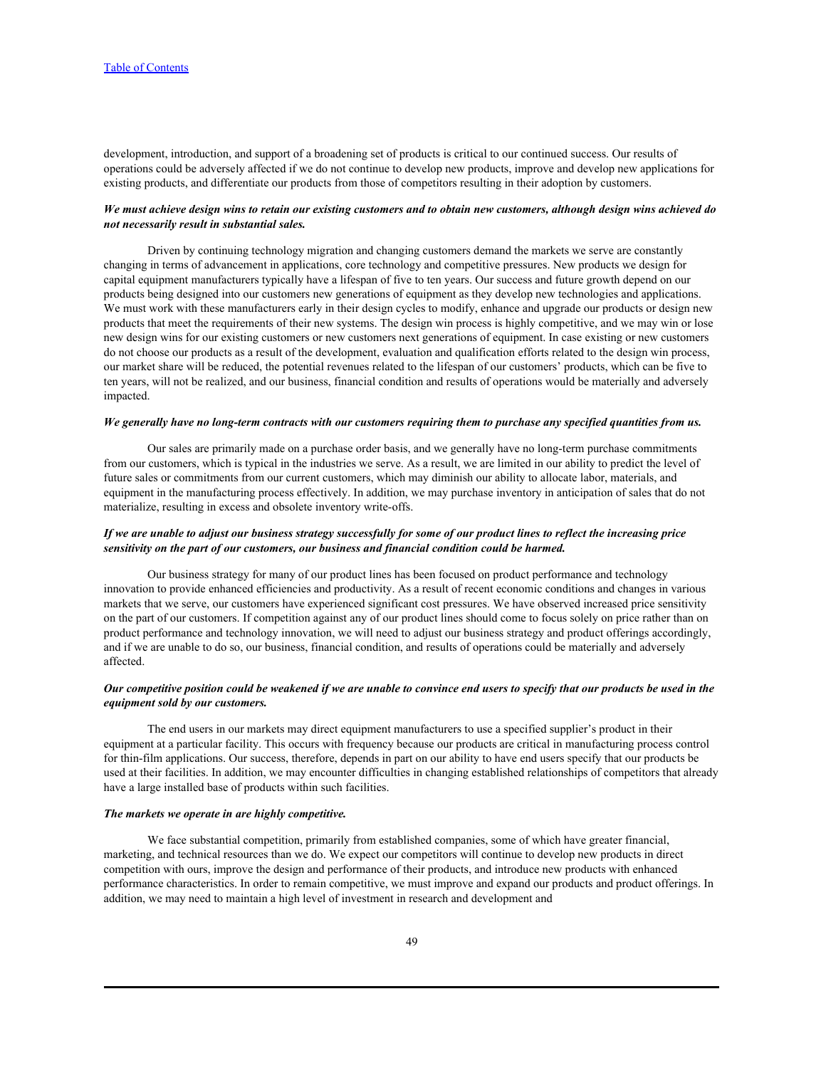development, introduction, and support of a broadening set of products is critical to our continued success. Our results of operations could be adversely affected if we do not continue to develop new products, improve and develop new applications for existing products, and differentiate our products from those of competitors resulting in their adoption by customers.

### *We must achieve design wins to retain our existing customers and to obtain new customers, although design wins achieved do not necessarily result in substantial sales.*

Driven by continuing technology migration and changing customers demand the markets we serve are constantly changing in terms of advancement in applications, core technology and competitive pressures. New products we design for capital equipment manufacturers typically have a lifespan of five to ten years. Our success and future growth depend on our products being designed into our customers new generations of equipment as they develop new technologies and applications. We must work with these manufacturers early in their design cycles to modify, enhance and upgrade our products or design new products that meet the requirements of their new systems. The design win process is highly competitive, and we may win or lose new design wins for our existing customers or new customers next generations of equipment. In case existing or new customers do not choose our products as a result of the development, evaluation and qualification efforts related to the design win process, our market share will be reduced, the potential revenues related to the lifespan of our customers' products, which can be five to ten years, will not be realized, and our business, financial condition and results of operations would be materially and adversely impacted.

# *We generally have no long-term contracts with our customers requiring them to purchase any specified quantities from us.*

Our sales are primarily made on a purchase order basis, and we generally have no long-term purchase commitments from our customers, which is typical in the industries we serve. As a result, we are limited in our ability to predict the level of future sales or commitments from our current customers, which may diminish our ability to allocate labor, materials, and equipment in the manufacturing process effectively. In addition, we may purchase inventory in anticipation of sales that do not materialize, resulting in excess and obsolete inventory write-offs.

# *If we are unable to adjust our business strategy successfully for some of our product lines to reflect the increasing price sensitivity on the part of our customers, our business and financial condition could be harmed.*

Our business strategy for many of our product lines has been focused on product performance and technology innovation to provide enhanced efficiencies and productivity. As a result of recent economic conditions and changes in various markets that we serve, our customers have experienced significant cost pressures. We have observed increased price sensitivity on the part of our customers. If competition against any of our product lines should come to focus solely on price rather than on product performance and technology innovation, we will need to adjust our business strategy and product offerings accordingly, and if we are unable to do so, our business, financial condition, and results of operations could be materially and adversely affected.

# *Our competitive position could be weakened if we are unable to convince end users to specify that our products be used in the equipment sold by our customers.*

The end users in our markets may direct equipment manufacturers to use a specified supplier's product in their equipment at a particular facility. This occurs with frequency because our products are critical in manufacturing process control for thin-film applications. Our success, therefore, depends in part on our ability to have end users specify that our products be used at their facilities. In addition, we may encounter difficulties in changing established relationships of competitors that already have a large installed base of products within such facilities.

#### *The markets we operate in are highly competitive.*

We face substantial competition, primarily from established companies, some of which have greater financial, marketing, and technical resources than we do. We expect our competitors will continue to develop new products in direct competition with ours, improve the design and performance of their products, and introduce new products with enhanced performance characteristics. In order to remain competitive, we must improve and expand our products and product offerings. In addition, we may need to maintain a high level of investment in research and development and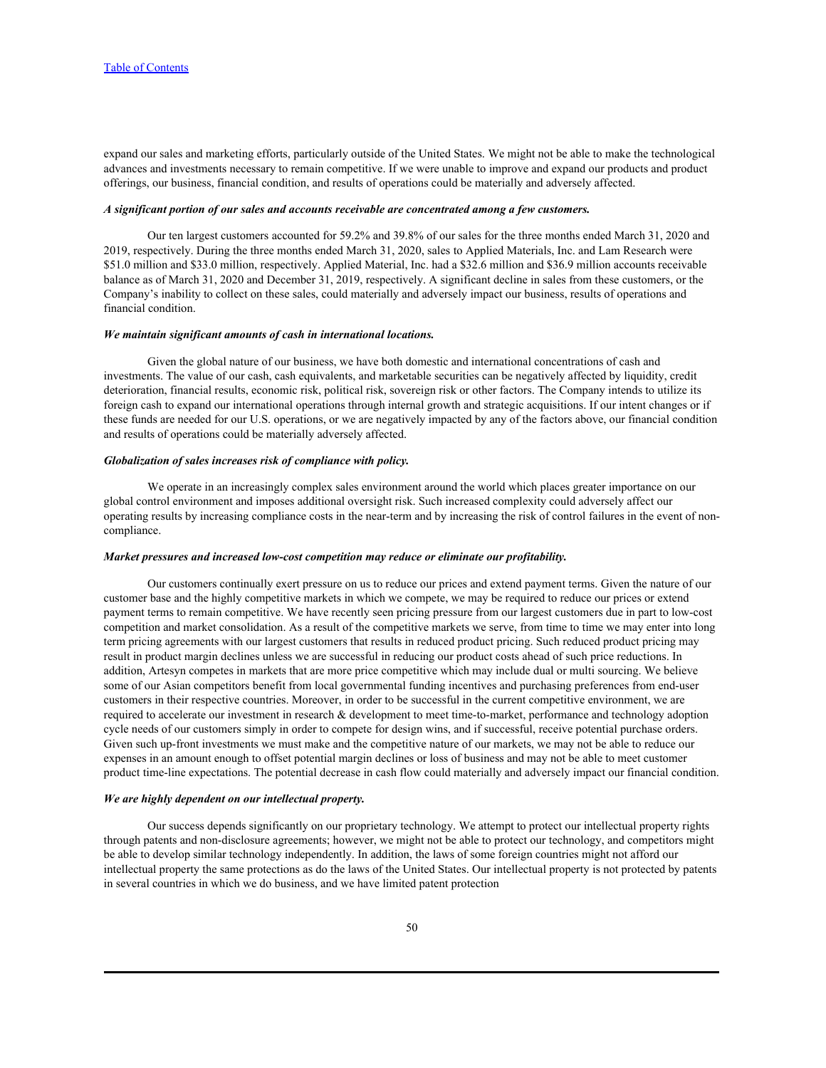expand our sales and marketing efforts, particularly outside of the United States. We might not be able to make the technological advances and investments necessary to remain competitive. If we were unable to improve and expand our products and product offerings, our business, financial condition, and results of operations could be materially and adversely affected.

#### *A significant portion of our sales and accounts receivable are concentrated among a few customers.*

Our ten largest customers accounted for 59.2% and 39.8% of our sales for the three months ended March 31, 2020 and 2019, respectively. During the three months ended March 31, 2020, sales to Applied Materials, Inc. and Lam Research were \$51.0 million and \$33.0 million, respectively. Applied Material, Inc. had a \$32.6 million and \$36.9 million accounts receivable balance as of March 31, 2020 and December 31, 2019, respectively. A significant decline in sales from these customers, or the Company's inability to collect on these sales, could materially and adversely impact our business, results of operations and financial condition.

### *We maintain significant amounts of cash in international locations.*

Given the global nature of our business, we have both domestic and international concentrations of cash and investments. The value of our cash, cash equivalents, and marketable securities can be negatively affected by liquidity, credit deterioration, financial results, economic risk, political risk, sovereign risk or other factors. The Company intends to utilize its foreign cash to expand our international operations through internal growth and strategic acquisitions. If our intent changes or if these funds are needed for our U.S. operations, or we are negatively impacted by any of the factors above, our financial condition and results of operations could be materially adversely affected.

#### *Globalization of sales increases risk of compliance with policy.*

We operate in an increasingly complex sales environment around the world which places greater importance on our global control environment and imposes additional oversight risk. Such increased complexity could adversely affect our operating results by increasing compliance costs in the near-term and by increasing the risk of control failures in the event of noncompliance.

#### *Market pressures and increased low-cost competition may reduce or eliminate our profitability.*

Our customers continually exert pressure on us to reduce our prices and extend payment terms. Given the nature of our customer base and the highly competitive markets in which we compete, we may be required to reduce our prices or extend payment terms to remain competitive. We have recently seen pricing pressure from our largest customers due in part to low-cost competition and market consolidation. As a result of the competitive markets we serve, from time to time we may enter into long term pricing agreements with our largest customers that results in reduced product pricing. Such reduced product pricing may result in product margin declines unless we are successful in reducing our product costs ahead of such price reductions. In addition, Artesyn competes in markets that are more price competitive which may include dual or multi sourcing. We believe some of our Asian competitors benefit from local governmental funding incentives and purchasing preferences from end-user customers in their respective countries. Moreover, in order to be successful in the current competitive environment, we are required to accelerate our investment in research & development to meet time-to-market, performance and technology adoption cycle needs of our customers simply in order to compete for design wins, and if successful, receive potential purchase orders. Given such up-front investments we must make and the competitive nature of our markets, we may not be able to reduce our expenses in an amount enough to offset potential margin declines or loss of business and may not be able to meet customer product time-line expectations. The potential decrease in cash flow could materially and adversely impact our financial condition.

### *We are highly dependent on our intellectual property.*

Our success depends significantly on our proprietary technology. We attempt to protect our intellectual property rights through patents and non-disclosure agreements; however, we might not be able to protect our technology, and competitors might be able to develop similar technology independently. In addition, the laws of some foreign countries might not afford our intellectual property the same protections as do the laws of the United States. Our intellectual property is not protected by patents in several countries in which we do business, and we have limited patent protection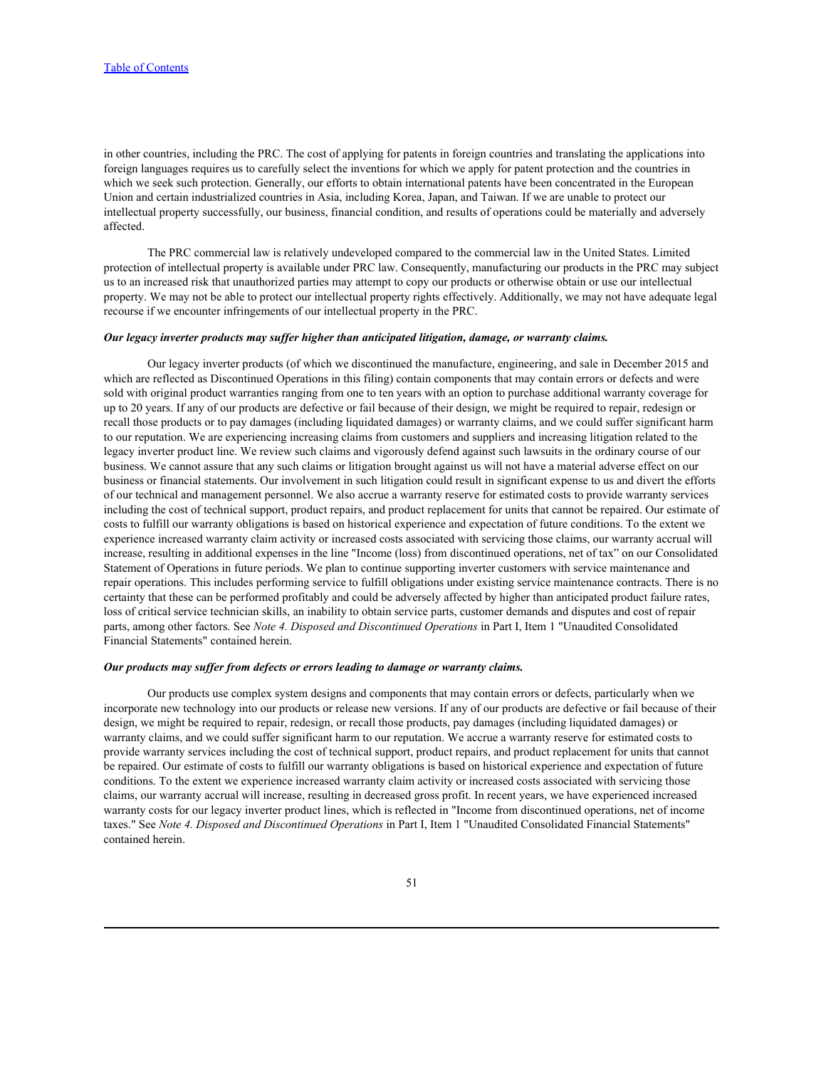in other countries, including the PRC. The cost of applying for patents in foreign countries and translating the applications into foreign languages requires us to carefully select the inventions for which we apply for patent protection and the countries in which we seek such protection. Generally, our efforts to obtain international patents have been concentrated in the European Union and certain industrialized countries in Asia, including Korea, Japan, and Taiwan. If we are unable to protect our intellectual property successfully, our business, financial condition, and results of operations could be materially and adversely affected.

The PRC commercial law is relatively undeveloped compared to the commercial law in the United States. Limited protection of intellectual property is available under PRC law. Consequently, manufacturing our products in the PRC may subject us to an increased risk that unauthorized parties may attempt to copy our products or otherwise obtain or use our intellectual property. We may not be able to protect our intellectual property rights effectively. Additionally, we may not have adequate legal recourse if we encounter infringements of our intellectual property in the PRC.

#### *Our legacy inverter products may suffer higher than anticipated litigation, damage, or warranty claims.*

Our legacy inverter products (of which we discontinued the manufacture, engineering, and sale in December 2015 and which are reflected as Discontinued Operations in this filing) contain components that may contain errors or defects and were sold with original product warranties ranging from one to ten years with an option to purchase additional warranty coverage for up to 20 years. If any of our products are defective or fail because of their design, we might be required to repair, redesign or recall those products or to pay damages (including liquidated damages) or warranty claims, and we could suffer significant harm to our reputation. We are experiencing increasing claims from customers and suppliers and increasing litigation related to the legacy inverter product line. We review such claims and vigorously defend against such lawsuits in the ordinary course of our business. We cannot assure that any such claims or litigation brought against us will not have a material adverse effect on our business or financial statements. Our involvement in such litigation could result in significant expense to us and divert the efforts of our technical and management personnel. We also accrue a warranty reserve for estimated costs to provide warranty services including the cost of technical support, product repairs, and product replacement for units that cannot be repaired. Our estimate of costs to fulfill our warranty obligations is based on historical experience and expectation of future conditions. To the extent we experience increased warranty claim activity or increased costs associated with servicing those claims, our warranty accrual will increase, resulting in additional expenses in the line "Income (loss) from discontinued operations, net of tax" on our Consolidated Statement of Operations in future periods. We plan to continue supporting inverter customers with service maintenance and repair operations. This includes performing service to fulfill obligations under existing service maintenance contracts. There is no certainty that these can be performed profitably and could be adversely affected by higher than anticipated product failure rates, loss of critical service technician skills, an inability to obtain service parts, customer demands and disputes and cost of repair parts, among other factors. See *Note 4. Disposed and Discontinued Operations* in Part I, Item 1 "Unaudited Consolidated Financial Statements" contained herein.

#### *Our products may suffer from defects or errors leading to damage or warranty claims.*

Our products use complex system designs and components that may contain errors or defects, particularly when we incorporate new technology into our products or release new versions. If any of our products are defective or fail because of their design, we might be required to repair, redesign, or recall those products, pay damages (including liquidated damages) or warranty claims, and we could suffer significant harm to our reputation. We accrue a warranty reserve for estimated costs to provide warranty services including the cost of technical support, product repairs, and product replacement for units that cannot be repaired. Our estimate of costs to fulfill our warranty obligations is based on historical experience and expectation of future conditions. To the extent we experience increased warranty claim activity or increased costs associated with servicing those claims, our warranty accrual will increase, resulting in decreased gross profit. In recent years, we have experienced increased warranty costs for our legacy inverter product lines, which is reflected in "Income from discontinued operations, net of income taxes." See *Note 4. Disposed and Discontinued Operations* in Part I, Item 1 "Unaudited Consolidated Financial Statements" contained herein.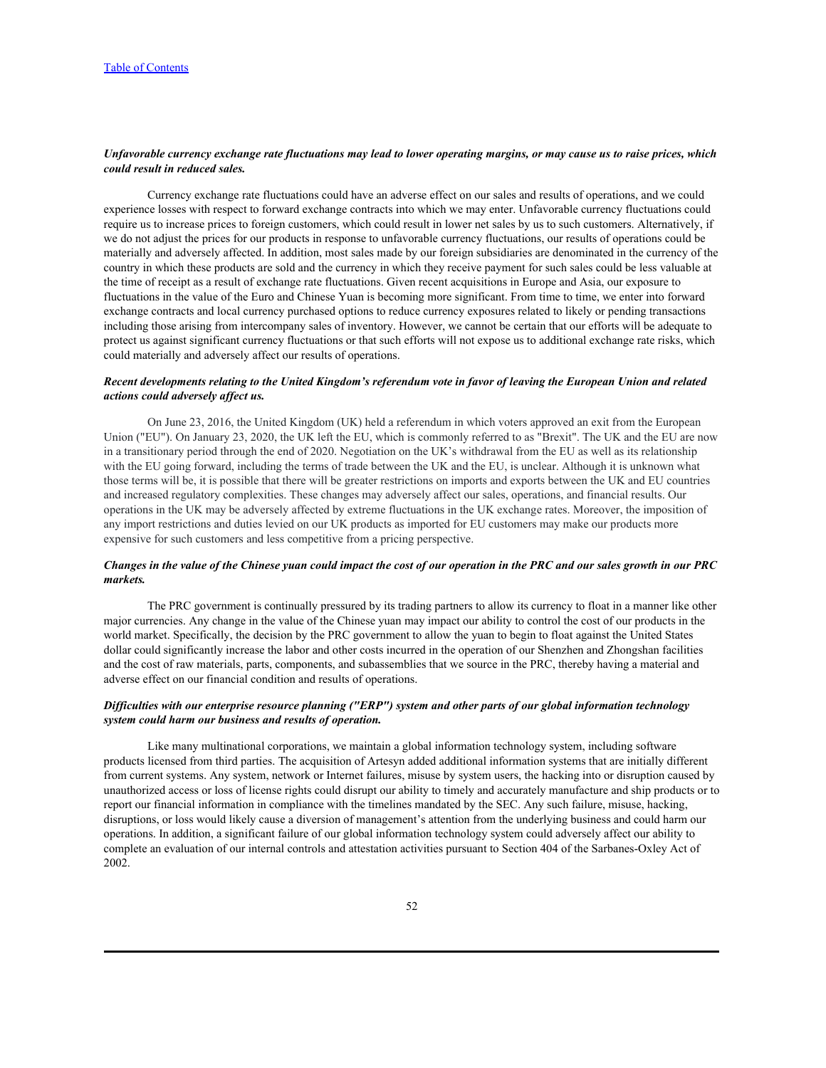# *Unfavorable currency exchange rate fluctuations may lead to lower operating margins, or may cause us to raise prices, which could result in reduced sales.*

Currency exchange rate fluctuations could have an adverse effect on our sales and results of operations, and we could experience losses with respect to forward exchange contracts into which we may enter. Unfavorable currency fluctuations could require us to increase prices to foreign customers, which could result in lower net sales by us to such customers. Alternatively, if we do not adjust the prices for our products in response to unfavorable currency fluctuations, our results of operations could be materially and adversely affected. In addition, most sales made by our foreign subsidiaries are denominated in the currency of the country in which these products are sold and the currency in which they receive payment for such sales could be less valuable at the time of receipt as a result of exchange rate fluctuations. Given recent acquisitions in Europe and Asia, our exposure to fluctuations in the value of the Euro and Chinese Yuan is becoming more significant. From time to time, we enter into forward exchange contracts and local currency purchased options to reduce currency exposures related to likely or pending transactions including those arising from intercompany sales of inventory. However, we cannot be certain that our efforts will be adequate to protect us against significant currency fluctuations or that such efforts will not expose us to additional exchange rate risks, which could materially and adversely affect our results of operations.

### *Recent developments relating to the United Kingdom's referendum vote in favor of leaving the European Union and related actions could adversely affect us.*

On June 23, 2016, the United Kingdom (UK) held a referendum in which voters approved an exit from the European Union ("EU"). On January 23, 2020, the UK left the EU, which is commonly referred to as "Brexit". The UK and the EU are now in a transitionary period through the end of 2020. Negotiation on the UK's withdrawal from the EU as well as its relationship with the EU going forward, including the terms of trade between the UK and the EU, is unclear. Although it is unknown what those terms will be, it is possible that there will be greater restrictions on imports and exports between the UK and EU countries and increased regulatory complexities. These changes may adversely affect our sales, operations, and financial results. Our operations in the UK may be adversely affected by extreme fluctuations in the UK exchange rates. Moreover, the imposition of any import restrictions and duties levied on our UK products as imported for EU customers may make our products more expensive for such customers and less competitive from a pricing perspective.

### *Changes in the value of the Chinese yuan could impact the cost of our operation in the PRC and our sales growth in our PRC markets.*

The PRC government is continually pressured by its trading partners to allow its currency to float in a manner like other major currencies. Any change in the value of the Chinese yuan may impact our ability to control the cost of our products in the world market. Specifically, the decision by the PRC government to allow the yuan to begin to float against the United States dollar could significantly increase the labor and other costs incurred in the operation of our Shenzhen and Zhongshan facilities and the cost of raw materials, parts, components, and subassemblies that we source in the PRC, thereby having a material and adverse effect on our financial condition and results of operations.

# *Difficulties with our enterprise resource planning ("ERP") system and other parts of our global information technology system could harm our business and results of operation.*

Like many multinational corporations, we maintain a global information technology system, including software products licensed from third parties. The acquisition of Artesyn added additional information systems that are initially different from current systems. Any system, network or Internet failures, misuse by system users, the hacking into or disruption caused by unauthorized access or loss of license rights could disrupt our ability to timely and accurately manufacture and ship products or to report our financial information in compliance with the timelines mandated by the SEC. Any such failure, misuse, hacking, disruptions, or loss would likely cause a diversion of management's attention from the underlying business and could harm our operations. In addition, a significant failure of our global information technology system could adversely affect our ability to complete an evaluation of our internal controls and attestation activities pursuant to Section 404 of the Sarbanes-Oxley Act of 2002.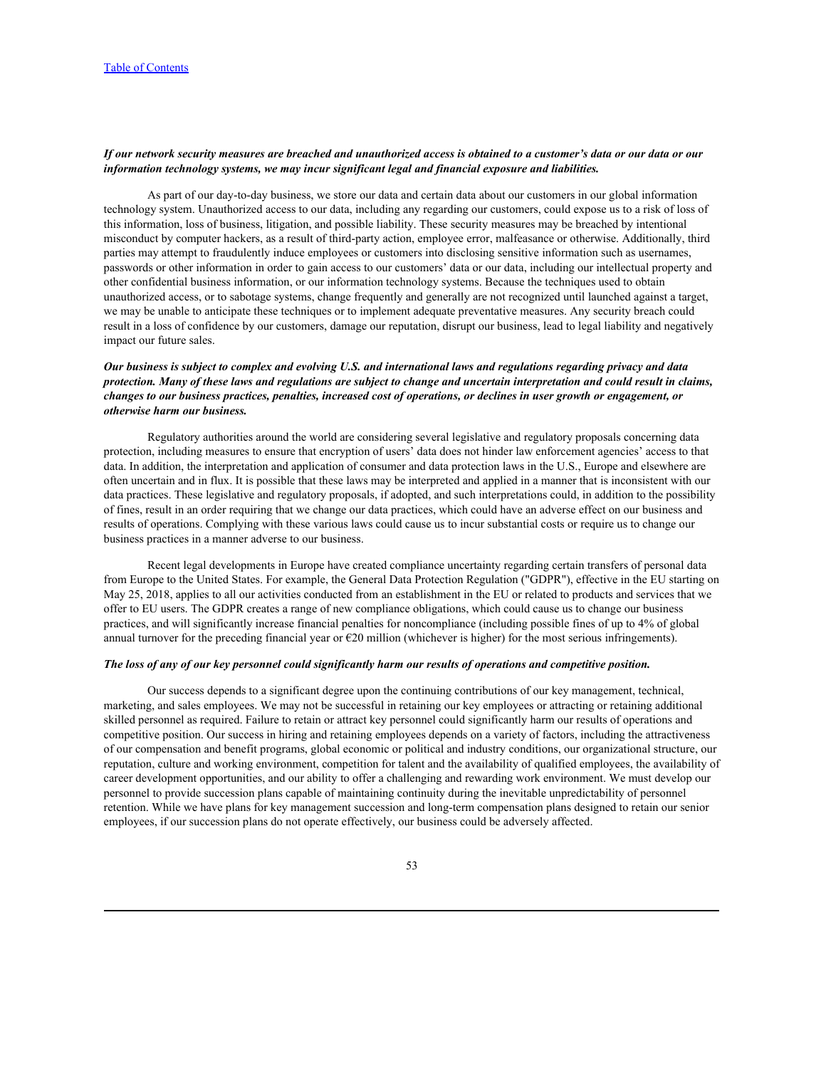# *If our network security measures are breached and unauthorized access is obtained to a customer's data or our data or our information technology systems, we may incur significant legal and financial exposure and liabilities.*

As part of our day-to-day business, we store our data and certain data about our customers in our global information technology system. Unauthorized access to our data, including any regarding our customers, could expose us to a risk of loss of this information, loss of business, litigation, and possible liability. These security measures may be breached by intentional misconduct by computer hackers, as a result of third-party action, employee error, malfeasance or otherwise. Additionally, third parties may attempt to fraudulently induce employees or customers into disclosing sensitive information such as usernames, passwords or other information in order to gain access to our customers' data or our data, including our intellectual property and other confidential business information, or our information technology systems. Because the techniques used to obtain unauthorized access, or to sabotage systems, change frequently and generally are not recognized until launched against a target, we may be unable to anticipate these techniques or to implement adequate preventative measures. Any security breach could result in a loss of confidence by our customers, damage our reputation, disrupt our business, lead to legal liability and negatively impact our future sales.

# *Our business is subject to complex and evolving U.S. and international laws and regulations regarding privacy and data protection. Many of these laws and regulations are subject to change and uncertain interpretation and could result in claims, changes to our business practices, penalties, increased cost of operations, or declines in user growth or engagement, or otherwise harm our business.*

Regulatory authorities around the world are considering several legislative and regulatory proposals concerning data protection, including measures to ensure that encryption of users' data does not hinder law enforcement agencies' access to that data. In addition, the interpretation and application of consumer and data protection laws in the U.S., Europe and elsewhere are often uncertain and in flux. It is possible that these laws may be interpreted and applied in a manner that is inconsistent with our data practices. These legislative and regulatory proposals, if adopted, and such interpretations could, in addition to the possibility of fines, result in an order requiring that we change our data practices, which could have an adverse effect on our business and results of operations. Complying with these various laws could cause us to incur substantial costs or require us to change our business practices in a manner adverse to our business.

Recent legal developments in Europe have created compliance uncertainty regarding certain transfers of personal data from Europe to the United States. For example, the General Data Protection Regulation ("GDPR"), effective in the EU starting on May 25, 2018, applies to all our activities conducted from an establishment in the EU or related to products and services that we offer to EU users. The GDPR creates a range of new compliance obligations, which could cause us to change our business practices, and will significantly increase financial penalties for noncompliance (including possible fines of up to 4% of global annual turnover for the preceding financial year or  $E20$  million (whichever is higher) for the most serious infringements).

#### *The loss of any of our key personnel could significantly harm our results of operations and competitive position.*

Our success depends to a significant degree upon the continuing contributions of our key management, technical, marketing, and sales employees. We may not be successful in retaining our key employees or attracting or retaining additional skilled personnel as required. Failure to retain or attract key personnel could significantly harm our results of operations and competitive position. Our success in hiring and retaining employees depends on a variety of factors, including the attractiveness of our compensation and benefit programs, global economic or political and industry conditions, our organizational structure, our reputation, culture and working environment, competition for talent and the availability of qualified employees, the availability of career development opportunities, and our ability to offer a challenging and rewarding work environment. We must develop our personnel to provide succession plans capable of maintaining continuity during the inevitable unpredictability of personnel retention. While we have plans for key management succession and long-term compensation plans designed to retain our senior employees, if our succession plans do not operate effectively, our business could be adversely affected.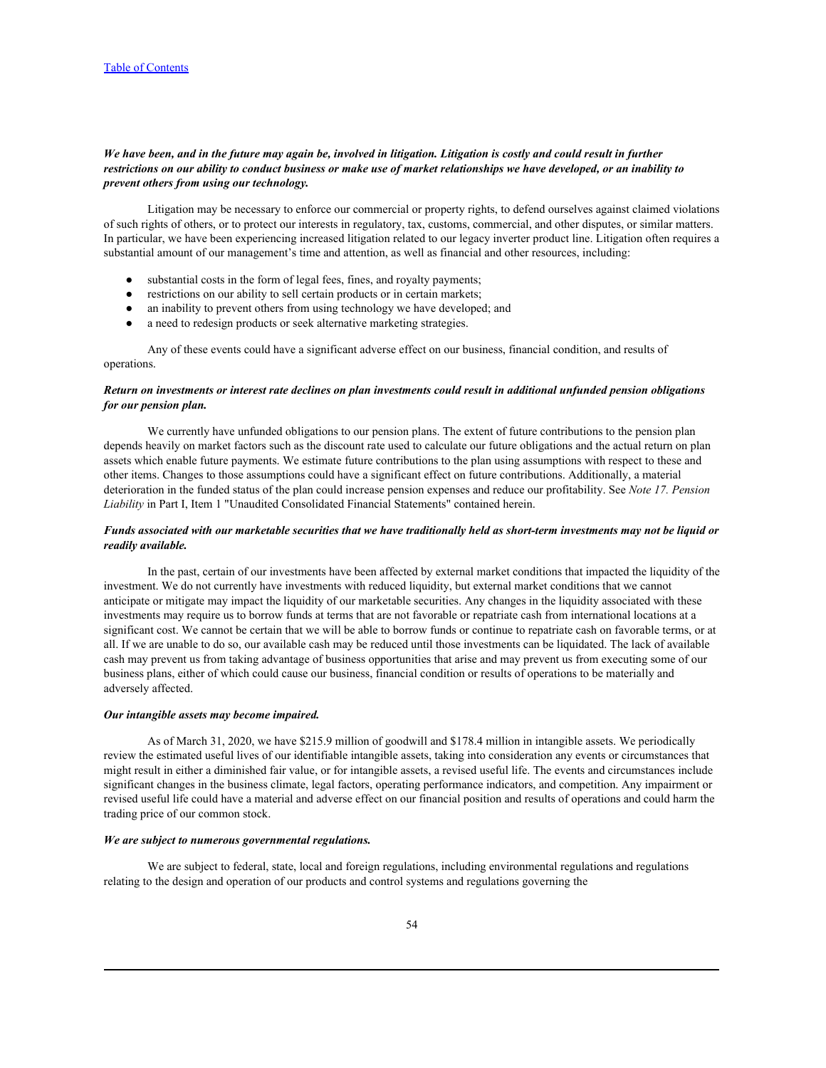# *We have been, and in the future may again be, involved in litigation. Litigation is costly and could result in further restrictions on our ability to conduct business or make use of market relationships we have developed, or an inability to prevent others from using our technology.*

Litigation may be necessary to enforce our commercial or property rights, to defend ourselves against claimed violations of such rights of others, or to protect our interests in regulatory, tax, customs, commercial, and other disputes, or similar matters. In particular, we have been experiencing increased litigation related to our legacy inverter product line. Litigation often requires a substantial amount of our management's time and attention, as well as financial and other resources, including:

- substantial costs in the form of legal fees, fines, and royalty payments;
- restrictions on our ability to sell certain products or in certain markets;
- an inability to prevent others from using technology we have developed; and
- a need to redesign products or seek alternative marketing strategies.

Any of these events could have a significant adverse effect on our business, financial condition, and results of operations.

### *Return on investments or interest rate declines on plan investments could result in additional unfunded pension obligations for our pension plan.*

We currently have unfunded obligations to our pension plans. The extent of future contributions to the pension plan depends heavily on market factors such as the discount rate used to calculate our future obligations and the actual return on plan assets which enable future payments. We estimate future contributions to the plan using assumptions with respect to these and other items. Changes to those assumptions could have a significant effect on future contributions. Additionally, a material deterioration in the funded status of the plan could increase pension expenses and reduce our profitability. See *Note 17. Pension Liability* in Part I, Item 1 "Unaudited Consolidated Financial Statements" contained herein.

### *Funds associated with our marketable securities that we have traditionally held as short-term investments may not be liquid or readily available.*

In the past, certain of our investments have been affected by external market conditions that impacted the liquidity of the investment. We do not currently have investments with reduced liquidity, but external market conditions that we cannot anticipate or mitigate may impact the liquidity of our marketable securities. Any changes in the liquidity associated with these investments may require us to borrow funds at terms that are not favorable or repatriate cash from international locations at a significant cost. We cannot be certain that we will be able to borrow funds or continue to repatriate cash on favorable terms, or at all. If we are unable to do so, our available cash may be reduced until those investments can be liquidated. The lack of available cash may prevent us from taking advantage of business opportunities that arise and may prevent us from executing some of our business plans, either of which could cause our business, financial condition or results of operations to be materially and adversely affected.

#### *Our intangible assets may become impaired.*

As of March 31, 2020, we have \$215.9 million of goodwill and \$178.4 million in intangible assets. We periodically review the estimated useful lives of our identifiable intangible assets, taking into consideration any events or circumstances that might result in either a diminished fair value, or for intangible assets, a revised useful life. The events and circumstances include significant changes in the business climate, legal factors, operating performance indicators, and competition. Any impairment or revised useful life could have a material and adverse effect on our financial position and results of operations and could harm the trading price of our common stock.

#### *We are subject to numerous governmental regulations.*

We are subject to federal, state, local and foreign regulations, including environmental regulations and regulations relating to the design and operation of our products and control systems and regulations governing the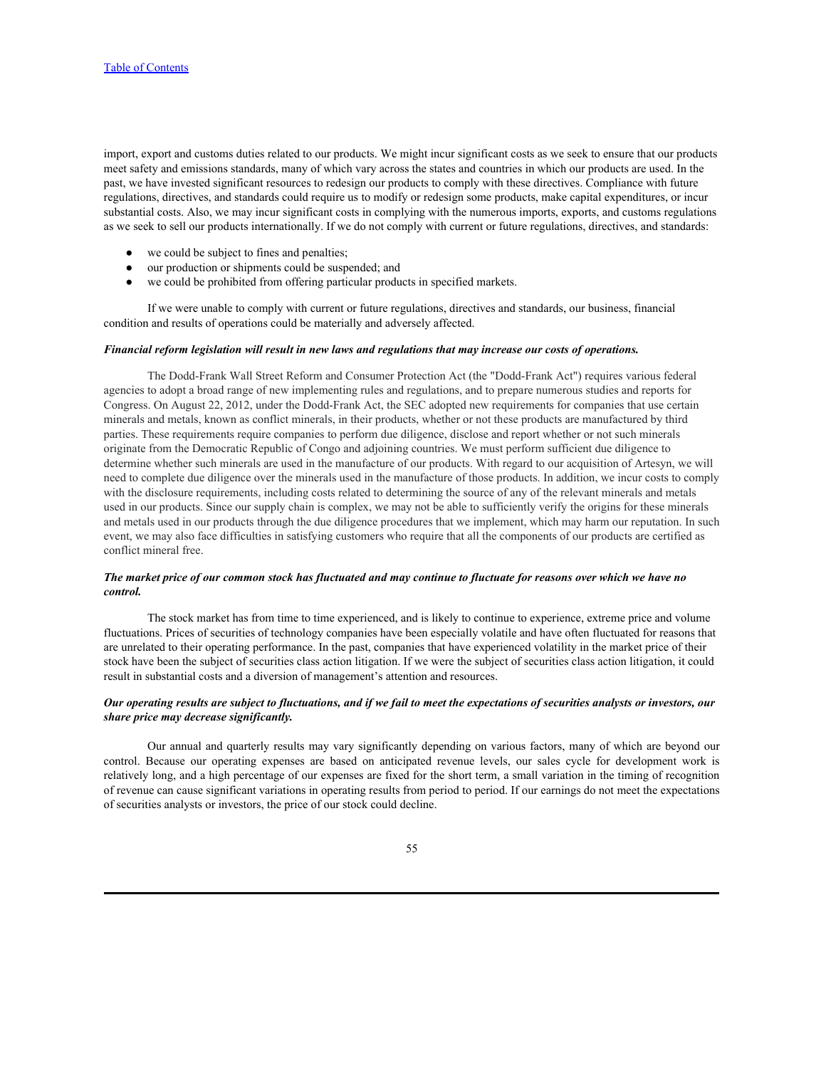import, export and customs duties related to our products. We might incur significant costs as we seek to ensure that our products meet safety and emissions standards, many of which vary across the states and countries in which our products are used. In the past, we have invested significant resources to redesign our products to comply with these directives. Compliance with future regulations, directives, and standards could require us to modify or redesign some products, make capital expenditures, or incur substantial costs. Also, we may incur significant costs in complying with the numerous imports, exports, and customs regulations as we seek to sell our products internationally. If we do not comply with current or future regulations, directives, and standards:

- we could be subject to fines and penalties;
- our production or shipments could be suspended; and
- we could be prohibited from offering particular products in specified markets.

If we were unable to comply with current or future regulations, directives and standards, our business, financial condition and results of operations could be materially and adversely affected.

### *Financial reform legislation will result in new laws and regulations that may increase our costs of operations.*

The Dodd-Frank Wall Street Reform and Consumer Protection Act (the "Dodd-Frank Act") requires various federal agencies to adopt a broad range of new implementing rules and regulations, and to prepare numerous studies and reports for Congress. On August 22, 2012, under the Dodd-Frank Act, the SEC adopted new requirements for companies that use certain minerals and metals, known as conflict minerals, in their products, whether or not these products are manufactured by third parties. These requirements require companies to perform due diligence, disclose and report whether or not such minerals originate from the Democratic Republic of Congo and adjoining countries. We must perform sufficient due diligence to determine whether such minerals are used in the manufacture of our products. With regard to our acquisition of Artesyn, we will need to complete due diligence over the minerals used in the manufacture of those products. In addition, we incur costs to comply with the disclosure requirements, including costs related to determining the source of any of the relevant minerals and metals used in our products. Since our supply chain is complex, we may not be able to sufficiently verify the origins for these minerals and metals used in our products through the due diligence procedures that we implement, which may harm our reputation. In such event, we may also face difficulties in satisfying customers who require that all the components of our products are certified as conflict mineral free. condition and regulations (originations contil be maternally and adversely affected.<br> **Financial referent into the meta-stand regulations are may dependent and may develop the control of the sales of the sales are the cycl** 

# *The market price of our common stock has fluctuated and may continue to fluctuate for reasons over which we have no control.*

The stock market has from time to time experienced, and is likely to continue to experience, extreme price and volume fluctuations. Prices of securities of technology companies have been especially volatile and have often fluctuated for reasons that are unrelated to their operating performance. In the past, companies that have experienced volatility in the market price of their stock have been the subject of securities class action litigation. If we were the subject of securities class action litigation, it could result in substantial costs and a diversion of management's attention and resources.

# *Our operating results are subject to fluctuations, and if we fail to meet the expectations of securities analysts or investors, our share price may decrease significantly.*

Our annual and quarterly results may vary significantly depending on various factors, many of which are beyond our relatively long, and a high percentage of our expenses are fixed for the short term, a small variation in the timing of recognition of revenue can cause significant variations in operating results from period to period. If our earnings do not meet the expectations of securities analysts or investors, the price of our stock could decline.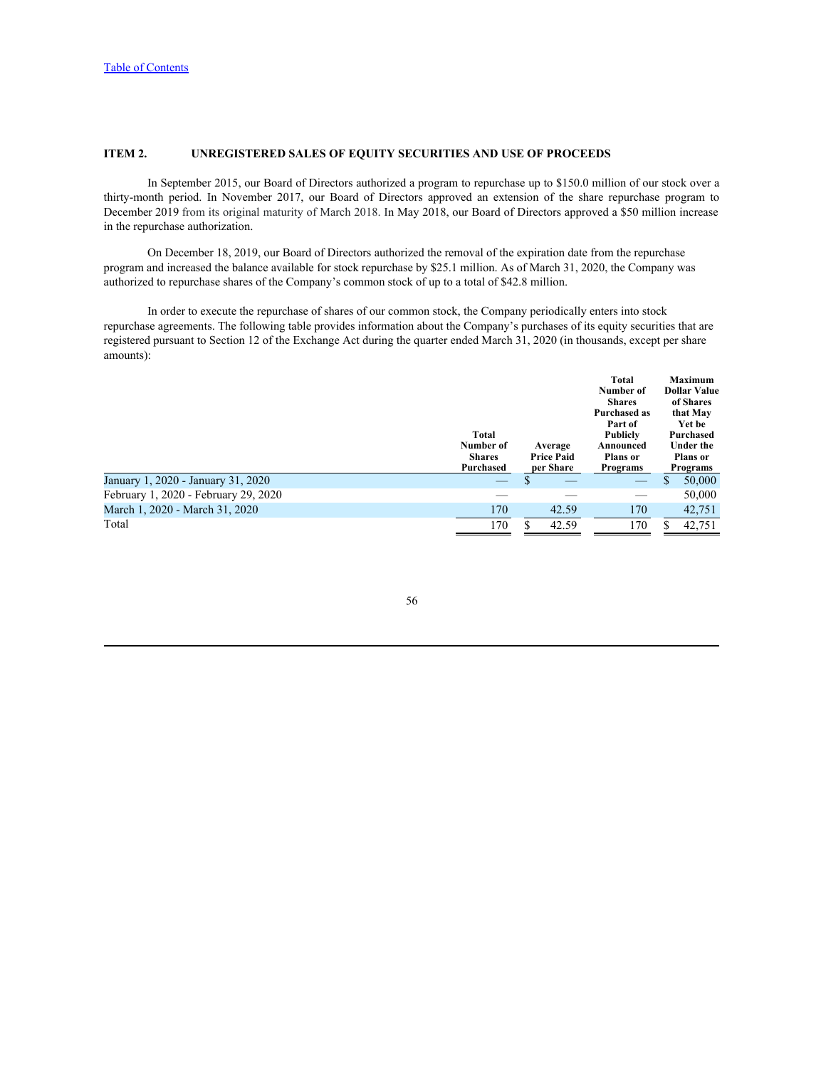# <span id="page-55-0"></span>**ITEM 2. UNREGISTERED SALES OF EQUITY SECURITIES AND USE OF PROCEEDS**

In September 2015, our Board of Directors authorized a program to repurchase up to \$150.0 million of our stock over a Tableof Contents<br>
In September 2015, our Board of Directors authorized a program to repurchase up to \$150.0 million of our stock over a<br>
linty-month period. In November 2017, our Board of Directors approved an extension o December 2019 from its original maturity of March 2018. In May 2018, our Board of Directors approved a \$50 million increase in the repurchase authorization.

On December 18, 2019, our Board of Directors authorized the removal of the expiration date from the repurchase program and increased the balance available for stock repurchase by \$25.1 million. As of March 31, 2020, the Company was authorized to repurchase shares of the Company's common stock of up to a total of \$42.8 million.

In order to execute the repurchase of shares of our common stock, the Company periodically enters into stock repurchase agreements. The following table provides information about the Company's purchases of its equity securities that are registered pursuant to Section 12 of the Exchange Act during the quarter ended March 31, 2020 (in thousands, except per share amounts):

|                                      |                                 |                   | <b>Total</b>                    | Maximum             |
|--------------------------------------|---------------------------------|-------------------|---------------------------------|---------------------|
|                                      |                                 |                   | Number of                       | <b>Dollar Value</b> |
|                                      |                                 |                   | <b>Shares</b>                   | of Shares           |
|                                      |                                 |                   | Purchased as                    | that May            |
|                                      |                                 |                   | Part of                         | <b>Yet be</b>       |
|                                      | <b>Total</b>                    |                   | <b>Publicly</b>                 | Purchased           |
|                                      | Number of                       | Average           | Announced                       | Under the           |
|                                      | <b>Shares</b>                   | <b>Price Paid</b> | <b>Plans or</b>                 | <b>Plans or</b>     |
|                                      | Purchased                       | per Share         | Programs                        | Programs            |
| January 1, 2020 - January 31, 2020   | $\hspace{0.1mm}-\hspace{0.1mm}$ | __                | $\overline{\phantom{m}}$        | 50,000              |
| February 1, 2020 - February 29, 2020 |                                 |                   | $\hspace{0.1mm}-\hspace{0.1mm}$ | 50,000              |
| March 1, 2020 - March 31, 2020       | 170                             | 42.59             | 170                             | 42,751              |
| Total                                | 170                             | 42.59             | 170                             | 42,751              |
|                                      |                                 |                   |                                 |                     |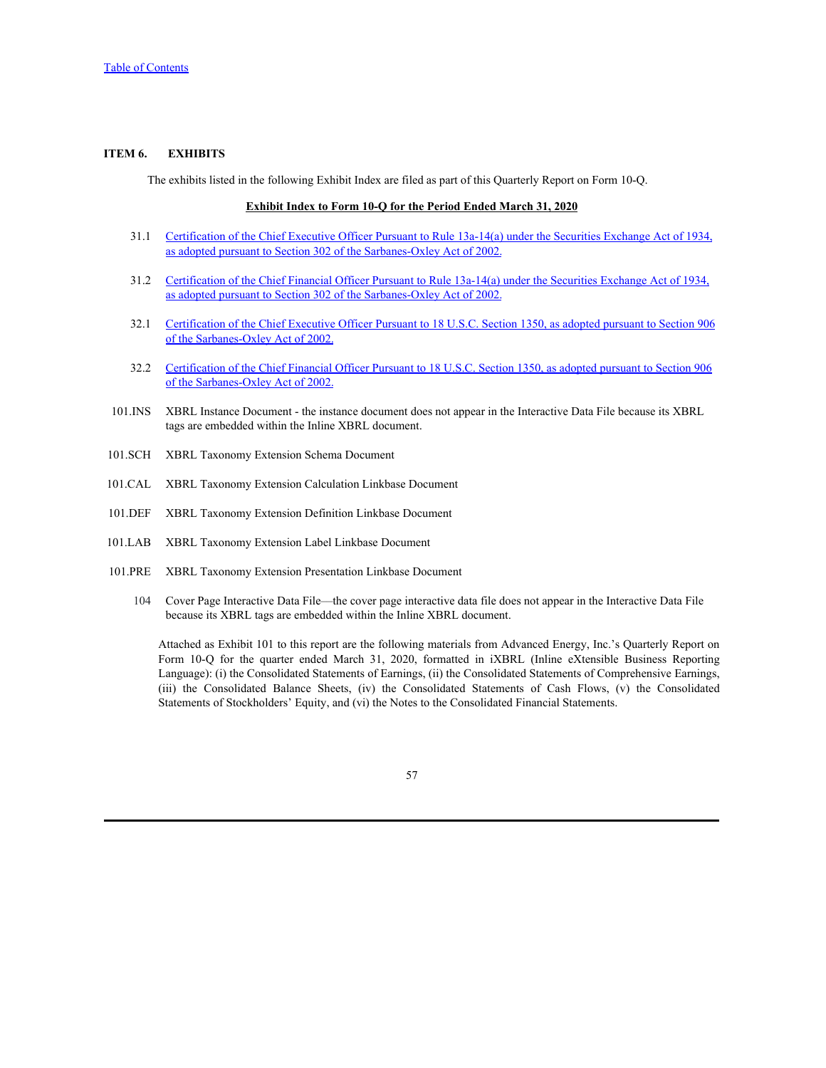# <span id="page-56-0"></span>**ITEM 6. EXHIBITS**

The exhibits listed in the following Exhibit Index are filed as part of this Quarterly Report on Form 10-Q.

### **Exhibit Index to Form 10-Q for the Period Ended March 31, 2020**

- 31.1 Certification of the Chief Executive Officer Pursuant to Rule 13a-14(a) under the Securities Exchange Act of 1934, as adopted pursuant to Section 302 of the Sarbanes-Oxley Act of 2002.
- 31.2 Certification of the Chief Financial Officer Pursuant to Rule 13a-14(a) under the Securities Exchange Act of 1934, as adopted pursuant to Section 302 of the Sarbanes-Oxley Act of 2002.
- 32.1 Certification of the Chief Executive Officer Pursuant to 18 U.S.C. Section 1350, as adopted pursuant to Section 906 of the Sarbanes-Oxley Act of 2002.
- 32.2 Certification of the Chief Financial Officer Pursuant to 18 U.S.C. Section 1350, as adopted pursuant to Section 906 of the Sarbanes-Oxley Act of 2002.
- 101.INS XBRL Instance Document the instance document does not appear in the Interactive Data File because its XBRL tags are embedded within the Inline XBRL document.
- 101.SCH XBRL Taxonomy Extension Schema Document
- 101.CAL XBRL Taxonomy Extension Calculation Linkbase Document
- 101.DEF XBRL Taxonomy Extension Definition Linkbase Document
- 101.LAB XBRL Taxonomy Extension Label Linkbase Document
- 101.PRE XBRL Taxonomy Extension Presentation Linkbase Document
	- 104 Cover Page Interactive Data File––the cover page interactive data file does not appear in the Interactive Data File because its XBRL tags are embedded within the Inline XBRL document.

Attached as Exhibit 101 to this report are the following materials from Advanced Energy, Inc.'s Quarterly Report on Centricutionsof the Chief Exceptive Officer Parsonn to Reick 13a-14(a) and<br>energy decreases the Scheme Chief Enterstand Officer Parsonation (May 13a-14(a) index the Securities Exchange Act of 1934, Centricutions of the C Language): (i) the Consolidated Statements of Earnings, (ii) the Consolidated Statements of Comprehensive Earnings, an adopted paramat to Secure 302 of the Sarbanes-Oxiey Act of 2002.<br>
Centilestinos of the Chief Flanceial Office Paramat to Reial 33a-14G) and<br>erther consolidated Scheff Flanceial Consolidated Statements 18 U.S.C.<br>
Centil Statements of Stockholders' Equity, and (vi) the Notes to the Consolidated Financial Statements.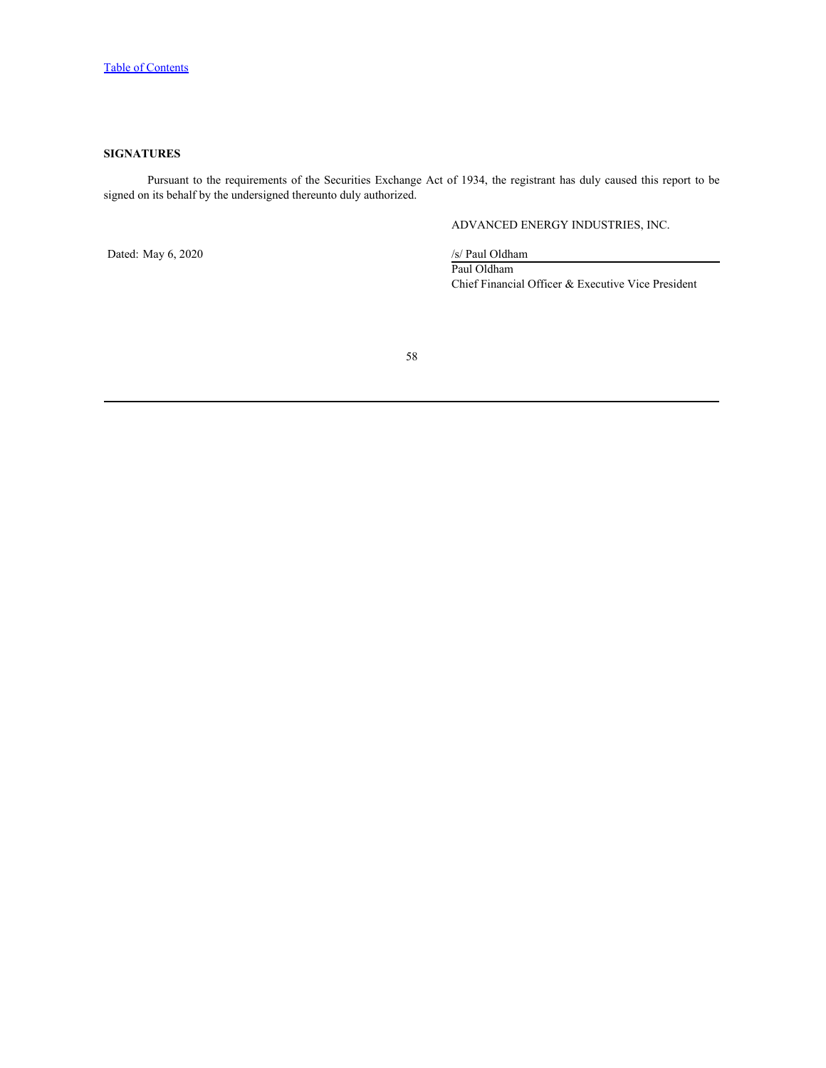# <span id="page-57-0"></span>**SIGNATURES**

Pursuant to the requirements of the Securities Exchange Act of 1934, the registrant has duly caused this report to be signed on its behalf by the undersigned thereunto duly authorized.

# ADVANCED ENERGY INDUSTRIES, INC.

Dated: May 6, 2020 /s/ Paul Oldham

Paul Oldham Chief Financial Officer & Executive Vice President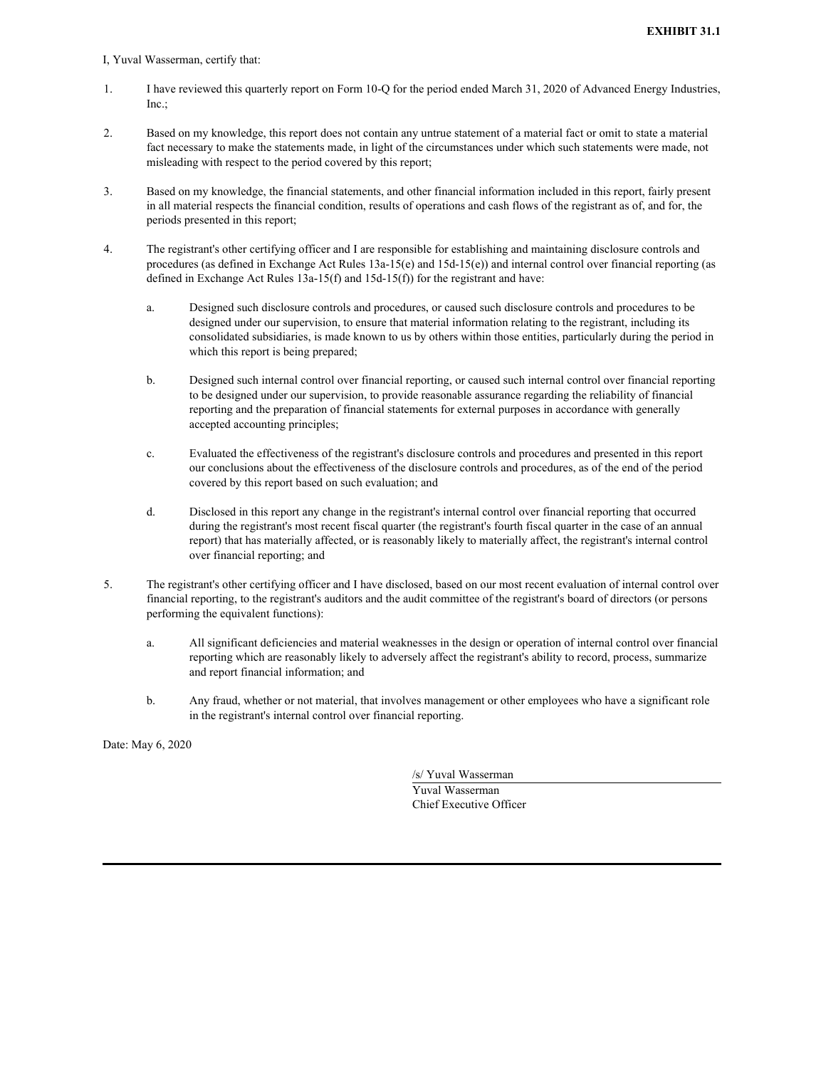### <span id="page-58-0"></span>I, Yuval Wasserman, certify that:

- 1. I have reviewed this quarterly report on Form 10-Q for the period ended March 31, 2020 of Advanced Energy Industries, Inc.;
- 2. Based on my knowledge, this report does not contain any untrue statement of a material fact or omit to state a material fact necessary to make the statements made, in light of the circumstances under which such statements were made, not misleading with respect to the period covered by this report;
- 3. Based on my knowledge, the financial statements, and other financial information included in this report, fairly present in all material respects the financial condition, results of operations and cash flows of the registrant as of, and for, the periods presented in this report;
- 4. The registrant's other certifying officer and I are responsible for establishing and maintaining disclosure controls and procedures (as defined in Exchange Act Rules 13a-15(e) and 15d-15(e)) and internal control over financial reporting (as defined in Exchange Act Rules 13a-15(f) and 15d-15(f)) for the registrant and have:
	- a. Designed such disclosure controls and procedures, or caused such disclosure controls and procedures to be designed under our supervision, to ensure that material information relating to the registrant, including its consolidated subsidiaries, is made known to us by others within those entities, particularly during the period in which this report is being prepared;
	- b. Designed such internal control over financial reporting, or caused such internal control over financial reporting to be designed under our supervision, to provide reasonable assurance regarding the reliability of financial reporting and the preparation of financial statements for external purposes in accordance with generally accepted accounting principles;
	- c. Evaluated the effectiveness of the registrant's disclosure controls and procedures and presented in this report our conclusions about the effectiveness of the disclosure controls and procedures, as of the end of the period covered by this report based on such evaluation; and
	- d. Disclosed in this report any change in the registrant's internal control over financial reporting that occurred during the registrant's most recent fiscal quarter (the registrant's fourth fiscal quarter in the case of an annual report) that has materially affected, or is reasonably likely to materially affect, the registrant's internal control over financial reporting; and
- 5. The registrant's other certifying officer and I have disclosed, based on our most recent evaluation of internal control over financial reporting, to the registrant's auditors and the audit committee of the registrant's board of directors (or persons performing the equivalent functions):
	- a. All significant deficiencies and material weaknesses in the design or operation of internal control over financial reporting which are reasonably likely to adversely affect the registrant's ability to record, process, summarize and report financial information; and
	- b. Any fraud, whether or not material, that involves management or other employees who have a significant role in the registrant's internal control over financial reporting.

Date: May 6, 2020

/s/ Yuval Wasserman Yuval Wasserman Chief Executive Officer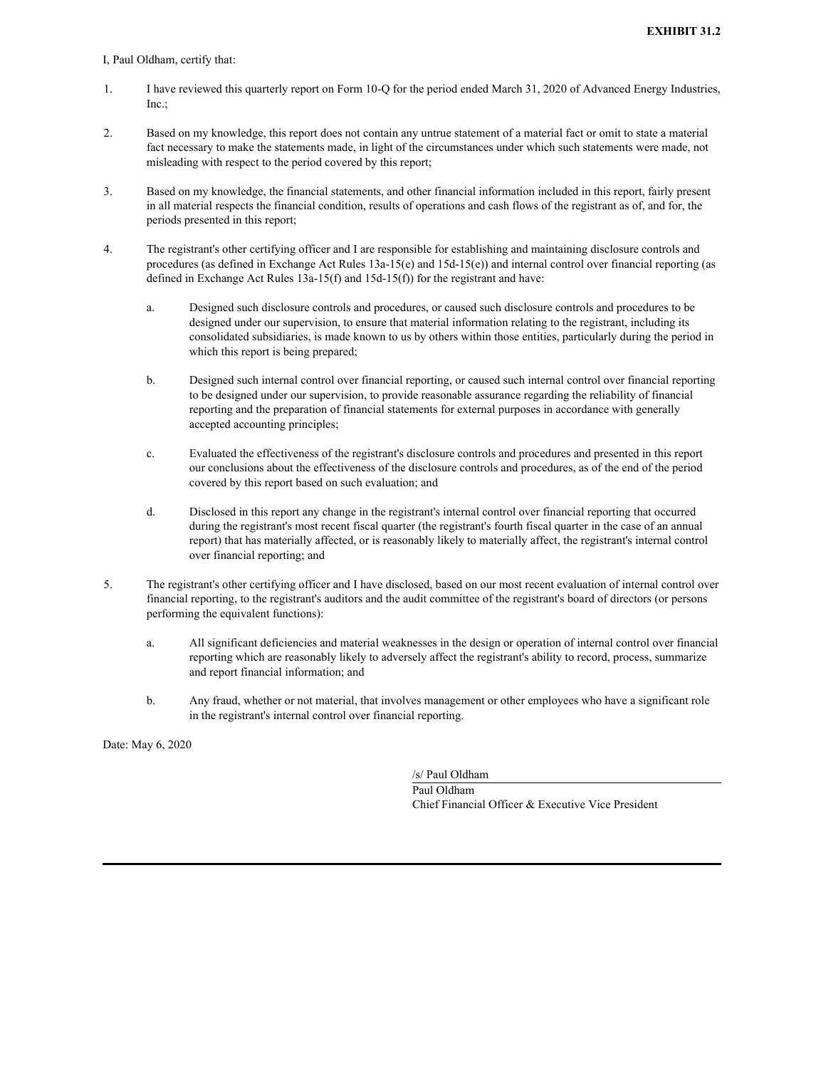<span id="page-59-0"></span>I, Paul Oldham, certify that:

- 1. I have reviewed this quarterly report on Form 10-Q for the period ended March 31, 2020 of Advanced Energy Industries, Inc.;
- 2. Based on my knowledge, this report does not contain any untrue statement of a material fact or omit to state a material fact necessary to make the statements made, in light of the circumstances under which such statements were made, not misleading with respect to the period covered by this report;
- 3. Based on my knowledge, the financial statements, and other financial information included in this report, fairly present in all material respects the financial condition, results of operations and cash flows of the registrant as of, and for, the periods presented in this report;
- 4. The registrant's other certifying officer and I are responsible for establishing and maintaining disclosure controls and procedures (as defined in Exchange Act Rules 13a-15(e) and 15d-15(e)) and internal control over financial reporting (as defined in Exchange Act Rules 13a-15(f) and 15d-15(f)) for the registrant and have:
	- a. Designed such disclosure controls and procedures, or caused such disclosure controls and procedures to be designed under our supervision, to ensure that material information relating to the registrant, including its consolidated subsidiaries, is made known to us by others within those entities, particularly during the period in which this report is being prepared;
	- b. Designed such internal control over financial reporting, or caused such internal control over financial reporting to be designed under our supervision, to provide reasonable assurance regarding the reliability of financial reporting and the preparation of financial statements for external purposes in accordance with generally accepted accounting principles;
	- c. Evaluated the effectiveness of the registrant's disclosure controls and procedures and presented in this report our conclusions about the effectiveness of the disclosure controls and procedures, as of the end of the period covered by this report based on such evaluation; and
	- d. Disclosed in this report any change in the registrant's internal control over financial reporting that occurred during the registrant's most recent fiscal quarter (the registrant's fourth fiscal quarter in the case of an annual report) that has materially affected, or is reasonably likely to materially affect, the registrant's internal control over financial reporting; and
- 5. The registrant's other certifying officer and I have disclosed, based on our most recent evaluation of internal control over financial reporting, to the registrant's auditors and the audit committee of the registrant's board of directors (or persons performing the equivalent functions):
	- a. All significant deficiencies and material weaknesses in the design or operation of internal control over financial reporting which are reasonably likely to adversely affect the registrant's ability to record, process, summarize and report financial information; and
	- b. Any fraud, whether or not material, that involves management or other employees who have a significant role in the registrant's internal control over financial reporting.

Date: May 6, 2020

/s/ Paul Oldham Paul Oldham Chief Financial Officer & Executive Vice President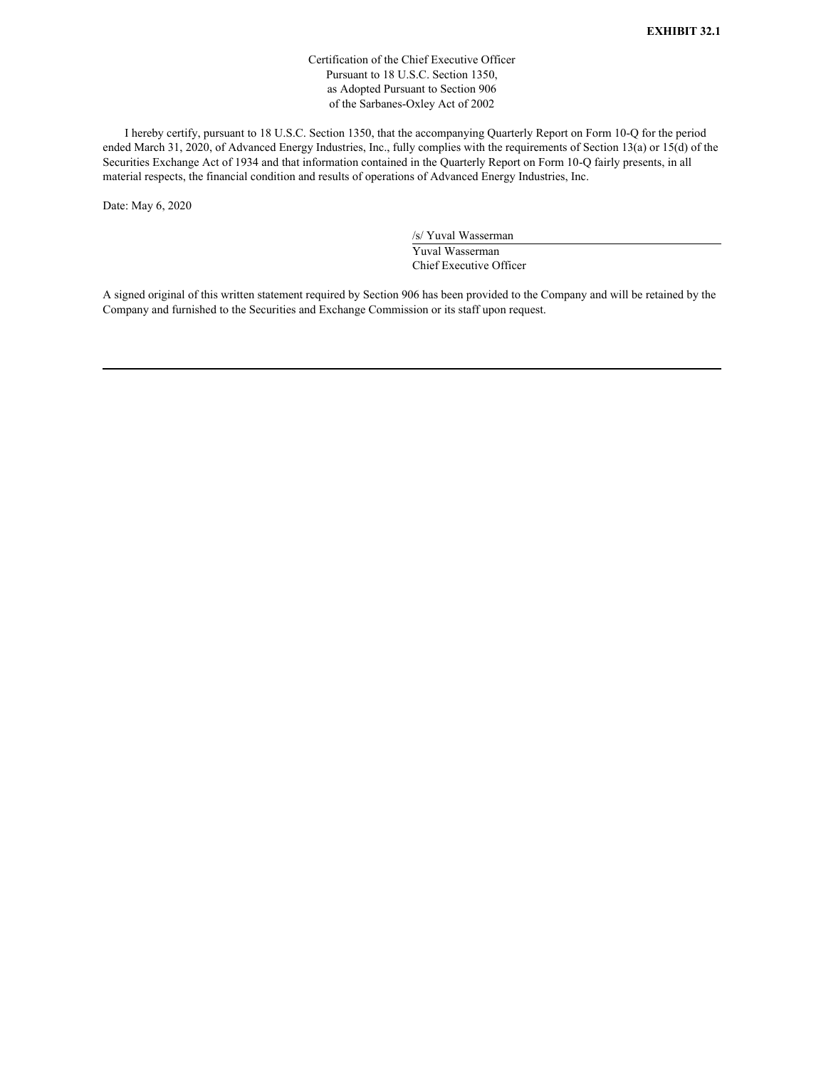Certification of the Chief Executive Officer Pursuant to 18 U.S.C. Section 1350, as Adopted Pursuant to Section 906 of the Sarbanes-Oxley Act of 2002

<span id="page-60-0"></span>I hereby certify, pursuant to 18 U.S.C. Section 1350, that the accompanying Quarterly Report on Form 10-Q for the period ended March 31, 2020, of Advanced Energy Industries, Inc., fully complies with the requirements of Section 13(a) or 15(d) of the Securities Exchange Act of 1934 and that information contained in the Quarterly Report on Form 10-Q fairly presents, in all material respects, the financial condition and results of operations of Advanced Energy Industries, Inc.

Date: May 6, 2020

/s/ Yuval Wasserman Yuval Wasserman Chief Executive Officer

A signed original of this written statement required by Section 906 has been provided to the Company and will be retained by the Company and furnished to the Securities and Exchange Commission or its staff upon request.